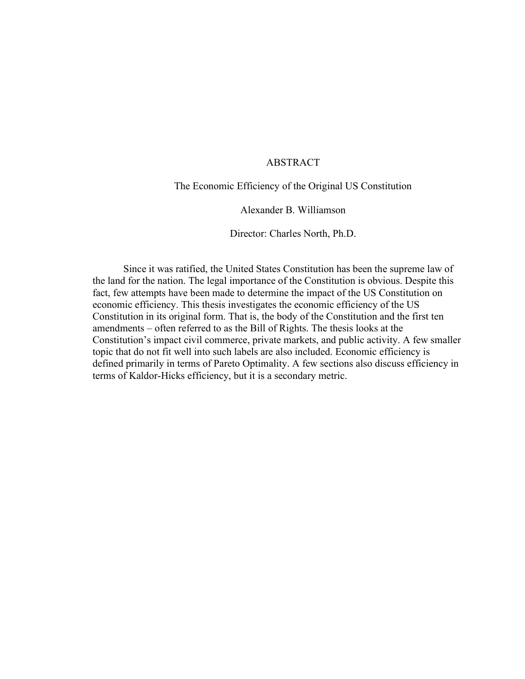### ABSTRACT

The Economic Efficiency of the Original US Constitution

Alexander B. Williamson

Director: Charles North, Ph.D.

Since it was ratified, the United States Constitution has been the supreme law of the land for the nation. The legal importance of the Constitution is obvious. Despite this fact, few attempts have been made to determine the impact of the US Constitution on economic efficiency. This thesis investigates the economic efficiency of the US Constitution in its original form. That is, the body of the Constitution and the first ten amendments – often referred to as the Bill of Rights. The thesis looks at the Constitution's impact civil commerce, private markets, and public activity. A few smaller topic that do not fit well into such labels are also included. Economic efficiency is defined primarily in terms of Pareto Optimality. A few sections also discuss efficiency in terms of Kaldor-Hicks efficiency, but it is a secondary metric.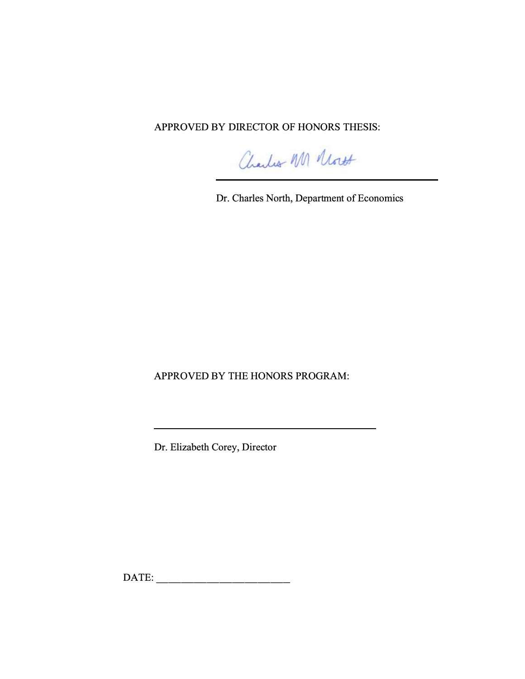APPROVED BY DIRECTOR OF HONORS THESIS:

Charles M Mont

Dr. Charles North, Department of Economics

APPROVED BY THE HONORS PROGRAM:

Dr. Elizabeth Corey, Director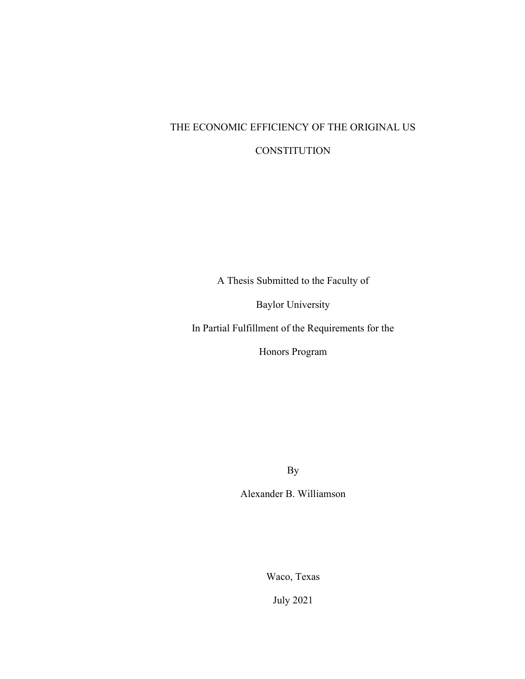# THE ECONOMIC EFFICIENCY OF THE ORIGINAL US **CONSTITUTION**

A Thesis Submitted to the Faculty of

Baylor University

In Partial Fulfillment of the Requirements for the

Honors Program

By

Alexander B. Williamson

Waco, Texas

July 2021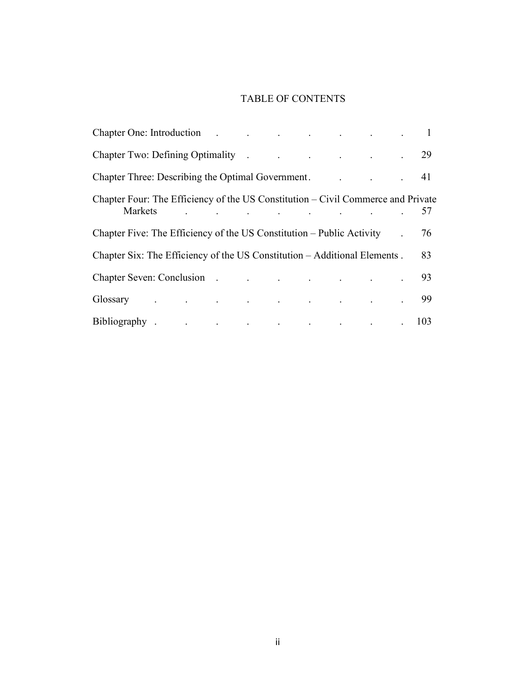# TABLE OF CONTENTS

| Chapter One: Introduction 1                                                                                                                                                                                                    |  |  |  |            |  |  |  |  |  |    |
|--------------------------------------------------------------------------------------------------------------------------------------------------------------------------------------------------------------------------------|--|--|--|------------|--|--|--|--|--|----|
| Chapter Two: Defining Optimality . The contract of the contract of the contract of the contract of the contract of the contract of the contract of the contract of the contract of the contract of the contract of the contrac |  |  |  |            |  |  |  |  |  |    |
| Chapter Three: Describing the Optimal Government. 2012. [2015] Chapter Three: Describing the Optimal Government.                                                                                                               |  |  |  |            |  |  |  |  |  |    |
| Chapter Four: The Efficiency of the US Constitution – Civil Commerce and Private                                                                                                                                               |  |  |  | Markets 57 |  |  |  |  |  |    |
| Chapter Five: The Efficiency of the US Constitution – Public Activity .                                                                                                                                                        |  |  |  |            |  |  |  |  |  | 76 |
| Chapter Six: The Efficiency of the US Constitution – Additional Elements.                                                                                                                                                      |  |  |  |            |  |  |  |  |  | 83 |
| Chapter Seven: Conclusion 93                                                                                                                                                                                                   |  |  |  |            |  |  |  |  |  |    |
|                                                                                                                                                                                                                                |  |  |  |            |  |  |  |  |  | 99 |
| Bibliography 103                                                                                                                                                                                                               |  |  |  |            |  |  |  |  |  |    |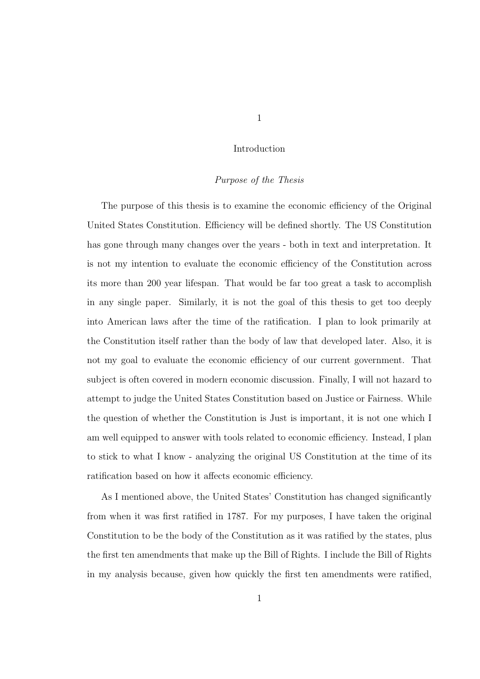## *Purpose of the Thesis*

The purpose of this thesis is to examine the economic efficiency of the Original United States Constitution. Efficiency will be defined shortly. The US Constitution has gone through many changes over the years - both in text and interpretation. It is not my intention to evaluate the economic efficiency of the Constitution across its more than 200 year lifespan. That would be far too great a task to accomplish in any single paper. Similarly, it is not the goal of this thesis to get too deeply into American laws after the time of the ratification. I plan to look primarily at the Constitution itself rather than the body of law that developed later. Also, it is not my goal to evaluate the economic efficiency of our current government. That subject is often covered in modern economic discussion. Finally, I will not hazard to attempt to judge the United States Constitution based on Justice or Fairness. While the question of whether the Constitution is Just is important, it is not one which I am well equipped to answer with tools related to economic efficiency. Instead, I plan to stick to what I know - analyzing the original US Constitution at the time of its ratification based on how it affects economic efficiency.

As I mentioned above, the United States' Constitution has changed significantly from when it was first ratified in 1787. For my purposes, I have taken the original Constitution to be the body of the Constitution as it was ratified by the states, plus the first ten amendments that make up the Bill of Rights. I include the Bill of Rights in my analysis because, given how quickly the first ten amendments were ratified,

1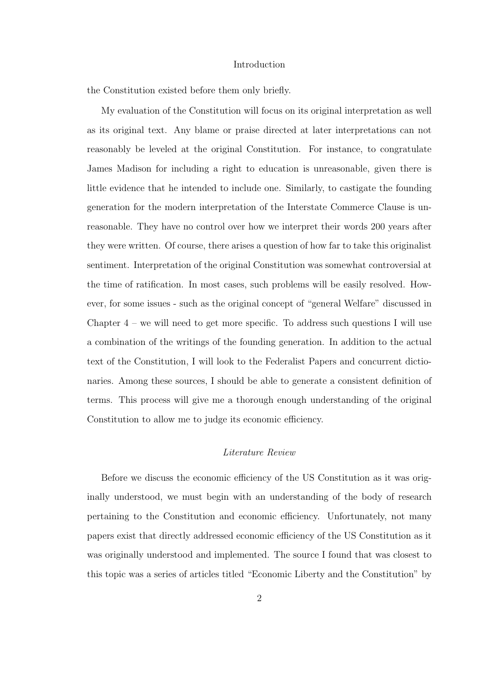the Constitution existed before them only briefly.

My evaluation of the Constitution will focus on its original interpretation as well as its original text. Any blame or praise directed at later interpretations can not reasonably be leveled at the original Constitution. For instance, to congratulate James Madison for including a right to education is unreasonable, given there is little evidence that he intended to include one. Similarly, to castigate the founding generation for the modern interpretation of the Interstate Commerce Clause is unreasonable. They have no control over how we interpret their words 200 years after they were written. Of course, there arises a question of how far to take this originalist sentiment. Interpretation of the original Constitution was somewhat controversial at the time of ratification. In most cases, such problems will be easily resolved. However, for some issues - such as the original concept of "general Welfare" discussed in Chapter  $4$  – we will need to get more specific. To address such questions I will use a combination of the writings of the founding generation. In addition to the actual text of the Constitution, I will look to the Federalist Papers and concurrent dictionaries. Among these sources, I should be able to generate a consistent definition of terms. This process will give me a thorough enough understanding of the original Constitution to allow me to judge its economic efficiency.

#### *Literature Review*

Before we discuss the economic efficiency of the US Constitution as it was originally understood, we must begin with an understanding of the body of research pertaining to the Constitution and economic efficiency. Unfortunately, not many papers exist that directly addressed economic efficiency of the US Constitution as it was originally understood and implemented. The source I found that was closest to this topic was a series of articles titled "Economic Liberty and the Constitution" by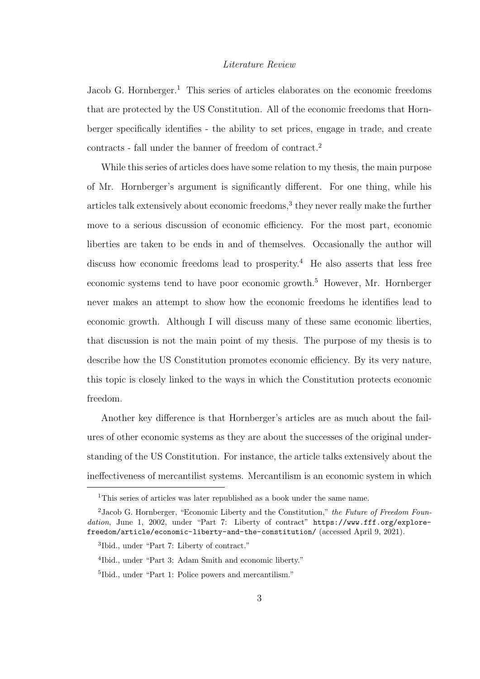Jacob G. Hornberger.<sup>1</sup> This series of articles elaborates on the economic freedoms that are protected by the US Constitution. All of the economic freedoms that Hornberger specifically identifies - the ability to set prices, engage in trade, and create contracts - fall under the banner of freedom of contract.<sup>2</sup>

While this series of articles does have some relation to my thesis, the main purpose of Mr. Hornberger's argument is significantly different. For one thing, while his articles talk extensively about economic freedoms,<sup>3</sup> they never really make the further move to a serious discussion of economic efficiency. For the most part, economic liberties are taken to be ends in and of themselves. Occasionally the author will discuss how economic freedoms lead to prosperity.<sup>4</sup> He also asserts that less free economic systems tend to have poor economic growth.<sup>5</sup> However, Mr. Hornberger never makes an attempt to show how the economic freedoms he identifies lead to economic growth. Although I will discuss many of these same economic liberties, that discussion is not the main point of my thesis. The purpose of my thesis is to describe how the US Constitution promotes economic efficiency. By its very nature, this topic is closely linked to the ways in which the Constitution protects economic freedom.

Another key difference is that Hornberger's articles are as much about the failures of other economic systems as they are about the successes of the original understanding of the US Constitution. For instance, the article talks extensively about the ineffectiveness of mercantilist systems. Mercantilism is an economic system in which

<sup>&</sup>lt;sup>1</sup>This series of articles was later republished as a book under the same name.

 $2$ Jacob G. Hornberger, "Economic Liberty and the Constitution," the Future of Freedom Foundation, June 1, 2002, under "Part 7: Liberty of contract" https://www.fff.org/explorefreedom/article/economic-liberty-and-the-constitution/ (accessed April 9, 2021).

<sup>3</sup> Ibid., under "Part 7: Liberty of contract."

<sup>4</sup> Ibid., under "Part 3: Adam Smith and economic liberty."

<sup>5</sup> Ibid., under "Part 1: Police powers and mercantilism."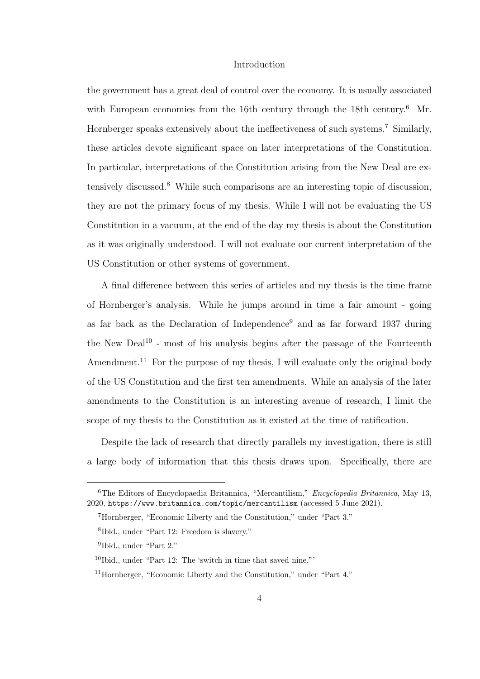the government has a great deal of control over the economy. It is usually associated with European economies from the 16th century through the 18th century.<sup>6</sup> Mr. Hornberger speaks extensively about the ineffectiveness of such systems.<sup>7</sup> Similarly, these articles devote significant space on later interpretations of the Constitution. In particular, interpretations of the Constitution arising from the New Deal are extensively discussed.<sup>8</sup> While such comparisons are an interesting topic of discussion, they are not the primary focus of my thesis. While I will not be evaluating the US Constitution in a vacuum, at the end of the day my thesis is about the Constitution as it was originally understood. I will not evaluate our current interpretation of the US Constitution or other systems of government.

A final difference between this series of articles and my thesis is the time frame of Hornberger's analysis. While he jumps around in time a fair amount - going as far back as the Declaration of Independence<sup>9</sup> and as far forward 1937 during the New Deal<sup>10</sup> - most of his analysis begins after the passage of the Fourteenth Amendment.<sup>11</sup> For the purpose of my thesis, I will evaluate only the original body of the US Constitution and the first ten amendments. While an analysis of the later amendments to the Constitution is an interesting avenue of research, I limit the scope of my thesis to the Constitution as it existed at the time of ratification.

Despite the lack of research that directly parallels my investigation, there is still a large body of information that this thesis draws upon. Specifically, there are

<sup>6</sup>The Editors of Encyclopaedia Britannica, "Mercantilism," Encyclopedia Britannica, May 13, 2020, https://www.britannica.com/topic/mercantilism (accessed 5 June 2021).

<sup>7</sup>Hornberger, "Economic Liberty and the Constitution," under "Part 3."

<sup>8</sup> Ibid., under "Part 12: Freedom is slavery."

<sup>9</sup> Ibid., under "Part 2."

 $10$ Ibid., under "Part 12: The 'switch in time that saved nine."'

<sup>11</sup>Hornberger, "Economic Liberty and the Constitution," under "Part 4."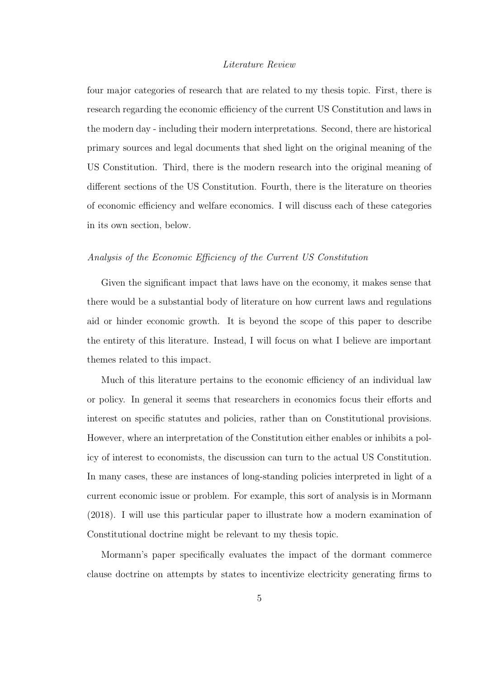four major categories of research that are related to my thesis topic. First, there is research regarding the economic efficiency of the current US Constitution and laws in the modern day - including their modern interpretations. Second, there are historical primary sources and legal documents that shed light on the original meaning of the US Constitution. Third, there is the modern research into the original meaning of different sections of the US Constitution. Fourth, there is the literature on theories of economic efficiency and welfare economics. I will discuss each of these categories in its own section, below.

#### *Analysis of the Economic E*ffi*ciency of the Current US Constitution*

Given the significant impact that laws have on the economy, it makes sense that there would be a substantial body of literature on how current laws and regulations aid or hinder economic growth. It is beyond the scope of this paper to describe the entirety of this literature. Instead, I will focus on what I believe are important themes related to this impact.

Much of this literature pertains to the economic efficiency of an individual law or policy. In general it seems that researchers in economics focus their efforts and interest on specific statutes and policies, rather than on Constitutional provisions. However, where an interpretation of the Constitution either enables or inhibits a policy of interest to economists, the discussion can turn to the actual US Constitution. In many cases, these are instances of long-standing policies interpreted in light of a current economic issue or problem. For example, this sort of analysis is in Mormann (2018). I will use this particular paper to illustrate how a modern examination of Constitutional doctrine might be relevant to my thesis topic.

Mormann's paper specifically evaluates the impact of the dormant commerce clause doctrine on attempts by states to incentivize electricity generating firms to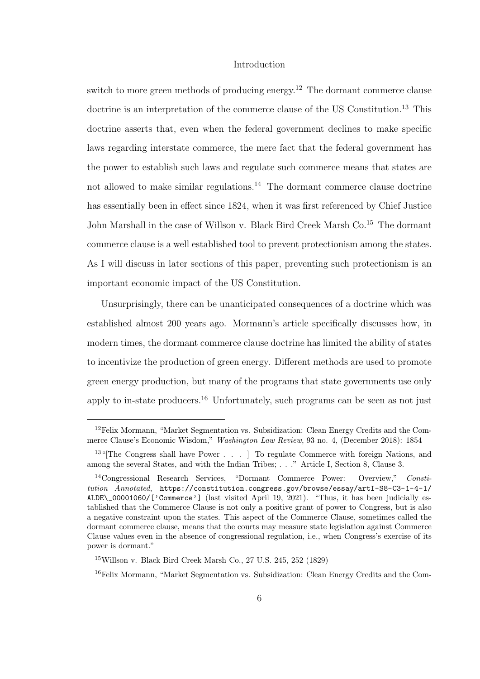switch to more green methods of producing energy.<sup>12</sup> The dormant commerce clause doctrine is an interpretation of the commerce clause of the US Constitution.<sup>13</sup> This doctrine asserts that, even when the federal government declines to make specific laws regarding interstate commerce, the mere fact that the federal government has the power to establish such laws and regulate such commerce means that states are not allowed to make similar regulations.<sup>14</sup> The dormant commerce clause doctrine has essentially been in effect since 1824, when it was first referenced by Chief Justice John Marshall in the case of Willson v. Black Bird Creek Marsh Co.<sup>15</sup> The dormant commerce clause is a well established tool to prevent protectionism among the states. As I will discuss in later sections of this paper, preventing such protectionism is an important economic impact of the US Constitution.

Unsurprisingly, there can be unanticipated consequences of a doctrine which was established almost 200 years ago. Mormann's article specifically discusses how, in modern times, the dormant commerce clause doctrine has limited the ability of states to incentivize the production of green energy. Different methods are used to promote green energy production, but many of the programs that state governments use only apply to in-state producers.<sup>16</sup> Unfortunately, such programs can be seen as not just

<sup>12</sup>Felix Mormann, "Market Segmentation vs. Subsidization: Clean Energy Credits and the Commerce Clause's Economic Wisdom," Washington Law Review, 93 no. 4, (December 2018): 1854

 $13$ "[The Congress shall have Power . . . ] To regulate Commerce with foreign Nations, and among the several States, and with the Indian Tribes; . . ." Article I, Section 8, Clause 3.

<sup>14</sup>Congressional Research Services, "Dormant Commerce Power: Overview," Constitution Annotated, https://constitution.congress.gov/browse/essay/artI-S8-C3-1-4-1/ ALDE\\_00001060/['Commerce'] (last visited April 19, 2021). "Thus, it has been judicially established that the Commerce Clause is not only a positive grant of power to Congress, but is also a negative constraint upon the states. This aspect of the Commerce Clause, sometimes called the dormant commerce clause, means that the courts may measure state legislation against Commerce Clause values even in the absence of congressional regulation, i.e., when Congress's exercise of its power is dormant."

<sup>15</sup>Willson v. Black Bird Creek Marsh Co., 27 U.S. 245, 252 (1829)

<sup>16</sup>Felix Mormann, "Market Segmentation vs. Subsidization: Clean Energy Credits and the Com-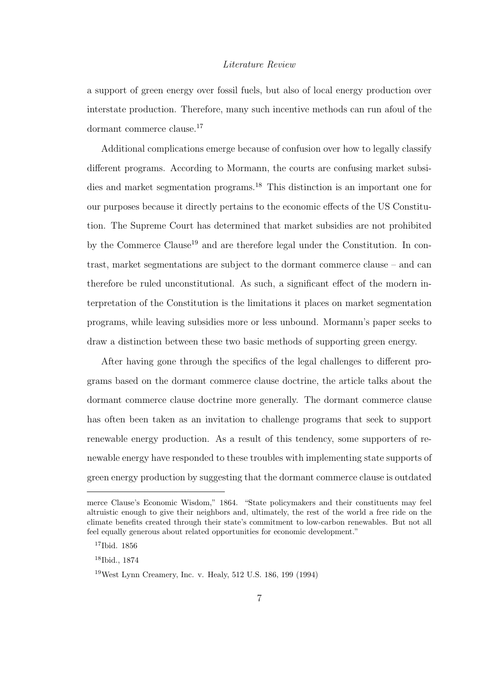a support of green energy over fossil fuels, but also of local energy production over interstate production. Therefore, many such incentive methods can run afoul of the dormant commerce clause.<sup>17</sup>

Additional complications emerge because of confusion over how to legally classify different programs. According to Mormann, the courts are confusing market subsidies and market segmentation programs.<sup>18</sup> This distinction is an important one for our purposes because it directly pertains to the economic effects of the US Constitution. The Supreme Court has determined that market subsidies are not prohibited by the Commerce Clause<sup>19</sup> and are therefore legal under the Constitution. In contrast, market segmentations are subject to the dormant commerce clause – and can therefore be ruled unconstitutional. As such, a significant effect of the modern interpretation of the Constitution is the limitations it places on market segmentation programs, while leaving subsidies more or less unbound. Mormann's paper seeks to draw a distinction between these two basic methods of supporting green energy.

After having gone through the specifics of the legal challenges to different programs based on the dormant commerce clause doctrine, the article talks about the dormant commerce clause doctrine more generally. The dormant commerce clause has often been taken as an invitation to challenge programs that seek to support renewable energy production. As a result of this tendency, some supporters of renewable energy have responded to these troubles with implementing state supports of green energy production by suggesting that the dormant commerce clause is outdated

merce Clause's Economic Wisdom," 1864. "State policymakers and their constituents may feel altruistic enough to give their neighbors and, ultimately, the rest of the world a free ride on the climate benefits created through their state's commitment to low-carbon renewables. But not all feel equally generous about related opportunities for economic development."

<sup>17</sup>Ibid. 1856

<sup>18</sup>Ibid., 1874

<sup>19</sup>West Lynn Creamery, Inc. v. Healy, 512 U.S. 186, 199 (1994)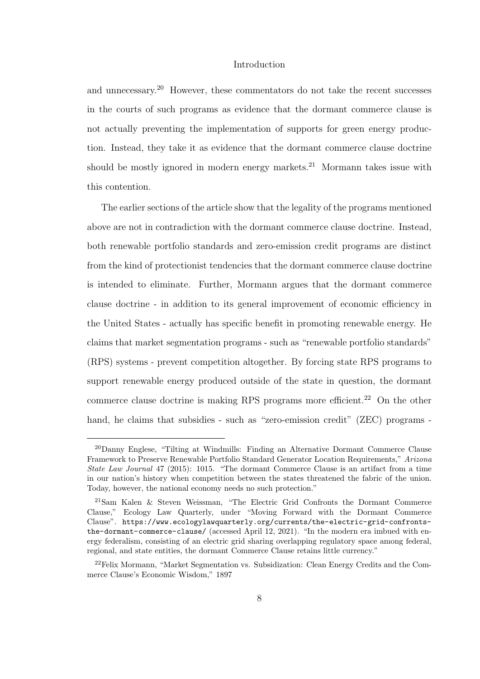and unnecessary.<sup>20</sup> However, these commentators do not take the recent successes in the courts of such programs as evidence that the dormant commerce clause is not actually preventing the implementation of supports for green energy production. Instead, they take it as evidence that the dormant commerce clause doctrine should be mostly ignored in modern energy markets.<sup>21</sup> Mormann takes issue with this contention.

The earlier sections of the article show that the legality of the programs mentioned above are not in contradiction with the dormant commerce clause doctrine. Instead, both renewable portfolio standards and zero-emission credit programs are distinct from the kind of protectionist tendencies that the dormant commerce clause doctrine is intended to eliminate. Further, Mormann argues that the dormant commerce clause doctrine - in addition to its general improvement of economic efficiency in the United States - actually has specific benefit in promoting renewable energy. He claims that market segmentation programs - such as "renewable portfolio standards" (RPS) systems - prevent competition altogether. By forcing state RPS programs to support renewable energy produced outside of the state in question, the dormant commerce clause doctrine is making RPS programs more efficient.<sup>22</sup> On the other hand, he claims that subsidies - such as "zero-emission credit" (ZEC) programs -

<sup>20</sup>Danny Englese, "Tilting at Windmills: Finding an Alternative Dormant Commerce Clause Framework to Preserve Renewable Portfolio Standard Generator Location Requirements," Arizona State Law Journal 47 (2015): 1015. "The dormant Commerce Clause is an artifact from a time in our nation's history when competition between the states threatened the fabric of the union. Today, however, the national economy needs no such protection."

<sup>21</sup>Sam Kalen & Steven Weissman, "The Electric Grid Confronts the Dormant Commerce Clause," Ecology Law Quarterly, under "Moving Forward with the Dormant Commerce Clause". https://www.ecologylawquarterly.org/currents/the-electric-grid-confrontsthe-dormant-commerce-clause/ (accessed April 12, 2021). "In the modern era imbued with energy federalism, consisting of an electric grid sharing overlapping regulatory space among federal, regional, and state entities, the dormant Commerce Clause retains little currency."

<sup>22</sup>Felix Mormann, "Market Segmentation vs. Subsidization: Clean Energy Credits and the Commerce Clause's Economic Wisdom," 1897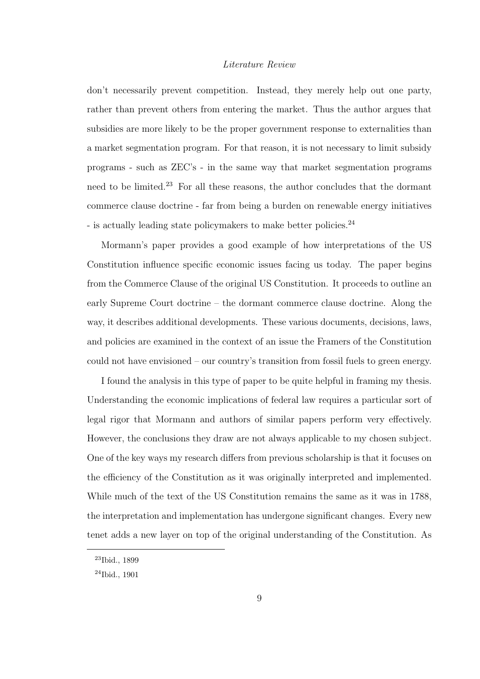don't necessarily prevent competition. Instead, they merely help out one party, rather than prevent others from entering the market. Thus the author argues that subsidies are more likely to be the proper government response to externalities than a market segmentation program. For that reason, it is not necessary to limit subsidy programs - such as ZEC's - in the same way that market segmentation programs need to be limited.<sup>23</sup> For all these reasons, the author concludes that the dormant commerce clause doctrine - far from being a burden on renewable energy initiatives - is actually leading state policymakers to make better policies.<sup>24</sup>

Mormann's paper provides a good example of how interpretations of the US Constitution influence specific economic issues facing us today. The paper begins from the Commerce Clause of the original US Constitution. It proceeds to outline an early Supreme Court doctrine – the dormant commerce clause doctrine. Along the way, it describes additional developments. These various documents, decisions, laws, and policies are examined in the context of an issue the Framers of the Constitution could not have envisioned – our country's transition from fossil fuels to green energy.

I found the analysis in this type of paper to be quite helpful in framing my thesis. Understanding the economic implications of federal law requires a particular sort of legal rigor that Mormann and authors of similar papers perform very effectively. However, the conclusions they draw are not always applicable to my chosen subject. One of the key ways my research differs from previous scholarship is that it focuses on the efficiency of the Constitution as it was originally interpreted and implemented. While much of the text of the US Constitution remains the same as it was in 1788, the interpretation and implementation has undergone significant changes. Every new tenet adds a new layer on top of the original understanding of the Constitution. As

<sup>23</sup>Ibid., 1899

<sup>24</sup>Ibid., 1901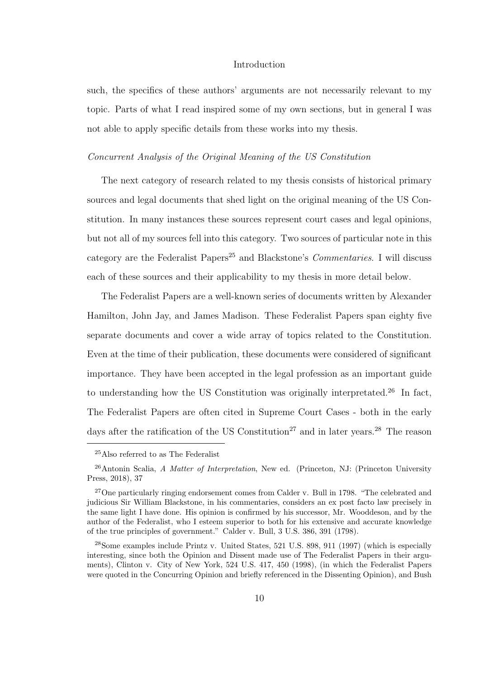such, the specifics of these authors' arguments are not necessarily relevant to my topic. Parts of what I read inspired some of my own sections, but in general I was not able to apply specific details from these works into my thesis.

#### *Concurrent Analysis of the Original Meaning of the US Constitution*

The next category of research related to my thesis consists of historical primary sources and legal documents that shed light on the original meaning of the US Constitution. In many instances these sources represent court cases and legal opinions, but not all of my sources fell into this category. Two sources of particular note in this category are the Federalist Papers<sup>25</sup> and Blackstone's *Commentaries*. I will discuss each of these sources and their applicability to my thesis in more detail below.

The Federalist Papers are a well-known series of documents written by Alexander Hamilton, John Jay, and James Madison. These Federalist Papers span eighty five separate documents and cover a wide array of topics related to the Constitution. Even at the time of their publication, these documents were considered of significant importance. They have been accepted in the legal profession as an important guide to understanding how the US Constitution was originally interpretated.<sup>26</sup> In fact, The Federalist Papers are often cited in Supreme Court Cases - both in the early days after the ratification of the US Constitution<sup>27</sup> and in later years.<sup>28</sup> The reason

<sup>25</sup>Also referred to as The Federalist

 $^{26}$ Antonin Scalia, A Matter of Interpretation, New ed. (Princeton, NJ: (Princeton University Press, 2018), 37

<sup>&</sup>lt;sup>27</sup>One particularly ringing endorsement comes from Calder v. Bull in 1798. "The celebrated and judicious Sir William Blackstone, in his commentaries, considers an ex post facto law precisely in the same light I have done. His opinion is confirmed by his successor, Mr. Wooddeson, and by the author of the Federalist, who I esteem superior to both for his extensive and accurate knowledge of the true principles of government." Calder v. Bull, 3 U.S. 386, 391 (1798).

<sup>28</sup>Some examples include Printz v. United States, 521 U.S. 898, 911 (1997) (which is especially interesting, since both the Opinion and Dissent made use of The Federalist Papers in their arguments), Clinton v. City of New York, 524 U.S. 417, 450 (1998), (in which the Federalist Papers were quoted in the Concurring Opinion and briefly referenced in the Dissenting Opinion), and Bush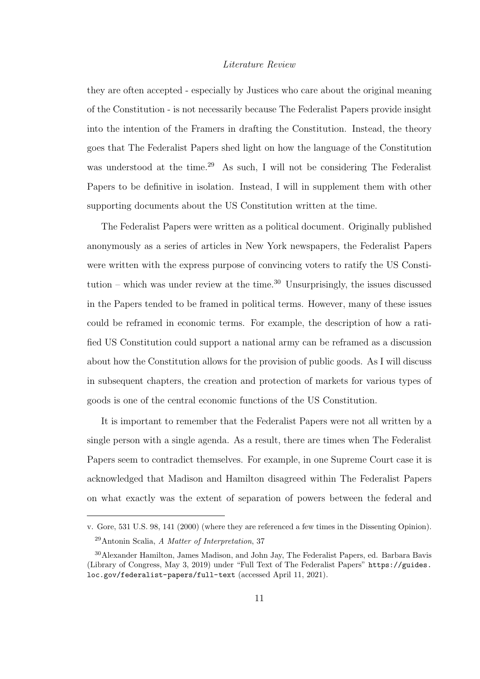they are often accepted - especially by Justices who care about the original meaning of the Constitution - is not necessarily because The Federalist Papers provide insight into the intention of the Framers in drafting the Constitution. Instead, the theory goes that The Federalist Papers shed light on how the language of the Constitution was understood at the time.<sup>29</sup> As such, I will not be considering The Federalist Papers to be definitive in isolation. Instead, I will in supplement them with other supporting documents about the US Constitution written at the time.

The Federalist Papers were written as a political document. Originally published anonymously as a series of articles in New York newspapers, the Federalist Papers were written with the express purpose of convincing voters to ratify the US Constitution – which was under review at the time.<sup>30</sup> Unsurprisingly, the issues discussed in the Papers tended to be framed in political terms. However, many of these issues could be reframed in economic terms. For example, the description of how a ratified US Constitution could support a national army can be reframed as a discussion about how the Constitution allows for the provision of public goods. As I will discuss in subsequent chapters, the creation and protection of markets for various types of goods is one of the central economic functions of the US Constitution.

It is important to remember that the Federalist Papers were not all written by a single person with a single agenda. As a result, there are times when The Federalist Papers seem to contradict themselves. For example, in one Supreme Court case it is acknowledged that Madison and Hamilton disagreed within The Federalist Papers on what exactly was the extent of separation of powers between the federal and

v. Gore, 531 U.S. 98, 141 (2000) (where they are referenced a few times in the Dissenting Opinion). <sup>29</sup>Antonin Scalia, A Matter of Interpretation, 37

<sup>30</sup>Alexander Hamilton, James Madison, and John Jay, The Federalist Papers, ed. Barbara Bavis (Library of Congress, May 3, 2019) under "Full Text of The Federalist Papers" https://guides. loc.gov/federalist-papers/full-text (accessed April 11, 2021).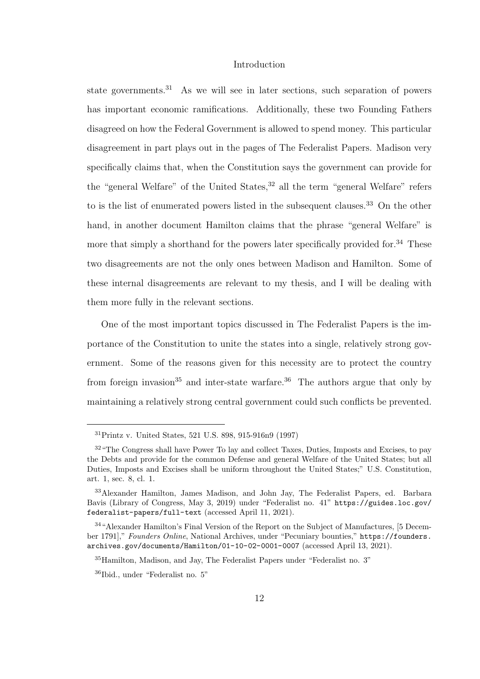state governments.<sup>31</sup> As we will see in later sections, such separation of powers has important economic ramifications. Additionally, these two Founding Fathers disagreed on how the Federal Government is allowed to spend money. This particular disagreement in part plays out in the pages of The Federalist Papers. Madison very specifically claims that, when the Constitution says the government can provide for the "general Welfare" of the United States,<sup>32</sup> all the term "general Welfare" refers to is the list of enumerated powers listed in the subsequent clauses.<sup>33</sup> On the other hand, in another document Hamilton claims that the phrase "general Welfare" is more that simply a shorthand for the powers later specifically provided for.<sup>34</sup> These two disagreements are not the only ones between Madison and Hamilton. Some of these internal disagreements are relevant to my thesis, and I will be dealing with them more fully in the relevant sections.

One of the most important topics discussed in The Federalist Papers is the importance of the Constitution to unite the states into a single, relatively strong government. Some of the reasons given for this necessity are to protect the country from foreign invasion<sup>35</sup> and inter-state warfare.<sup>36</sup> The authors argue that only by maintaining a relatively strong central government could such conflicts be prevented.

<sup>31</sup>Printz v. United States, 521 U.S. 898, 915-916n9 (1997)

<sup>&</sup>lt;sup>32</sup> "The Congress shall have Power To lay and collect Taxes, Duties, Imposts and Excises, to pay the Debts and provide for the common Defense and general Welfare of the United States; but all Duties, Imposts and Excises shall be uniform throughout the United States;" U.S. Constitution, art. 1, sec. 8, cl. 1.

<sup>33</sup>Alexander Hamilton, James Madison, and John Jay, The Federalist Papers, ed. Barbara Bavis (Library of Congress, May 3, 2019) under "Federalist no. 41" https://guides.loc.gov/ federalist-papers/full-text (accessed April 11, 2021).

<sup>34</sup>"Alexander Hamilton's Final Version of the Report on the Subject of Manufactures, [5 December 1791]," Founders Online, National Archives, under "Pecuniary bounties," https://founders. archives.gov/documents/Hamilton/01-10-02-0001-0007 (accessed April 13, 2021).

<sup>35</sup>Hamilton, Madison, and Jay, The Federalist Papers under "Federalist no. 3"

<sup>36</sup>Ibid., under "Federalist no. 5"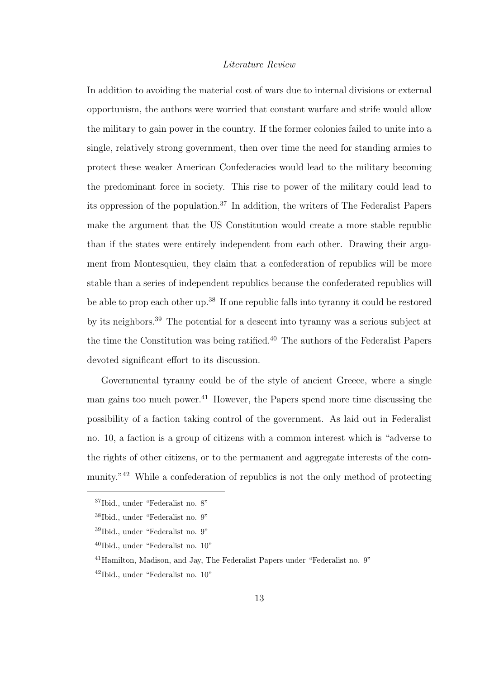In addition to avoiding the material cost of wars due to internal divisions or external opportunism, the authors were worried that constant warfare and strife would allow the military to gain power in the country. If the former colonies failed to unite into a single, relatively strong government, then over time the need for standing armies to protect these weaker American Confederacies would lead to the military becoming the predominant force in society. This rise to power of the military could lead to its oppression of the population.<sup>37</sup> In addition, the writers of The Federalist Papers make the argument that the US Constitution would create a more stable republic than if the states were entirely independent from each other. Drawing their argument from Montesquieu, they claim that a confederation of republics will be more stable than a series of independent republics because the confederated republics will be able to prop each other up.<sup>38</sup> If one republic falls into tyranny it could be restored by its neighbors.<sup>39</sup> The potential for a descent into tyranny was a serious subject at the time the Constitution was being ratified.<sup>40</sup> The authors of the Federalist Papers devoted significant effort to its discussion.

Governmental tyranny could be of the style of ancient Greece, where a single man gains too much power.<sup>41</sup> However, the Papers spend more time discussing the possibility of a faction taking control of the government. As laid out in Federalist no. 10, a faction is a group of citizens with a common interest which is "adverse to the rights of other citizens, or to the permanent and aggregate interests of the community."<sup>42</sup> While a confederation of republics is not the only method of protecting

<sup>37</sup>Ibid., under "Federalist no. 8"

<sup>38</sup>Ibid., under "Federalist no. 9"

<sup>39</sup>Ibid., under "Federalist no. 9"

 $40$ Ibid., under "Federalist no.  $10$ "

<sup>41</sup>Hamilton, Madison, and Jay, The Federalist Papers under "Federalist no. 9"

<sup>42</sup>Ibid., under "Federalist no. 10"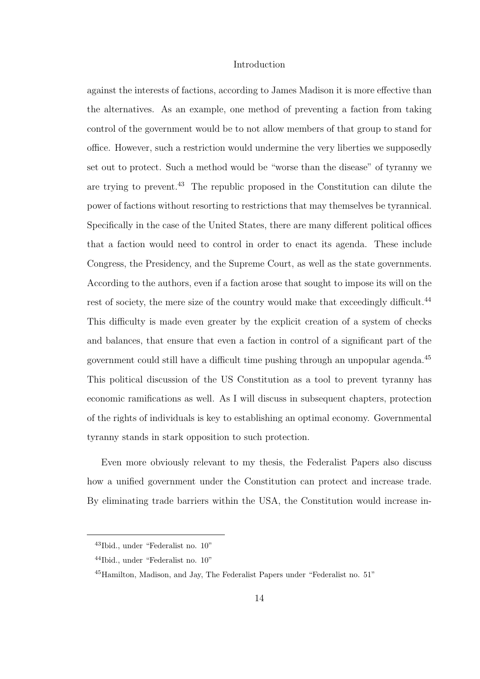against the interests of factions, according to James Madison it is more effective than the alternatives. As an example, one method of preventing a faction from taking control of the government would be to not allow members of that group to stand for office. However, such a restriction would undermine the very liberties we supposedly set out to protect. Such a method would be "worse than the disease" of tyranny we are trying to prevent.<sup>43</sup> The republic proposed in the Constitution can dilute the power of factions without resorting to restrictions that may themselves be tyrannical. Specifically in the case of the United States, there are many different political offices that a faction would need to control in order to enact its agenda. These include Congress, the Presidency, and the Supreme Court, as well as the state governments. According to the authors, even if a faction arose that sought to impose its will on the rest of society, the mere size of the country would make that exceedingly difficult.<sup>44</sup> This difficulty is made even greater by the explicit creation of a system of checks and balances, that ensure that even a faction in control of a significant part of the government could still have a difficult time pushing through an unpopular agenda.<sup>45</sup> This political discussion of the US Constitution as a tool to prevent tyranny has economic ramifications as well. As I will discuss in subsequent chapters, protection of the rights of individuals is key to establishing an optimal economy. Governmental tyranny stands in stark opposition to such protection.

Even more obviously relevant to my thesis, the Federalist Papers also discuss how a unified government under the Constitution can protect and increase trade. By eliminating trade barriers within the USA, the Constitution would increase in-

<sup>43</sup>Ibid., under "Federalist no. 10"

<sup>44</sup>Ibid., under "Federalist no. 10"

<sup>45</sup>Hamilton, Madison, and Jay, The Federalist Papers under "Federalist no. 51"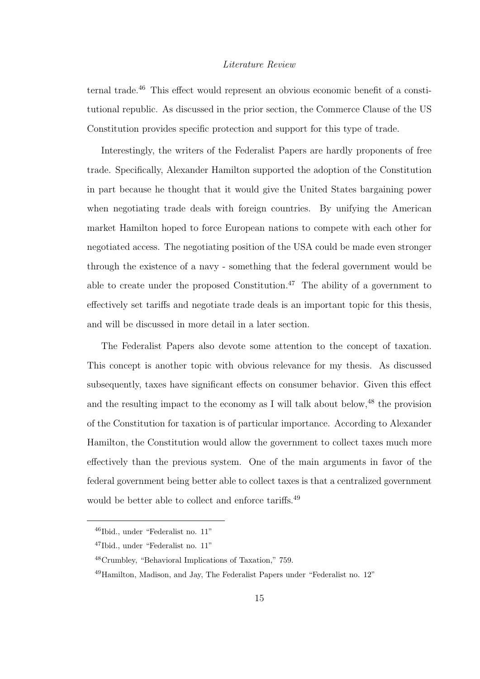ternal trade.<sup>46</sup> This effect would represent an obvious economic benefit of a constitutional republic. As discussed in the prior section, the Commerce Clause of the US Constitution provides specific protection and support for this type of trade.

Interestingly, the writers of the Federalist Papers are hardly proponents of free trade. Specifically, Alexander Hamilton supported the adoption of the Constitution in part because he thought that it would give the United States bargaining power when negotiating trade deals with foreign countries. By unifying the American market Hamilton hoped to force European nations to compete with each other for negotiated access. The negotiating position of the USA could be made even stronger through the existence of a navy - something that the federal government would be able to create under the proposed Constitution.<sup>47</sup> The ability of a government to effectively set tariffs and negotiate trade deals is an important topic for this thesis, and will be discussed in more detail in a later section.

The Federalist Papers also devote some attention to the concept of taxation. This concept is another topic with obvious relevance for my thesis. As discussed subsequently, taxes have significant effects on consumer behavior. Given this effect and the resulting impact to the economy as I will talk about below,  $48$  the provision of the Constitution for taxation is of particular importance. According to Alexander Hamilton, the Constitution would allow the government to collect taxes much more effectively than the previous system. One of the main arguments in favor of the federal government being better able to collect taxes is that a centralized government would be better able to collect and enforce tariffs.<sup>49</sup>

<sup>46</sup>Ibid., under "Federalist no. 11"

<sup>47</sup>Ibid., under "Federalist no. 11"

<sup>48</sup>Crumbley, "Behavioral Implications of Taxation," 759.

<sup>49</sup>Hamilton, Madison, and Jay, The Federalist Papers under "Federalist no. 12"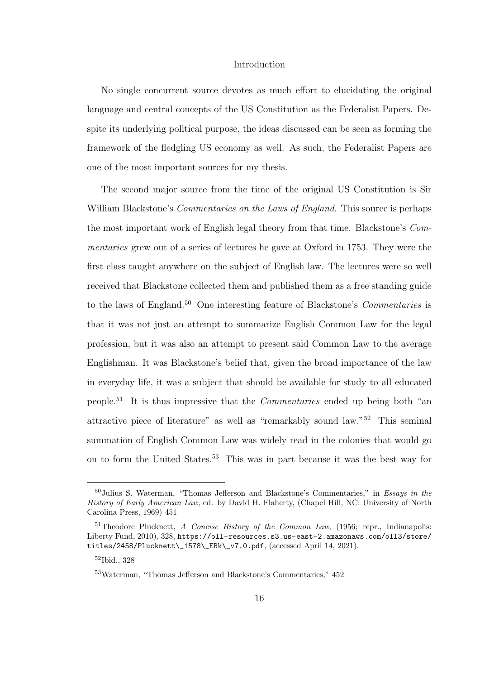No single concurrent source devotes as much effort to elucidating the original language and central concepts of the US Constitution as the Federalist Papers. Despite its underlying political purpose, the ideas discussed can be seen as forming the framework of the fledgling US economy as well. As such, the Federalist Papers are one of the most important sources for my thesis.

The second major source from the time of the original US Constitution is Sir William Blackstone's *Commentaries on the Laws of England*. This source is perhaps the most important work of English legal theory from that time. Blackstone's *Commentaries* grew out of a series of lectures he gave at Oxford in 1753. They were the first class taught anywhere on the subject of English law. The lectures were so well received that Blackstone collected them and published them as a free standing guide to the laws of England.<sup>50</sup> One interesting feature of Blackstone's *Commentaries* is that it was not just an attempt to summarize English Common Law for the legal profession, but it was also an attempt to present said Common Law to the average Englishman. It was Blackstone's belief that, given the broad importance of the law in everyday life, it was a subject that should be available for study to all educated people.<sup>51</sup> It is thus impressive that the *Commentaries* ended up being both "an attractive piece of literature" as well as "remarkably sound law."<sup>52</sup> This seminal summation of English Common Law was widely read in the colonies that would go on to form the United States.<sup>53</sup> This was in part because it was the best way for

 $50$ Julius S. Waterman, "Thomas Jefferson and Blackstone's Commentaries," in Essays in the History of Early American Law, ed. by David H. Flaherty, (Chapel Hill, NC: University of North Carolina Press, 1969) 451

 $51$ Theodore Plucknett, A Concise History of the Common Law, (1956; repr., Indianapolis: Liberty Fund, 2010), 328, https://oll-resources.s3.us-east-2.amazonaws.com/oll3/store/ titles/2458/Plucknett\\_1578\\_EBk\\_v7.0.pdf, (accessed April 14, 2021).

<sup>52</sup>Ibid., 328

 $^{53}\rm{Waterman},$  "Thomas Jefferson and Blackstone's Commentaries,"  $452$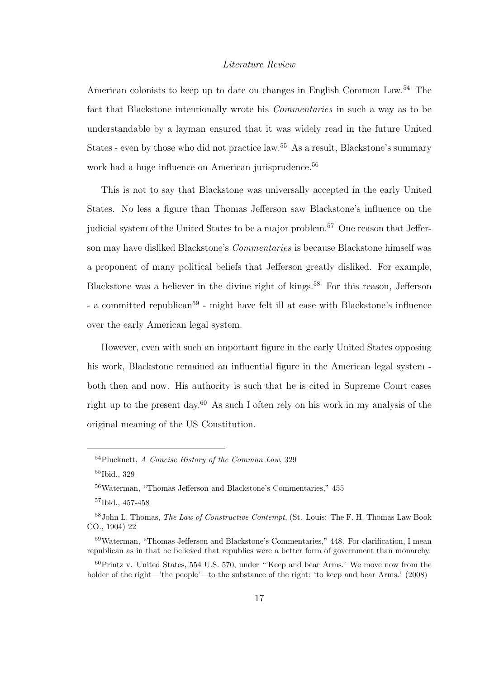American colonists to keep up to date on changes in English Common Law.<sup>54</sup> The fact that Blackstone intentionally wrote his *Commentaries* in such a way as to be understandable by a layman ensured that it was widely read in the future United States - even by those who did not practice law.<sup>55</sup> As a result, Blackstone's summary work had a huge influence on American jurisprudence.<sup>56</sup>

This is not to say that Blackstone was universally accepted in the early United States. No less a figure than Thomas Jefferson saw Blackstone's influence on the judicial system of the United States to be a major problem.<sup>57</sup> One reason that Jefferson may have disliked Blackstone's *Commentaries* is because Blackstone himself was a proponent of many political beliefs that Jefferson greatly disliked. For example, Blackstone was a believer in the divine right of kings.<sup>58</sup> For this reason, Jefferson - a committed republican<sup>59</sup> - might have felt ill at ease with Blackstone's influence over the early American legal system.

However, even with such an important figure in the early United States opposing his work, Blackstone remained an influential figure in the American legal system both then and now. His authority is such that he is cited in Supreme Court cases right up to the present day.<sup>60</sup> As such I often rely on his work in my analysis of the original meaning of the US Constitution.

<sup>54</sup>Plucknett, A Concise History of the Common Law, 329

<sup>55</sup>Ibid., 329

<sup>56</sup>Waterman, "Thomas Jefferson and Blackstone's Commentaries," 455

<sup>57</sup>Ibid., 457-458

<sup>&</sup>lt;sup>58</sup>John L. Thomas, *The Law of Constructive Contempt*, (St. Louis: The F. H. Thomas Law Book CO., 1904) 22

<sup>59</sup>Waterman, "Thomas Jefferson and Blackstone's Commentaries," 448. For clarification, I mean republican as in that he believed that republics were a better form of government than monarchy.

 $^{60}$ Printz v. United States, 554 U.S. 570, under "Keep and bear Arms.' We move now from the holder of the right—'the people'—to the substance of the right: 'to keep and bear Arms.' (2008)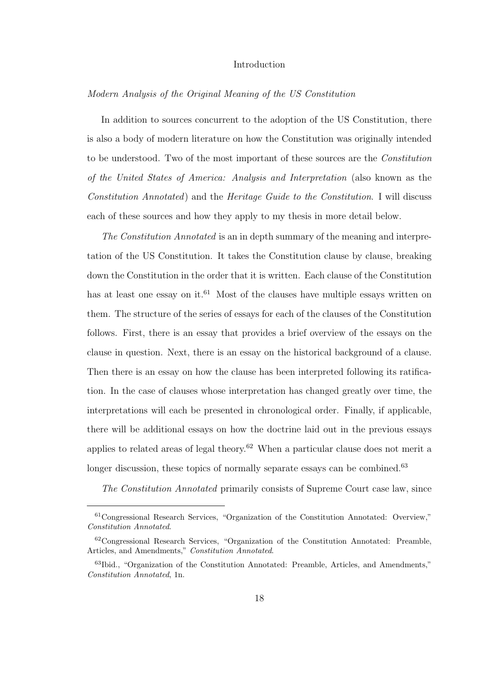#### *Modern Analysis of the Original Meaning of the US Constitution*

In addition to sources concurrent to the adoption of the US Constitution, there is also a body of modern literature on how the Constitution was originally intended to be understood. Two of the most important of these sources are the *Constitution of the United States of America: Analysis and Interpretation* (also known as the *Constitution Annotated*) and the *Heritage Guide to the Constitution*. I will discuss each of these sources and how they apply to my thesis in more detail below.

*The Constitution Annotated* is an in depth summary of the meaning and interpretation of the US Constitution. It takes the Constitution clause by clause, breaking down the Constitution in the order that it is written. Each clause of the Constitution has at least one essay on it.<sup>61</sup> Most of the clauses have multiple essays written on them. The structure of the series of essays for each of the clauses of the Constitution follows. First, there is an essay that provides a brief overview of the essays on the clause in question. Next, there is an essay on the historical background of a clause. Then there is an essay on how the clause has been interpreted following its ratification. In the case of clauses whose interpretation has changed greatly over time, the interpretations will each be presented in chronological order. Finally, if applicable, there will be additional essays on how the doctrine laid out in the previous essays applies to related areas of legal theory.<sup>62</sup> When a particular clause does not merit a longer discussion, these topics of normally separate essays can be combined.<sup>63</sup>

*The Constitution Annotated* primarily consists of Supreme Court case law, since

<sup>61</sup>Congressional Research Services, "Organization of the Constitution Annotated: Overview," Constitution Annotated.

<sup>62</sup>Congressional Research Services, "Organization of the Constitution Annotated: Preamble, Articles, and Amendments," Constitution Annotated.

<sup>63</sup>Ibid., "Organization of the Constitution Annotated: Preamble, Articles, and Amendments," Constitution Annotated, 1n.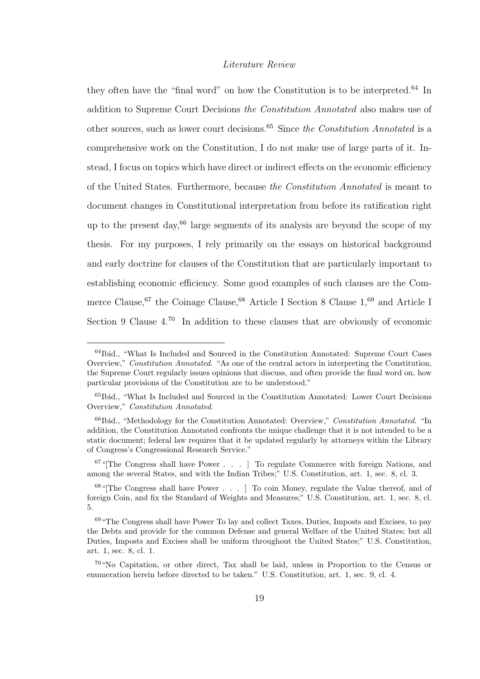they often have the "final word" on how the Constitution is to be interpreted.<sup>64</sup> In addition to Supreme Court Decisions *the Constitution Annotated* also makes use of other sources, such as lower court decisions.<sup>65</sup> Since *the Constitution Annotated* is a comprehensive work on the Constitution, I do not make use of large parts of it. Instead, I focus on topics which have direct or indirect effects on the economic efficiency of the United States. Furthermore, because *the Constitution Annotated* is meant to document changes in Constitutional interpretation from before its ratification right up to the present day,  $66 \text{ large segments of its analysis are beyond the scope of my}$ thesis. For my purposes, I rely primarily on the essays on historical background and early doctrine for clauses of the Constitution that are particularly important to establishing economic efficiency. Some good examples of such clauses are the Commerce Clause,  $67$  the Coinage Clause,  $68$  Article I Section 8 Clause  $1,69$  and Article I Section 9 Clause  $4^{70}$  In addition to these clauses that are obviously of economic

<sup>64</sup>Ibid., "What Is Included and Sourced in the Constitution Annotated: Supreme Court Cases Overview," Constitution Annotated. "As one of the central actors in interpreting the Constitution, the Supreme Court regularly issues opinions that discuss, and often provide the final word on, how particular provisions of the Constitution are to be understood."

<sup>65</sup>Ibid., "What Is Included and Sourced in the Constitution Annotated: Lower Court Decisions Overview," Constitution Annotated.

<sup>&</sup>lt;sup>66</sup>Ibid., "Methodology for the Constitution Annotated: Overview," Constitution Annotated. "In addition, the Constitution Annotated confronts the unique challenge that it is not intended to be a static document; federal law requires that it be updated regularly by attorneys within the Library of Congress's Congressional Research Service."

 $67$ "[The Congress shall have Power . . . ] To regulate Commerce with foreign Nations, and among the several States, and with the Indian Tribes;" U.S. Constitution, art. 1, sec. 8, cl. 3.

<sup>68</sup>"[The Congress shall have Power . . . ] To coin Money, regulate the Value thereof, and of foreign Coin, and fix the Standard of Weights and Measures;" U.S. Constitution, art. 1, sec. 8, cl. 5.

<sup>&</sup>lt;sup>69</sup> "The Congress shall have Power To lay and collect Taxes, Duties, Imposts and Excises, to pay the Debts and provide for the common Defense and general Welfare of the United States; but all Duties, Imposts and Excises shall be uniform throughout the United States;" U.S. Constitution, art. 1, sec. 8, cl. 1.

<sup>70</sup>"No Capitation, or other direct, Tax shall be laid, unless in Proportion to the Census or enumeration herein before directed to be taken." U.S. Constitution, art. 1, sec. 9, cl. 4.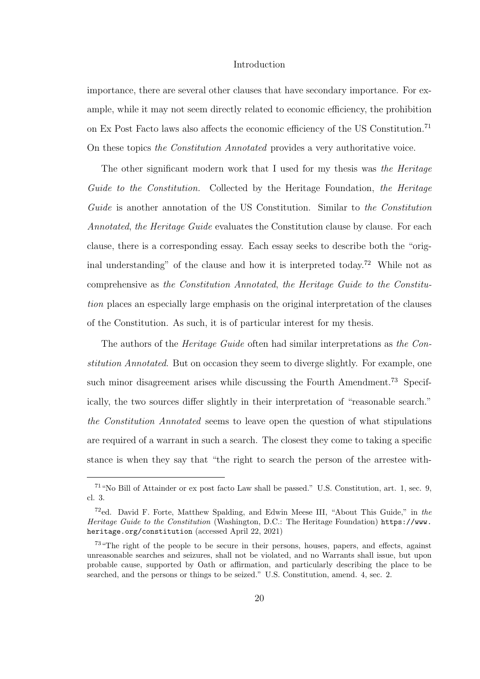importance, there are several other clauses that have secondary importance. For example, while it may not seem directly related to economic efficiency, the prohibition on Ex Post Facto laws also affects the economic efficiency of the US Constitution.<sup>71</sup> On these topics *the Constitution Annotated* provides a very authoritative voice.

The other significant modern work that I used for my thesis was *the Heritage Guide to the Constitution.* Collected by the Heritage Foundation, *the Heritage Guide* is another annotation of the US Constitution. Similar to *the Constitution Annotated*, *the Heritage Guide* evaluates the Constitution clause by clause. For each clause, there is a corresponding essay. Each essay seeks to describe both the "original understanding" of the clause and how it is interpreted today.<sup>72</sup> While not as comprehensive as *the Constitution Annotated*, *the Heritage Guide to the Constitution* places an especially large emphasis on the original interpretation of the clauses of the Constitution. As such, it is of particular interest for my thesis.

The authors of the *Heritage Guide* often had similar interpretations as *the Constitution Annotated*. But on occasion they seem to diverge slightly. For example, one such minor disagreement arises while discussing the Fourth Amendment.<sup>73</sup> Specifically, the two sources differ slightly in their interpretation of "reasonable search." *the Constitution Annotated* seems to leave open the question of what stipulations are required of a warrant in such a search. The closest they come to taking a specific stance is when they say that "the right to search the person of the arrestee with-

<sup>71</sup>"No Bill of Attainder or ex post facto Law shall be passed." U.S. Constitution, art. 1, sec. 9, cl. 3.

<sup>&</sup>lt;sup>72</sup>ed. David F. Forte, Matthew Spalding, and Edwin Meese III, "About This Guide," in the Heritage Guide to the Constitution (Washington, D.C.: The Heritage Foundation) https://www. heritage.org/constitution (accessed April 22, 2021)

<sup>73</sup>"The right of the people to be secure in their persons, houses, papers, and effects, against unreasonable searches and seizures, shall not be violated, and no Warrants shall issue, but upon probable cause, supported by Oath or affirmation, and particularly describing the place to be searched, and the persons or things to be seized." U.S. Constitution, amend. 4, sec. 2.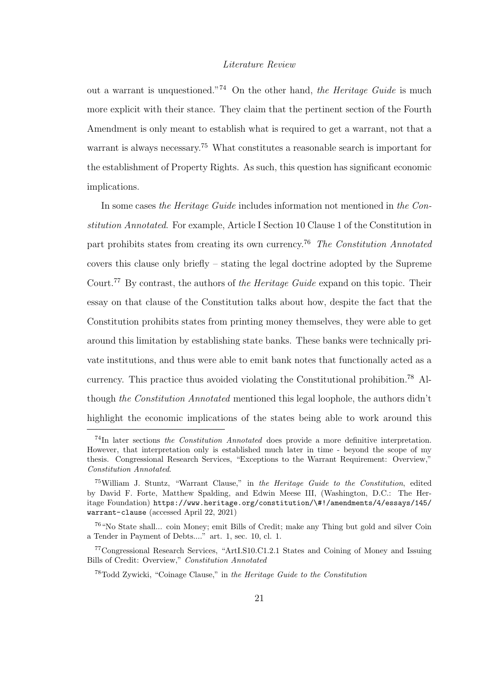out a warrant is unquestioned."<sup>74</sup> On the other hand, *the Heritage Guide* is much more explicit with their stance. They claim that the pertinent section of the Fourth Amendment is only meant to establish what is required to get a warrant, not that a warrant is always necessary.<sup>75</sup> What constitutes a reasonable search is important for the establishment of Property Rights. As such, this question has significant economic implications.

In some cases *the Heritage Guide* includes information not mentioned in *the Constitution Annotated*. For example, Article I Section 10 Clause 1 of the Constitution in part prohibits states from creating its own currency.<sup>76</sup> *The Constitution Annotated* covers this clause only briefly – stating the legal doctrine adopted by the Supreme Court.<sup>77</sup> By contrast, the authors of *the Heritage Guide* expand on this topic. Their essay on that clause of the Constitution talks about how, despite the fact that the Constitution prohibits states from printing money themselves, they were able to get around this limitation by establishing state banks. These banks were technically private institutions, and thus were able to emit bank notes that functionally acted as a currency. This practice thus avoided violating the Constitutional prohibition. <sup>78</sup> Although *the Constitution Annotated* mentioned this legal loophole, the authors didn't highlight the economic implications of the states being able to work around this

<sup>74</sup>In later sections the Constitution Annotated does provide a more definitive interpretation. However, that interpretation only is established much later in time - beyond the scope of my thesis. Congressional Research Services, "Exceptions to the Warrant Requirement: Overview," Constitution Annotated.

<sup>75</sup>William J. Stuntz, "Warrant Clause," in the Heritage Guide to the Constitution, edited by David F. Forte, Matthew Spalding, and Edwin Meese III, (Washington, D.C.: The Heritage Foundation) https://www.heritage.org/constitution/\#!/amendments/4/essays/145/ warrant-clause (accessed April 22, 2021)

<sup>76</sup>"No State shall... coin Money; emit Bills of Credit; make any Thing but gold and silver Coin a Tender in Payment of Debts...." art. 1, sec. 10, cl. 1.

<sup>77</sup>Congressional Research Services, "ArtI.S10.C1.2.1 States and Coining of Money and Issuing Bills of Credit: Overview," Constitution Annotated

<sup>78</sup>Todd Zywicki, "Coinage Clause," in the Heritage Guide to the Constitution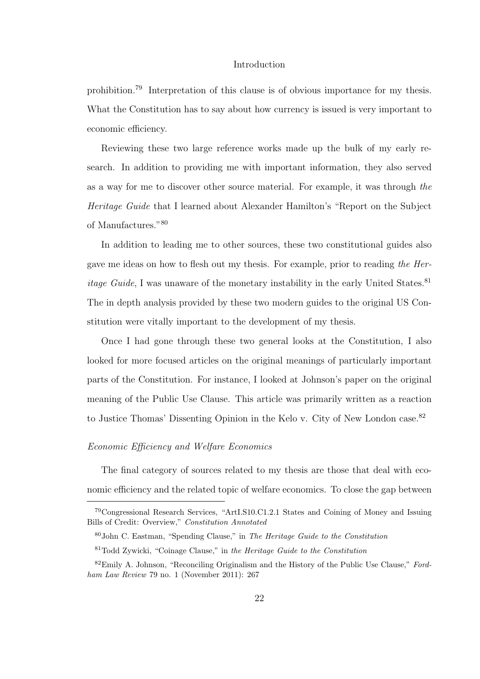prohibition.<sup>79</sup> Interpretation of this clause is of obvious importance for my thesis. What the Constitution has to say about how currency is issued is very important to economic efficiency.

Reviewing these two large reference works made up the bulk of my early research. In addition to providing me with important information, they also served as a way for me to discover other source material. For example, it was through *the Heritage Guide* that I learned about Alexander Hamilton's "Report on the Subject of Manufactures."<sup>80</sup>

In addition to leading me to other sources, these two constitutional guides also gave me ideas on how to flesh out my thesis. For example, prior to reading *the Heritage Guide*, I was unaware of the monetary instability in the early United States.<sup>81</sup> The in depth analysis provided by these two modern guides to the original US Constitution were vitally important to the development of my thesis.

Once I had gone through these two general looks at the Constitution, I also looked for more focused articles on the original meanings of particularly important parts of the Constitution. For instance, I looked at Johnson's paper on the original meaning of the Public Use Clause. This article was primarily written as a reaction to Justice Thomas' Dissenting Opinion in the Kelo v. City of New London case.<sup>82</sup>

#### *Economic E*ffi*ciency and Welfare Economics*

The final category of sources related to my thesis are those that deal with economic efficiency and the related topic of welfare economics. To close the gap between

<sup>79</sup>Congressional Research Services, "ArtI.S10.C1.2.1 States and Coining of Money and Issuing Bills of Credit: Overview," Constitution Annotated

<sup>80</sup>John C. Eastman, "Spending Clause," in The Heritage Guide to the Constitution

 $81$ Todd Zywicki, "Coinage Clause," in the Heritage Guide to the Constitution

 $82$ Emily A. Johnson, "Reconciling Originalism and the History of the Public Use Clause," Fordham Law Review 79 no. 1 (November 2011): 267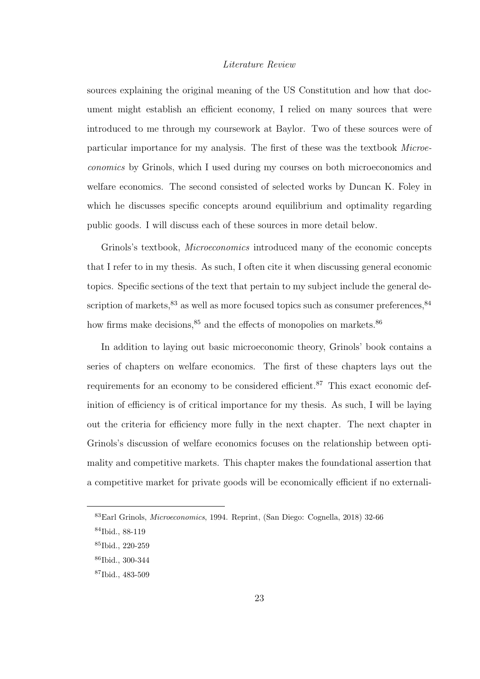sources explaining the original meaning of the US Constitution and how that document might establish an efficient economy, I relied on many sources that were introduced to me through my coursework at Baylor. Two of these sources were of particular importance for my analysis. The first of these was the textbook *Microeconomics* by Grinols, which I used during my courses on both microeconomics and welfare economics. The second consisted of selected works by Duncan K. Foley in which he discusses specific concepts around equilibrium and optimality regarding public goods. I will discuss each of these sources in more detail below.

Grinols's textbook, *Microeconomics* introduced many of the economic concepts that I refer to in my thesis. As such, I often cite it when discussing general economic topics. Specific sections of the text that pertain to my subject include the general description of markets,  $83$  as well as more focused topics such as consumer preferences,  $84$ how firms make decisions,  $85$  and the effects of monopolies on markets.  $86$ 

In addition to laying out basic microeconomic theory, Grinols' book contains a series of chapters on welfare economics. The first of these chapters lays out the requirements for an economy to be considered efficient.<sup>87</sup> This exact economic definition of efficiency is of critical importance for my thesis. As such, I will be laying out the criteria for efficiency more fully in the next chapter. The next chapter in Grinols's discussion of welfare economics focuses on the relationship between optimality and competitive markets. This chapter makes the foundational assertion that a competitive market for private goods will be economically efficient if no externali-

<sup>83</sup>Earl Grinols, Microeconomics, 1994. Reprint, (San Diego: Cognella, 2018) 32-66

<sup>84</sup>Ibid., 88-119

<sup>85</sup>Ibid., 220-259

<sup>86</sup>Ibid., 300-344

<sup>87</sup>Ibid., 483-509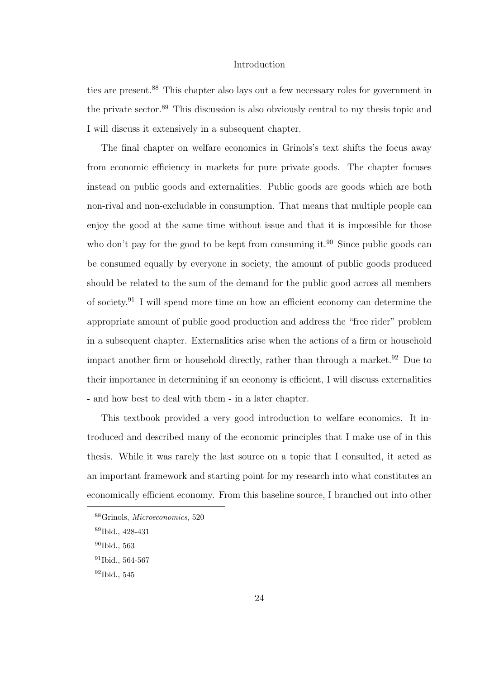ties are present.<sup>88</sup> This chapter also lays out a few necessary roles for government in the private sector.<sup>89</sup> This discussion is also obviously central to my thesis topic and I will discuss it extensively in a subsequent chapter.

The final chapter on welfare economics in Grinols's text shifts the focus away from economic efficiency in markets for pure private goods. The chapter focuses instead on public goods and externalities. Public goods are goods which are both non-rival and non-excludable in consumption. That means that multiple people can enjoy the good at the same time without issue and that it is impossible for those who don't pay for the good to be kept from consuming it.<sup>90</sup> Since public goods can be consumed equally by everyone in society, the amount of public goods produced should be related to the sum of the demand for the public good across all members of society.<sup>91</sup> I will spend more time on how an efficient economy can determine the appropriate amount of public good production and address the "free rider" problem in a subsequent chapter. Externalities arise when the actions of a firm or household impact another firm or household directly, rather than through a market.<sup>92</sup> Due to their importance in determining if an economy is efficient, I will discuss externalities - and how best to deal with them - in a later chapter.

This textbook provided a very good introduction to welfare economics. It introduced and described many of the economic principles that I make use of in this thesis. While it was rarely the last source on a topic that I consulted, it acted as an important framework and starting point for my research into what constitutes an economically efficient economy. From this baseline source, I branched out into other

<sup>88</sup>Grinols, Microeconomics, 520

<sup>89</sup>Ibid., 428-431

<sup>90</sup>Ibid., 563

<sup>91</sup>Ibid., 564-567

<sup>92</sup>Ibid., 545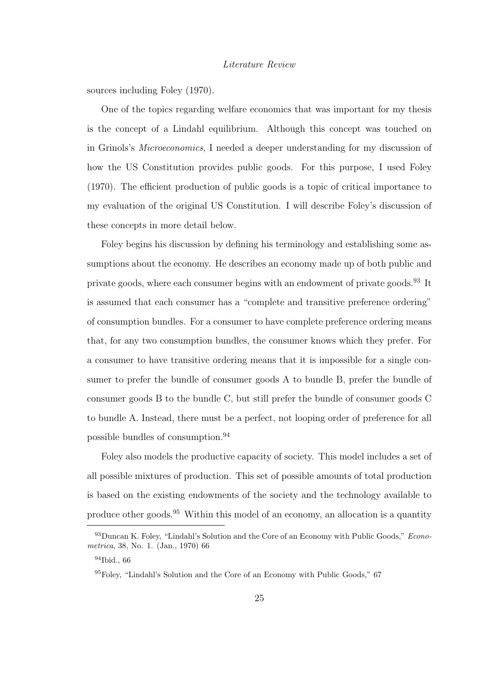sources including Foley (1970).

One of the topics regarding welfare economics that was important for my thesis is the concept of a Lindahl equilibrium. Although this concept was touched on in Grinols's *Microeconomics*, I needed a deeper understanding for my discussion of how the US Constitution provides public goods. For this purpose, I used Foley (1970). The efficient production of public goods is a topic of critical importance to my evaluation of the original US Constitution. I will describe Foley's discussion of these concepts in more detail below.

Foley begins his discussion by defining his terminology and establishing some assumptions about the economy. He describes an economy made up of both public and private goods, where each consumer begins with an endowment of private goods.<sup>93</sup> It is assumed that each consumer has a "complete and transitive preference ordering" of consumption bundles. For a consumer to have complete preference ordering means that, for any two consumption bundles, the consumer knows which they prefer. For a consumer to have transitive ordering means that it is impossible for a single consumer to prefer the bundle of consumer goods A to bundle B, prefer the bundle of consumer goods B to the bundle C, but still prefer the bundle of consumer goods C to bundle A. Instead, there must be a perfect, not looping order of preference for all possible bundles of consumption.<sup>94</sup>

Foley also models the productive capacity of society. This model includes a set of all possible mixtures of production. This set of possible amounts of total production is based on the existing endowments of the society and the technology available to produce other goods.<sup>95</sup> Within this model of an economy, an allocation is a quantity

 $^{93}$ Duncan K. Foley, "Lindahl's Solution and the Core of an Economy with Public Goods," Econometrica, 38, No. 1. (Jan., 1970) 66

<sup>94</sup>Ibid., 66

<sup>95</sup>Foley, "Lindahl's Solution and the Core of an Economy with Public Goods," 67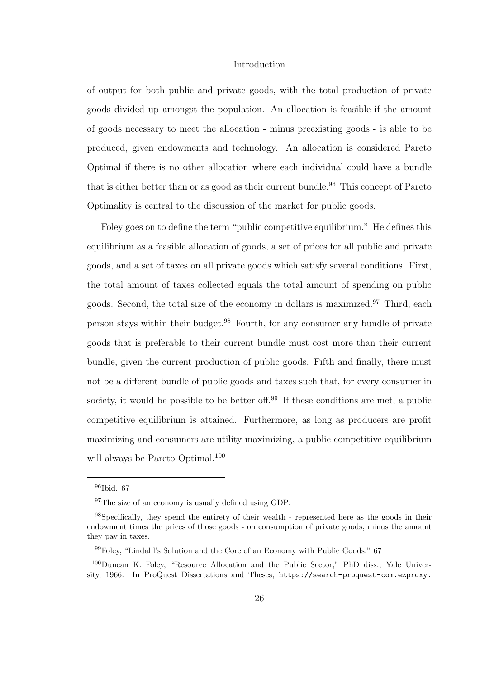of output for both public and private goods, with the total production of private goods divided up amongst the population. An allocation is feasible if the amount of goods necessary to meet the allocation - minus preexisting goods - is able to be produced, given endowments and technology. An allocation is considered Pareto Optimal if there is no other allocation where each individual could have a bundle that is either better than or as good as their current bundle.<sup>96</sup> This concept of Pareto Optimality is central to the discussion of the market for public goods.

Foley goes on to define the term "public competitive equilibrium." He defines this equilibrium as a feasible allocation of goods, a set of prices for all public and private goods, and a set of taxes on all private goods which satisfy several conditions. First, the total amount of taxes collected equals the total amount of spending on public goods. Second, the total size of the economy in dollars is maximized.<sup>97</sup> Third, each person stays within their budget.<sup>98</sup> Fourth, for any consumer any bundle of private goods that is preferable to their current bundle must cost more than their current bundle, given the current production of public goods. Fifth and finally, there must not be a different bundle of public goods and taxes such that, for every consumer in society, it would be possible to be better off.<sup>99</sup> If these conditions are met, a public competitive equilibrium is attained. Furthermore, as long as producers are profit maximizing and consumers are utility maximizing, a public competitive equilibrium will always be Pareto Optimal.<sup>100</sup>

<sup>96</sup>Ibid. 67

<sup>&</sup>lt;sup>97</sup>The size of an economy is usually defined using GDP.

<sup>98</sup>Specifically, they spend the entirety of their wealth - represented here as the goods in their endowment times the prices of those goods - on consumption of private goods, minus the amount they pay in taxes.

<sup>99</sup>Foley, "Lindahl's Solution and the Core of an Economy with Public Goods," 67

<sup>100</sup>Duncan K. Foley, "Resource Allocation and the Public Sector," PhD diss., Yale University, 1966. In ProQuest Dissertations and Theses, https://search-proquest-com.ezproxy.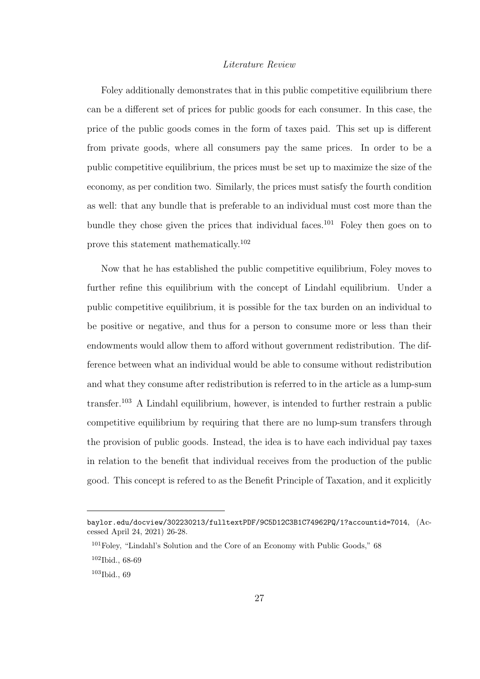Foley additionally demonstrates that in this public competitive equilibrium there can be a different set of prices for public goods for each consumer. In this case, the price of the public goods comes in the form of taxes paid. This set up is different from private goods, where all consumers pay the same prices. In order to be a public competitive equilibrium, the prices must be set up to maximize the size of the economy, as per condition two. Similarly, the prices must satisfy the fourth condition as well: that any bundle that is preferable to an individual must cost more than the bundle they chose given the prices that individual faces.<sup>101</sup> Foley then goes on to prove this statement mathematically.<sup>102</sup>

Now that he has established the public competitive equilibrium, Foley moves to further refine this equilibrium with the concept of Lindahl equilibrium. Under a public competitive equilibrium, it is possible for the tax burden on an individual to be positive or negative, and thus for a person to consume more or less than their endowments would allow them to afford without government redistribution. The difference between what an individual would be able to consume without redistribution and what they consume after redistribution is referred to in the article as a lump-sum transfer.<sup>103</sup> A Lindahl equilibrium, however, is intended to further restrain a public competitive equilibrium by requiring that there are no lump-sum transfers through the provision of public goods. Instead, the idea is to have each individual pay taxes in relation to the benefit that individual receives from the production of the public good. This concept is refered to as the Benefit Principle of Taxation, and it explicitly

baylor.edu/docview/302230213/fulltextPDF/9C5D12C3B1C74962PQ/1?accountid=7014, (Accessed April 24, 2021) 26-28.

<sup>&</sup>lt;sup>101</sup>Foley, "Lindahl's Solution and the Core of an Economy with Public Goods," 68

<sup>102</sup>Ibid., 68-69

<sup>103</sup>Ibid., 69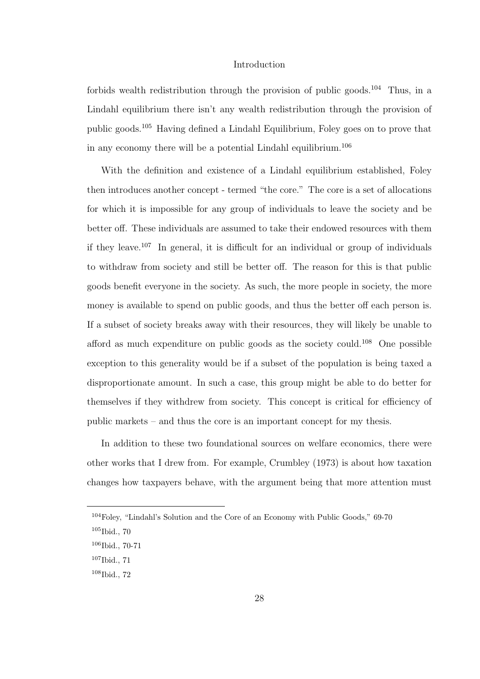forbids wealth redistribution through the provision of public goods.<sup>104</sup> Thus, in a Lindahl equilibrium there isn't any wealth redistribution through the provision of public goods.<sup>105</sup> Having defined a Lindahl Equilibrium, Foley goes on to prove that in any economy there will be a potential Lindahl equilibrium.<sup>106</sup>

With the definition and existence of a Lindahl equilibrium established, Foley then introduces another concept - termed "the core." The core is a set of allocations for which it is impossible for any group of individuals to leave the society and be better off. These individuals are assumed to take their endowed resources with them if they leave.<sup>107</sup> In general, it is difficult for an individual or group of individuals to withdraw from society and still be better off. The reason for this is that public goods benefit everyone in the society. As such, the more people in society, the more money is available to spend on public goods, and thus the better off each person is. If a subset of society breaks away with their resources, they will likely be unable to afford as much expenditure on public goods as the society could.<sup>108</sup> One possible exception to this generality would be if a subset of the population is being taxed a disproportionate amount. In such a case, this group might be able to do better for themselves if they withdrew from society. This concept is critical for efficiency of public markets – and thus the core is an important concept for my thesis.

In addition to these two foundational sources on welfare economics, there were other works that I drew from. For example, Crumbley (1973) is about how taxation changes how taxpayers behave, with the argument being that more attention must

<sup>104</sup>Foley, "Lindahl's Solution and the Core of an Economy with Public Goods," 69-70

 $105$ Ibid., 70

 $106$ Ibid., 70-71

<sup>107</sup>Ibid., 71

<sup>108</sup>Ibid., 72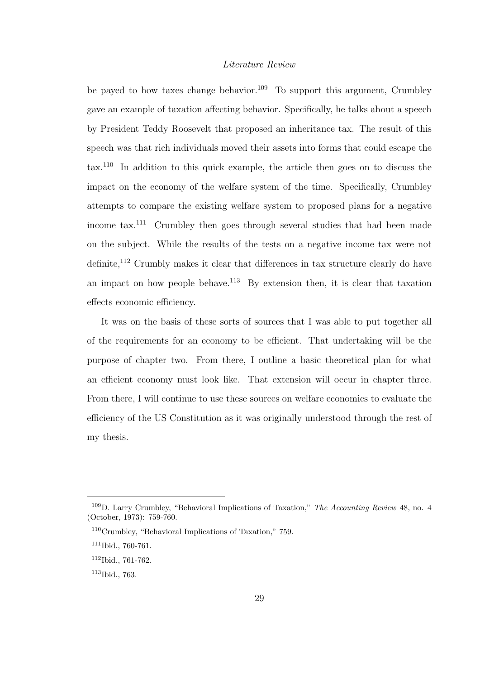be payed to how taxes change behavior.<sup>109</sup> To support this argument, Crumbley gave an example of taxation affecting behavior. Specifically, he talks about a speech by President Teddy Roosevelt that proposed an inheritance tax. The result of this speech was that rich individuals moved their assets into forms that could escape the tax.<sup>110</sup> In addition to this quick example, the article then goes on to discuss the impact on the economy of the welfare system of the time. Specifically, Crumbley attempts to compare the existing welfare system to proposed plans for a negative income tax.<sup>111</sup> Crumbley then goes through several studies that had been made on the subject. While the results of the tests on a negative income tax were not definite,<sup>112</sup> Crumbly makes it clear that differences in tax structure clearly do have an impact on how people behave.<sup>113</sup> By extension then, it is clear that taxation effects economic efficiency.

It was on the basis of these sorts of sources that I was able to put together all of the requirements for an economy to be efficient. That undertaking will be the purpose of chapter two. From there, I outline a basic theoretical plan for what an efficient economy must look like. That extension will occur in chapter three. From there, I will continue to use these sources on welfare economics to evaluate the efficiency of the US Constitution as it was originally understood through the rest of my thesis.

<sup>109</sup>D. Larry Crumbley, "Behavioral Implications of Taxation," The Accounting Review 48, no. 4 (October, 1973): 759-760.

<sup>110</sup>Crumbley, "Behavioral Implications of Taxation," 759.

 $111$ Ibid., 760-761.

<sup>112</sup>Ibid., 761-762.

<sup>113</sup>Ibid., 763.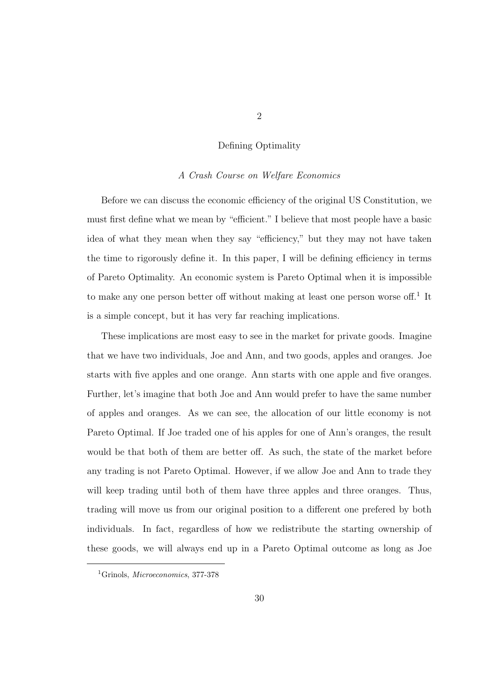#### Defining Optimality

#### *A Crash Course on Welfare Economics*

Before we can discuss the economic efficiency of the original US Constitution, we must first define what we mean by "efficient." I believe that most people have a basic idea of what they mean when they say "efficiency," but they may not have taken the time to rigorously define it. In this paper, I will be defining efficiency in terms of Pareto Optimality. An economic system is Pareto Optimal when it is impossible to make any one person better off without making at least one person worse off.<sup>1</sup> It is a simple concept, but it has very far reaching implications.

These implications are most easy to see in the market for private goods. Imagine that we have two individuals, Joe and Ann, and two goods, apples and oranges. Joe starts with five apples and one orange. Ann starts with one apple and five oranges. Further, let's imagine that both Joe and Ann would prefer to have the same number of apples and oranges. As we can see, the allocation of our little economy is not Pareto Optimal. If Joe traded one of his apples for one of Ann's oranges, the result would be that both of them are better off. As such, the state of the market before any trading is not Pareto Optimal. However, if we allow Joe and Ann to trade they will keep trading until both of them have three apples and three oranges. Thus, trading will move us from our original position to a different one prefered by both individuals. In fact, regardless of how we redistribute the starting ownership of these goods, we will always end up in a Pareto Optimal outcome as long as Joe

<sup>&</sup>lt;sup>1</sup>Grinols, *Microeconomics*, 377-378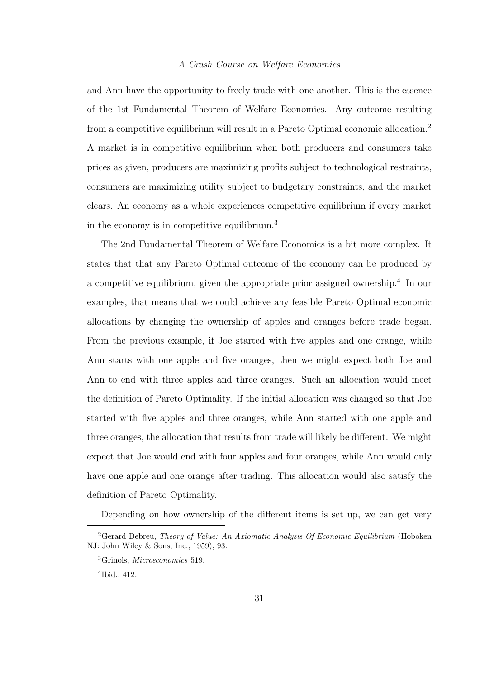#### *A Crash Course on Welfare Economics*

and Ann have the opportunity to freely trade with one another. This is the essence of the 1st Fundamental Theorem of Welfare Economics. Any outcome resulting from a competitive equilibrium will result in a Pareto Optimal economic allocation.<sup>2</sup> A market is in competitive equilibrium when both producers and consumers take prices as given, producers are maximizing profits subject to technological restraints, consumers are maximizing utility subject to budgetary constraints, and the market clears. An economy as a whole experiences competitive equilibrium if every market in the economy is in competitive equilibrium.<sup>3</sup>

The 2nd Fundamental Theorem of Welfare Economics is a bit more complex. It states that that any Pareto Optimal outcome of the economy can be produced by a competitive equilibrium, given the appropriate prior assigned ownership.<sup>4</sup> In our examples, that means that we could achieve any feasible Pareto Optimal economic allocations by changing the ownership of apples and oranges before trade began. From the previous example, if Joe started with five apples and one orange, while Ann starts with one apple and five oranges, then we might expect both Joe and Ann to end with three apples and three oranges. Such an allocation would meet the definition of Pareto Optimality. If the initial allocation was changed so that Joe started with five apples and three oranges, while Ann started with one apple and three oranges, the allocation that results from trade will likely be different. We might expect that Joe would end with four apples and four oranges, while Ann would only have one apple and one orange after trading. This allocation would also satisfy the definition of Pareto Optimality.

Depending on how ownership of the different items is set up, we can get very

<sup>&</sup>lt;sup>2</sup>Gerard Debreu, *Theory of Value: An Axiomatic Analysis Of Economic Equilibrium* (Hoboken NJ: John Wiley & Sons, Inc., 1959), 93.

<sup>3</sup>Grinols, Microeconomics 519.

<sup>4</sup> Ibid., 412.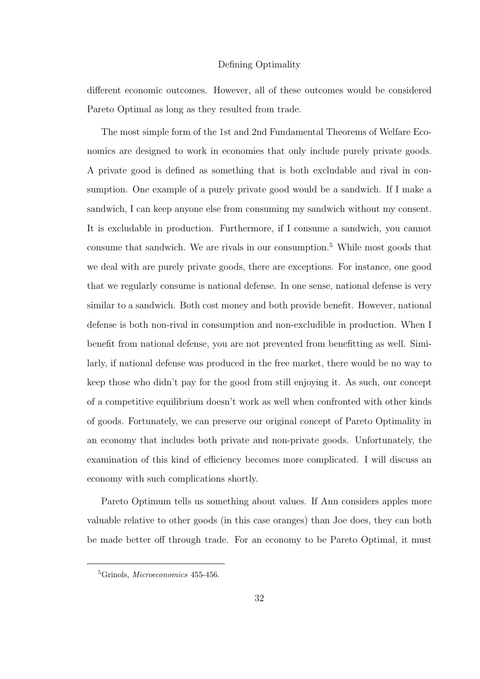#### Defining Optimality

different economic outcomes. However, all of these outcomes would be considered Pareto Optimal as long as they resulted from trade.

The most simple form of the 1st and 2nd Fundamental Theorems of Welfare Economics are designed to work in economies that only include purely private goods. A private good is defined as something that is both excludable and rival in consumption. One example of a purely private good would be a sandwich. If I make a sandwich, I can keep anyone else from consuming my sandwich without my consent. It is excludable in production. Furthermore, if I consume a sandwich, you cannot consume that sandwich. We are rivals in our consumption.<sup>5</sup> While most goods that we deal with are purely private goods, there are exceptions. For instance, one good that we regularly consume is national defense. In one sense, national defense is very similar to a sandwich. Both cost money and both provide benefit. However, national defense is both non-rival in consumption and non-excludible in production. When I benefit from national defense, you are not prevented from benefitting as well. Similarly, if national defense was produced in the free market, there would be no way to keep those who didn't pay for the good from still enjoying it. As such, our concept of a competitive equilibrium doesn't work as well when confronted with other kinds of goods. Fortunately, we can preserve our original concept of Pareto Optimality in an economy that includes both private and non-private goods. Unfortunately, the examination of this kind of efficiency becomes more complicated. I will discuss an economy with such complications shortly.

Pareto Optimum tells us something about values. If Ann considers apples more valuable relative to other goods (in this case oranges) than Joe does, they can both be made better off through trade. For an economy to be Pareto Optimal, it must

<sup>5</sup>Grinols, Microeconomics 455-456.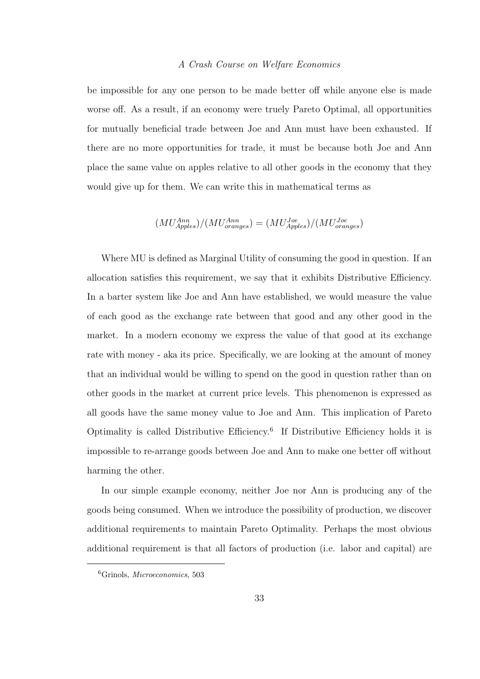#### *A Crash Course on Welfare Economics*

be impossible for any one person to be made better off while anyone else is made worse off. As a result, if an economy were truely Pareto Optimal, all opportunities for mutually beneficial trade between Joe and Ann must have been exhausted. If there are no more opportunities for trade, it must be because both Joe and Ann place the same value on apples relative to all other goods in the economy that they would give up for them. We can write this in mathematical terms as

$$
(MU_{\textit{Apples}}^{\textit{Ann}})/(MU_{\textit{orange}}^{\textit{Ann}}) = (MU_{\textit{Apples}}^{\textit{Joe}})/(MU_{\textit{orange}}^{\textit{Joe}})
$$

Where MU is defined as Marginal Utility of consuming the good in question. If an allocation satisfies this requirement, we say that it exhibits Distributive Efficiency. In a barter system like Joe and Ann have established, we would measure the value of each good as the exchange rate between that good and any other good in the market. In a modern economy we express the value of that good at its exchange rate with money - aka its price. Specifically, we are looking at the amount of money that an individual would be willing to spend on the good in question rather than on other goods in the market at current price levels. This phenomenon is expressed as all goods have the same money value to Joe and Ann. This implication of Pareto Optimality is called Distributive Efficiency.<sup>6</sup> If Distributive Efficiency holds it is impossible to re-arrange goods between Joe and Ann to make one better off without harming the other.

In our simple example economy, neither Joe nor Ann is producing any of the goods being consumed. When we introduce the possibility of production, we discover additional requirements to maintain Pareto Optimality. Perhaps the most obvious additional requirement is that all factors of production (i.e. labor and capital) are

<sup>6</sup>Grinols, Microeconomics, 503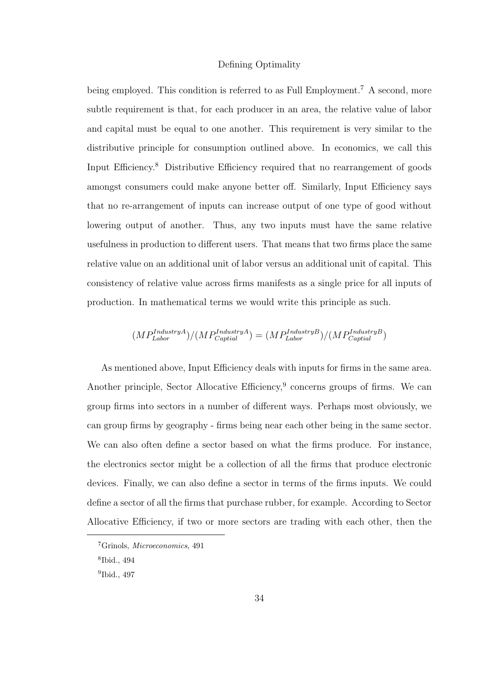#### Defining Optimality

being employed. This condition is referred to as Full Employment.<sup>7</sup> A second, more subtle requirement is that, for each producer in an area, the relative value of labor and capital must be equal to one another. This requirement is very similar to the distributive principle for consumption outlined above. In economics, we call this Input Efficiency.<sup>8</sup> Distributive Efficiency required that no rearrangement of goods amongst consumers could make anyone better off. Similarly, Input Efficiency says that no re-arrangement of inputs can increase output of one type of good without lowering output of another. Thus, any two inputs must have the same relative usefulness in production to different users. That means that two firms place the same relative value on an additional unit of labor versus an additional unit of capital. This consistency of relative value across firms manifests as a single price for all inputs of production. In mathematical terms we would write this principle as such.

$$
(MP_{Labor}^{IndustryA})/(MP_{Capital}^{IndustryA}) = (MP_{Labor}^{IndustryB})/(MP_{Capital}^{IndustryB})
$$

As mentioned above, Input Efficiency deals with inputs for firms in the same area. Another principle, Sector Allocative Efficiency,<sup>9</sup> concerns groups of firms. We can group firms into sectors in a number of different ways. Perhaps most obviously, we can group firms by geography - firms being near each other being in the same sector. We can also often define a sector based on what the firms produce. For instance, the electronics sector might be a collection of all the firms that produce electronic devices. Finally, we can also define a sector in terms of the firms inputs. We could define a sector of all the firms that purchase rubber, for example. According to Sector Allocative Efficiency, if two or more sectors are trading with each other, then the

<sup>7</sup>Grinols, Microeconomics, 491

<sup>8</sup> Ibid., 494

<sup>9</sup> Ibid., 497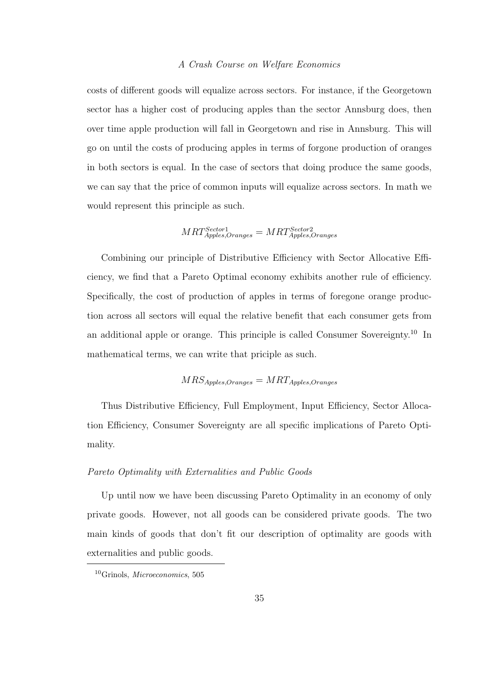#### *A Crash Course on Welfare Economics*

costs of different goods will equalize across sectors. For instance, if the Georgetown sector has a higher cost of producing apples than the sector Annsburg does, then over time apple production will fall in Georgetown and rise in Annsburg. This will go on until the costs of producing apples in terms of forgone production of oranges in both sectors is equal. In the case of sectors that doing produce the same goods, we can say that the price of common inputs will equalize across sectors. In math we would represent this principle as such.

$$
MRT_{\text{Apples},Oranges}^{Sector1} = MRT_{\text{Apples},Oranges}^{Sector2}
$$

Combining our principle of Distributive Efficiency with Sector Allocative Efficiency, we find that a Pareto Optimal economy exhibits another rule of efficiency. Specifically, the cost of production of apples in terms of foregone orange production across all sectors will equal the relative benefit that each consumer gets from an additional apple or orange. This principle is called Consumer Sovereignty.<sup>10</sup> In mathematical terms, we can write that priciple as such.

# $MRS_{\text{Apples},\text{Oranges}} = MRT_{\text{Apples},\text{Oranges}}$

Thus Distributive Efficiency, Full Employment, Input Efficiency, Sector Allocation Efficiency, Consumer Sovereignty are all specific implications of Pareto Optimality.

# *Pareto Optimality with Externalities and Public Goods*

Up until now we have been discussing Pareto Optimality in an economy of only private goods. However, not all goods can be considered private goods. The two main kinds of goods that don't fit our description of optimality are goods with externalities and public goods.

<sup>10</sup>Grinols, Microeconomics, 505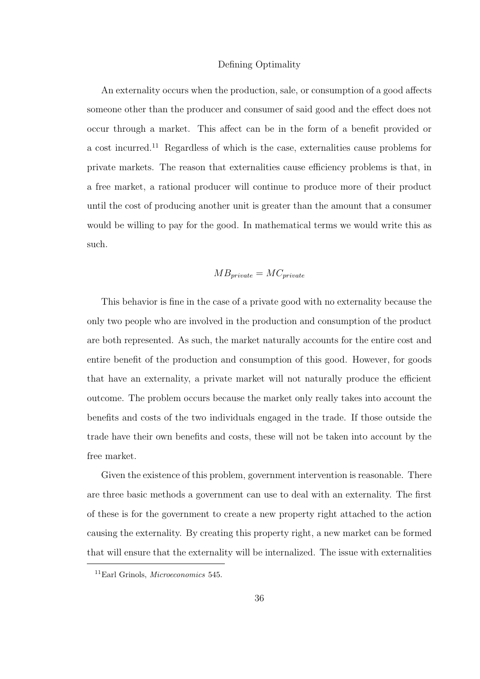#### Defining Optimality

An externality occurs when the production, sale, or consumption of a good affects someone other than the producer and consumer of said good and the effect does not occur through a market. This affect can be in the form of a benefit provided or a cost incurred.<sup>11</sup> Regardless of which is the case, externalities cause problems for private markets. The reason that externalities cause efficiency problems is that, in a free market, a rational producer will continue to produce more of their product until the cost of producing another unit is greater than the amount that a consumer would be willing to pay for the good. In mathematical terms we would write this as such.

$$
MB_{\text{private}} = MC_{\text{private}}
$$

This behavior is fine in the case of a private good with no externality because the only two people who are involved in the production and consumption of the product are both represented. As such, the market naturally accounts for the entire cost and entire benefit of the production and consumption of this good. However, for goods that have an externality, a private market will not naturally produce the efficient outcome. The problem occurs because the market only really takes into account the benefits and costs of the two individuals engaged in the trade. If those outside the trade have their own benefits and costs, these will not be taken into account by the free market.

Given the existence of this problem, government intervention is reasonable. There are three basic methods a government can use to deal with an externality. The first of these is for the government to create a new property right attached to the action causing the externality. By creating this property right, a new market can be formed that will ensure that the externality will be internalized. The issue with externalities

<sup>11</sup>Earl Grinols, Microeconomics 545.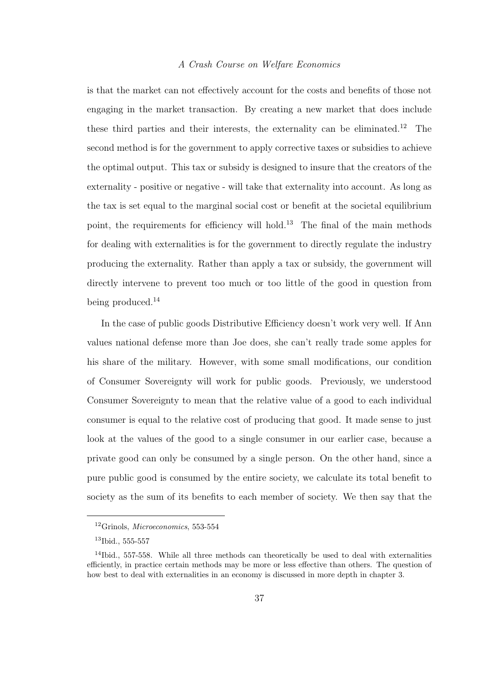# *A Crash Course on Welfare Economics*

is that the market can not effectively account for the costs and benefits of those not engaging in the market transaction. By creating a new market that does include these third parties and their interests, the externality can be eliminated.<sup>12</sup> The second method is for the government to apply corrective taxes or subsidies to achieve the optimal output. This tax or subsidy is designed to insure that the creators of the externality - positive or negative - will take that externality into account. As long as the tax is set equal to the marginal social cost or benefit at the societal equilibrium point, the requirements for efficiency will hold.<sup>13</sup> The final of the main methods for dealing with externalities is for the government to directly regulate the industry producing the externality. Rather than apply a tax or subsidy, the government will directly intervene to prevent too much or too little of the good in question from being produced.<sup>14</sup>

In the case of public goods Distributive Efficiency doesn't work very well. If Ann values national defense more than Joe does, she can't really trade some apples for his share of the military. However, with some small modifications, our condition of Consumer Sovereignty will work for public goods. Previously, we understood Consumer Sovereignty to mean that the relative value of a good to each individual consumer is equal to the relative cost of producing that good. It made sense to just look at the values of the good to a single consumer in our earlier case, because a private good can only be consumed by a single person. On the other hand, since a pure public good is consumed by the entire society, we calculate its total benefit to society as the sum of its benefits to each member of society. We then say that the

 $12$ Grinols, *Microeconomics*, 553-554

<sup>13</sup>Ibid., 555-557

<sup>&</sup>lt;sup>14</sup>Ibid., 557-558. While all three methods can theoretically be used to deal with externalities efficiently, in practice certain methods may be more or less effective than others. The question of how best to deal with externalities in an economy is discussed in more depth in chapter 3.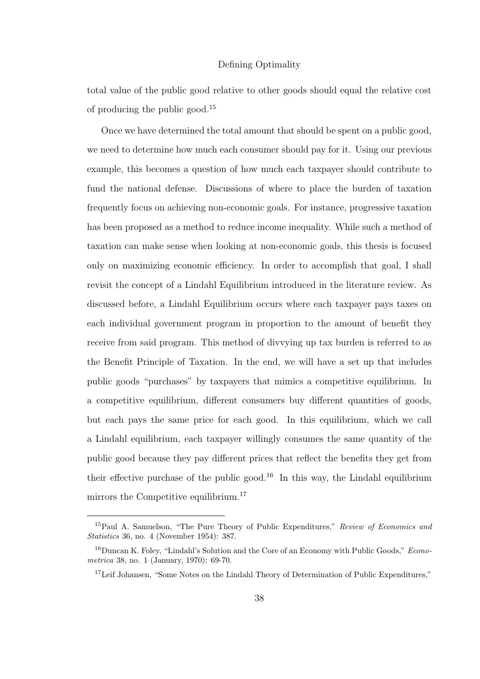## Defining Optimality

total value of the public good relative to other goods should equal the relative cost of producing the public good.<sup>15</sup>

Once we have determined the total amount that should be spent on a public good, we need to determine how much each consumer should pay for it. Using our previous example, this becomes a question of how much each taxpayer should contribute to fund the national defense. Discussions of where to place the burden of taxation frequently focus on achieving non-economic goals. For instance, progressive taxation has been proposed as a method to reduce income inequality. While such a method of taxation can make sense when looking at non-economic goals, this thesis is focused only on maximizing economic efficiency. In order to accomplish that goal, I shall revisit the concept of a Lindahl Equilibrium introduced in the literature review. As discussed before, a Lindahl Equilibrium occurs where each taxpayer pays taxes on each individual government program in proportion to the amount of benefit they receive from said program. This method of divvying up tax burden is referred to as the Benefit Principle of Taxation. In the end, we will have a set up that includes public goods "purchases" by taxpayers that mimics a competitive equilibrium. In a competitive equilibrium, different consumers buy different quantities of goods, but each pays the same price for each good. In this equilibrium, which we call a Lindahl equilibrium, each taxpayer willingly consumes the same quantity of the public good because they pay different prices that reflect the benefits they get from their effective purchase of the public good.<sup>16</sup> In this way, the Lindahl equilibrium mirrors the Competitive equilibrium.<sup>17</sup>

<sup>&</sup>lt;sup>15</sup>Paul A. Samuelson, "The Pure Theory of Public Expenditures," Review of Economics and Statistics 36, no. 4 (November 1954): 387.

<sup>&</sup>lt;sup>16</sup>Duncan K. Foley, "Lindahl's Solution and the Core of an Economy with Public Goods," Econometrica 38, no. 1 (January, 1970): 69-70.

<sup>&</sup>lt;sup>17</sup>Leif Johansen, "Some Notes on the Lindahl Theory of Determination of Public Expenditures,"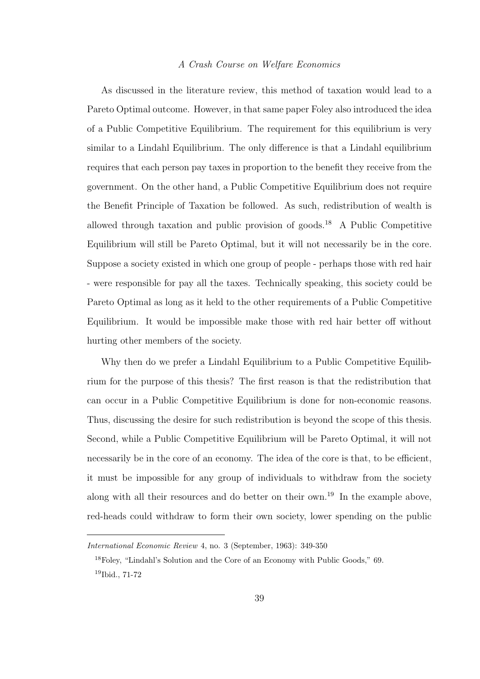#### *A Crash Course on Welfare Economics*

As discussed in the literature review, this method of taxation would lead to a Pareto Optimal outcome. However, in that same paper Foley also introduced the idea of a Public Competitive Equilibrium. The requirement for this equilibrium is very similar to a Lindahl Equilibrium. The only difference is that a Lindahl equilibrium requires that each person pay taxes in proportion to the benefit they receive from the government. On the other hand, a Public Competitive Equilibrium does not require the Benefit Principle of Taxation be followed. As such, redistribution of wealth is allowed through taxation and public provision of goods.<sup>18</sup> A Public Competitive Equilibrium will still be Pareto Optimal, but it will not necessarily be in the core. Suppose a society existed in which one group of people - perhaps those with red hair - were responsible for pay all the taxes. Technically speaking, this society could be Pareto Optimal as long as it held to the other requirements of a Public Competitive Equilibrium. It would be impossible make those with red hair better off without hurting other members of the society.

Why then do we prefer a Lindahl Equilibrium to a Public Competitive Equilibrium for the purpose of this thesis? The first reason is that the redistribution that can occur in a Public Competitive Equilibrium is done for non-economic reasons. Thus, discussing the desire for such redistribution is beyond the scope of this thesis. Second, while a Public Competitive Equilibrium will be Pareto Optimal, it will not necessarily be in the core of an economy. The idea of the core is that, to be efficient, it must be impossible for any group of individuals to withdraw from the society along with all their resources and do better on their own.<sup>19</sup> In the example above, red-heads could withdraw to form their own society, lower spending on the public

International Economic Review 4, no. 3 (September, 1963): 349-350

<sup>18</sup>Foley, "Lindahl's Solution and the Core of an Economy with Public Goods," 69. <sup>19</sup>Ibid., 71-72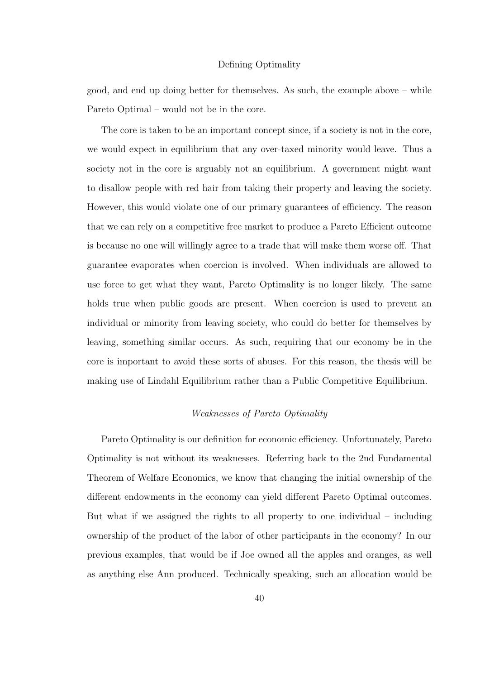#### Defining Optimality

good, and end up doing better for themselves. As such, the example above – while Pareto Optimal – would not be in the core.

The core is taken to be an important concept since, if a society is not in the core, we would expect in equilibrium that any over-taxed minority would leave. Thus a society not in the core is arguably not an equilibrium. A government might want to disallow people with red hair from taking their property and leaving the society. However, this would violate one of our primary guarantees of efficiency. The reason that we can rely on a competitive free market to produce a Pareto Efficient outcome is because no one will willingly agree to a trade that will make them worse off. That guarantee evaporates when coercion is involved. When individuals are allowed to use force to get what they want, Pareto Optimality is no longer likely. The same holds true when public goods are present. When coercion is used to prevent an individual or minority from leaving society, who could do better for themselves by leaving, something similar occurs. As such, requiring that our economy be in the core is important to avoid these sorts of abuses. For this reason, the thesis will be making use of Lindahl Equilibrium rather than a Public Competitive Equilibrium.

# *Weaknesses of Pareto Optimality*

Pareto Optimality is our definition for economic efficiency. Unfortunately, Pareto Optimality is not without its weaknesses. Referring back to the 2nd Fundamental Theorem of Welfare Economics, we know that changing the initial ownership of the different endowments in the economy can yield different Pareto Optimal outcomes. But what if we assigned the rights to all property to one individual – including ownership of the product of the labor of other participants in the economy? In our previous examples, that would be if Joe owned all the apples and oranges, as well as anything else Ann produced. Technically speaking, such an allocation would be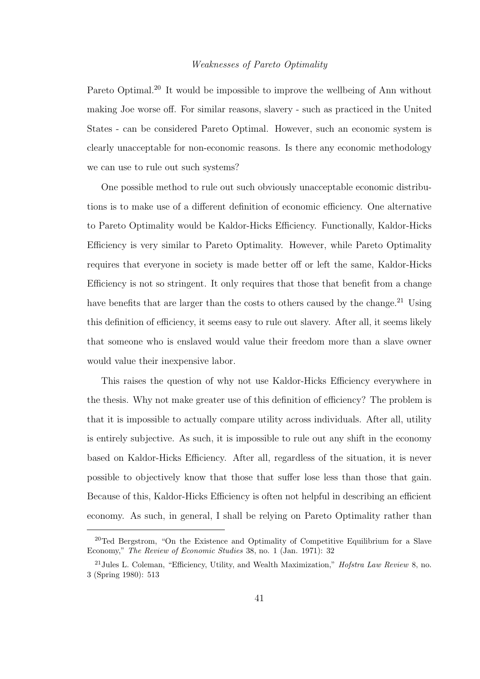## *Weaknesses of Pareto Optimality*

Pareto Optimal.<sup>20</sup> It would be impossible to improve the wellbeing of Ann without making Joe worse off. For similar reasons, slavery - such as practiced in the United States - can be considered Pareto Optimal. However, such an economic system is clearly unacceptable for non-economic reasons. Is there any economic methodology we can use to rule out such systems?

One possible method to rule out such obviously unacceptable economic distributions is to make use of a different definition of economic efficiency. One alternative to Pareto Optimality would be Kaldor-Hicks Efficiency. Functionally, Kaldor-Hicks Efficiency is very similar to Pareto Optimality. However, while Pareto Optimality requires that everyone in society is made better off or left the same, Kaldor-Hicks Efficiency is not so stringent. It only requires that those that benefit from a change have benefits that are larger than the costs to others caused by the change.<sup>21</sup> Using this definition of efficiency, it seems easy to rule out slavery. After all, it seems likely that someone who is enslaved would value their freedom more than a slave owner would value their inexpensive labor.

This raises the question of why not use Kaldor-Hicks Efficiency everywhere in the thesis. Why not make greater use of this definition of efficiency? The problem is that it is impossible to actually compare utility across individuals. After all, utility is entirely subjective. As such, it is impossible to rule out any shift in the economy based on Kaldor-Hicks Efficiency. After all, regardless of the situation, it is never possible to objectively know that those that suffer lose less than those that gain. Because of this, Kaldor-Hicks Efficiency is often not helpful in describing an efficient economy. As such, in general, I shall be relying on Pareto Optimality rather than

<sup>&</sup>lt;sup>20</sup>Ted Bergstrom, "On the Existence and Optimality of Competitive Equilibrium for a Slave Economy," The Review of Economic Studies 38, no. 1 (Jan. 1971): 32

<sup>21</sup>Jules L. Coleman, "Efficiency, Utility, and Wealth Maximization," Hofstra Law Review 8, no. 3 (Spring 1980): 513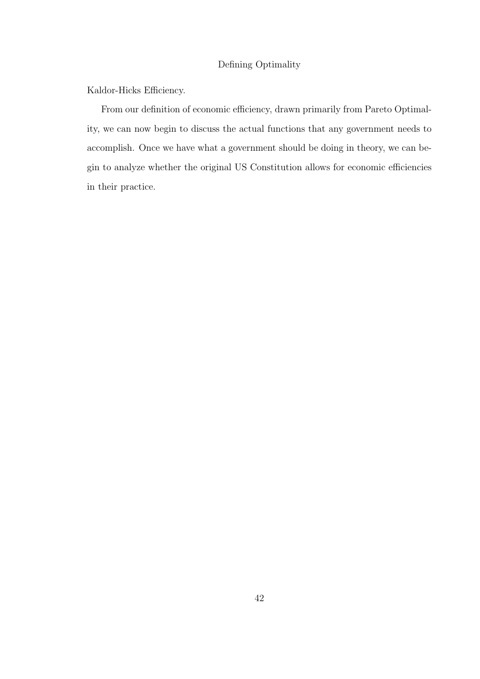# Defining Optimality

Kaldor-Hicks Efficiency.

From our definition of economic efficiency, drawn primarily from Pareto Optimality, we can now begin to discuss the actual functions that any government needs to accomplish. Once we have what a government should be doing in theory, we can begin to analyze whether the original US Constitution allows for economic efficiencies in their practice.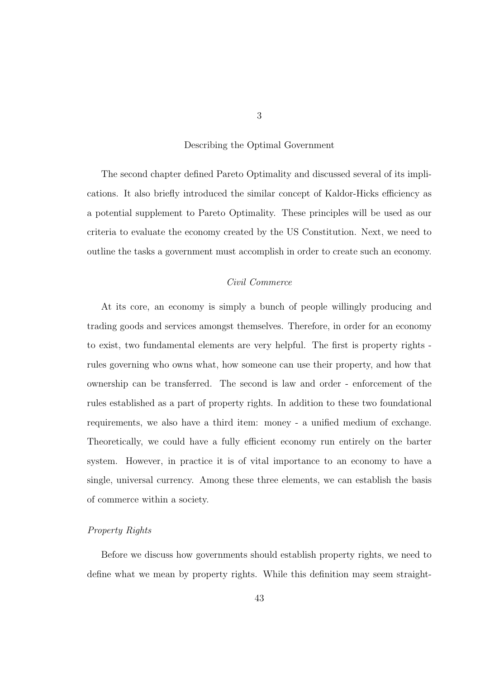The second chapter defined Pareto Optimality and discussed several of its implications. It also briefly introduced the similar concept of Kaldor-Hicks efficiency as a potential supplement to Pareto Optimality. These principles will be used as our criteria to evaluate the economy created by the US Constitution. Next, we need to outline the tasks a government must accomplish in order to create such an economy.

## *Civil Commerce*

At its core, an economy is simply a bunch of people willingly producing and trading goods and services amongst themselves. Therefore, in order for an economy to exist, two fundamental elements are very helpful. The first is property rights rules governing who owns what, how someone can use their property, and how that ownership can be transferred. The second is law and order - enforcement of the rules established as a part of property rights. In addition to these two foundational requirements, we also have a third item: money - a unified medium of exchange. Theoretically, we could have a fully efficient economy run entirely on the barter system. However, in practice it is of vital importance to an economy to have a single, universal currency. Among these three elements, we can establish the basis of commerce within a society.

#### *Property Rights*

Before we discuss how governments should establish property rights, we need to define what we mean by property rights. While this definition may seem straight-

3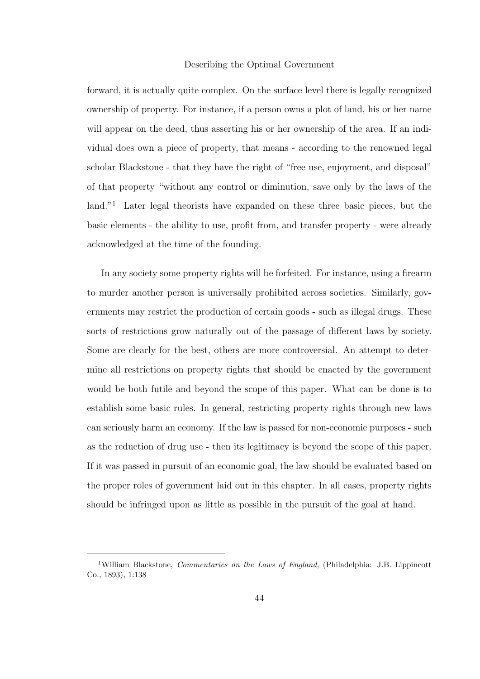forward, it is actually quite complex. On the surface level there is legally recognized ownership of property. For instance, if a person owns a plot of land, his or her name will appear on the deed, thus asserting his or her ownership of the area. If an individual does own a piece of property, that means - according to the renowned legal scholar Blackstone - that they have the right of "free use, enjoyment, and disposal" of that property "without any control or diminution, save only by the laws of the land."<sup>1</sup> Later legal theorists have expanded on these three basic pieces, but the basic elements - the ability to use, profit from, and transfer property - were already acknowledged at the time of the founding.

In any society some property rights will be forfeited. For instance, using a firearm to murder another person is universally prohibited across societies. Similarly, governments may restrict the production of certain goods - such as illegal drugs. These sorts of restrictions grow naturally out of the passage of different laws by society. Some are clearly for the best, others are more controversial. An attempt to determine all restrictions on property rights that should be enacted by the government would be both futile and beyond the scope of this paper. What can be done is to establish some basic rules. In general, restricting property rights through new laws can seriously harm an economy. If the law is passed for non-economic purposes - such as the reduction of drug use - then its legitimacy is beyond the scope of this paper. If it was passed in pursuit of an economic goal, the law should be evaluated based on the proper roles of government laid out in this chapter. In all cases, property rights should be infringed upon as little as possible in the pursuit of the goal at hand.

<sup>&</sup>lt;sup>1</sup>William Blackstone, *Commentaries on the Laws of England*, (Philadelphia: J.B. Lippincott Co., 1893), 1:138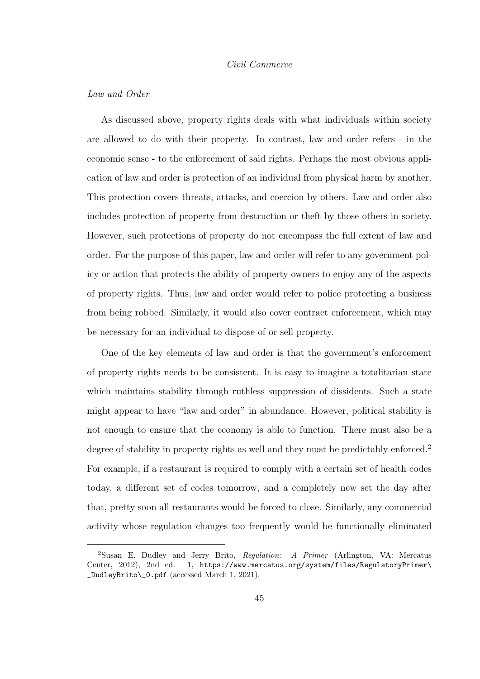#### *Civil Commerce*

#### *Law and Order*

As discussed above, property rights deals with what individuals within society are allowed to do with their property. In contrast, law and order refers - in the economic sense - to the enforcement of said rights. Perhaps the most obvious application of law and order is protection of an individual from physical harm by another. This protection covers threats, attacks, and coercion by others. Law and order also includes protection of property from destruction or theft by those others in society. However, such protections of property do not encompass the full extent of law and order. For the purpose of this paper, law and order will refer to any government policy or action that protects the ability of property owners to enjoy any of the aspects of property rights. Thus, law and order would refer to police protecting a business from being robbed. Similarly, it would also cover contract enforcement, which may be necessary for an individual to dispose of or sell property.

One of the key elements of law and order is that the government's enforcement of property rights needs to be consistent. It is easy to imagine a totalitarian state which maintains stability through ruthless suppression of dissidents. Such a state might appear to have "law and order" in abundance. However, political stability is not enough to ensure that the economy is able to function. There must also be a degree of stability in property rights as well and they must be predictably enforced.<sup>2</sup> For example, if a restaurant is required to comply with a certain set of health codes today, a different set of codes tomorrow, and a completely new set the day after that, pretty soon all restaurants would be forced to close. Similarly, any commercial activity whose regulation changes too frequently would be functionally eliminated

<sup>&</sup>lt;sup>2</sup>Susan E. Dudley and Jerry Brito, Regulation: A Primer (Arlington, VA: Mercatus Center, 2012), 2nd ed. 1, https://www.mercatus.org/system/files/RegulatoryPrimer\ \_DudleyBrito\\_0.pdf (accessed March 1, 2021).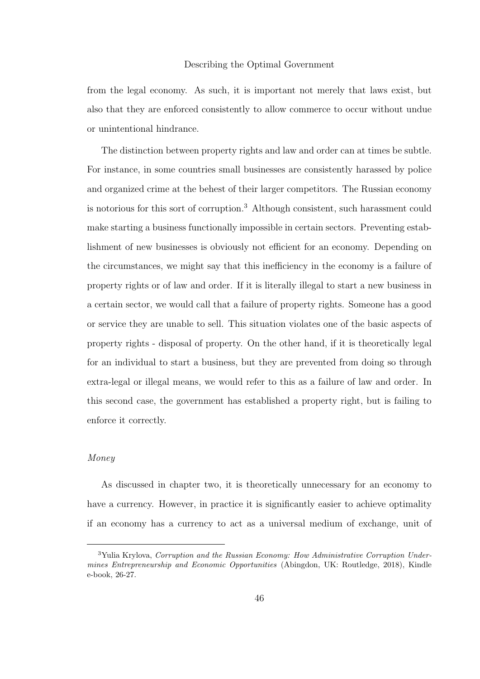from the legal economy. As such, it is important not merely that laws exist, but also that they are enforced consistently to allow commerce to occur without undue or unintentional hindrance.

The distinction between property rights and law and order can at times be subtle. For instance, in some countries small businesses are consistently harassed by police and organized crime at the behest of their larger competitors. The Russian economy is notorious for this sort of corruption.<sup>3</sup> Although consistent, such harassment could make starting a business functionally impossible in certain sectors. Preventing establishment of new businesses is obviously not efficient for an economy. Depending on the circumstances, we might say that this inefficiency in the economy is a failure of property rights or of law and order. If it is literally illegal to start a new business in a certain sector, we would call that a failure of property rights. Someone has a good or service they are unable to sell. This situation violates one of the basic aspects of property rights - disposal of property. On the other hand, if it is theoretically legal for an individual to start a business, but they are prevented from doing so through extra-legal or illegal means, we would refer to this as a failure of law and order. In this second case, the government has established a property right, but is failing to enforce it correctly.

# *Money*

As discussed in chapter two, it is theoretically unnecessary for an economy to have a currency. However, in practice it is significantly easier to achieve optimality if an economy has a currency to act as a universal medium of exchange, unit of

<sup>&</sup>lt;sup>3</sup>Yulia Krylova, Corruption and the Russian Economy: How Administrative Corruption Undermines Entrepreneurship and Economic Opportunities (Abingdon, UK: Routledge, 2018), Kindle e-book, 26-27.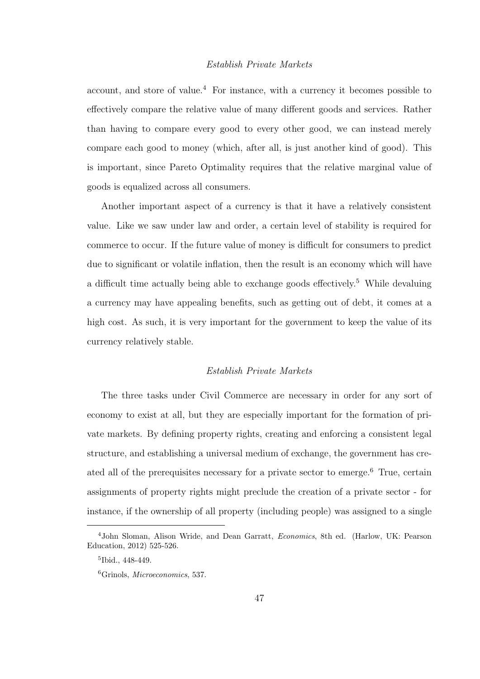#### *Establish Private Markets*

account, and store of value.<sup>4</sup> For instance, with a currency it becomes possible to effectively compare the relative value of many different goods and services. Rather than having to compare every good to every other good, we can instead merely compare each good to money (which, after all, is just another kind of good). This is important, since Pareto Optimality requires that the relative marginal value of goods is equalized across all consumers.

Another important aspect of a currency is that it have a relatively consistent value. Like we saw under law and order, a certain level of stability is required for commerce to occur. If the future value of money is difficult for consumers to predict due to significant or volatile inflation, then the result is an economy which will have a difficult time actually being able to exchange goods effectively.<sup>5</sup> While devaluing a currency may have appealing benefits, such as getting out of debt, it comes at a high cost. As such, it is very important for the government to keep the value of its currency relatively stable.

#### *Establish Private Markets*

The three tasks under Civil Commerce are necessary in order for any sort of economy to exist at all, but they are especially important for the formation of private markets. By defining property rights, creating and enforcing a consistent legal structure, and establishing a universal medium of exchange, the government has created all of the prerequisites necessary for a private sector to emerge.<sup>6</sup> True, certain assignments of property rights might preclude the creation of a private sector - for instance, if the ownership of all property (including people) was assigned to a single

<sup>4</sup>John Sloman, Alison Wride, and Dean Garratt, Economics, 8th ed. (Harlow, UK: Pearson Education, 2012) 525-526.

<sup>5</sup> Ibid., 448-449.

<sup>6</sup>Grinols, Microeconomics, 537.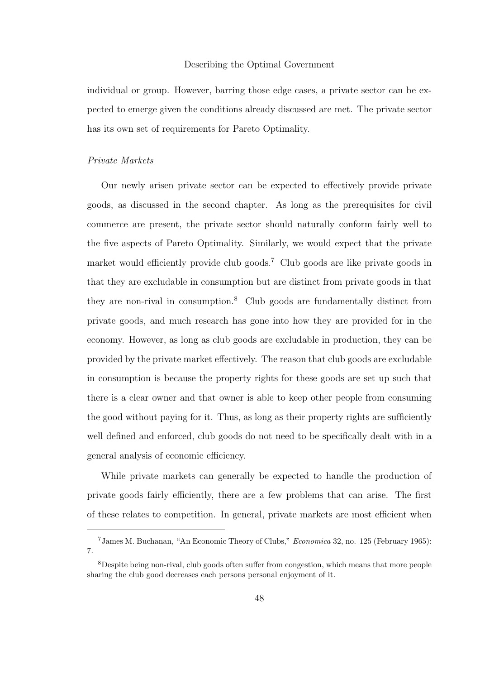individual or group. However, barring those edge cases, a private sector can be expected to emerge given the conditions already discussed are met. The private sector has its own set of requirements for Pareto Optimality.

#### *Private Markets*

Our newly arisen private sector can be expected to effectively provide private goods, as discussed in the second chapter. As long as the prerequisites for civil commerce are present, the private sector should naturally conform fairly well to the five aspects of Pareto Optimality. Similarly, we would expect that the private market would efficiently provide club goods.<sup>7</sup> Club goods are like private goods in that they are excludable in consumption but are distinct from private goods in that they are non-rival in consumption.<sup>8</sup> Club goods are fundamentally distinct from private goods, and much research has gone into how they are provided for in the economy. However, as long as club goods are excludable in production, they can be provided by the private market effectively. The reason that club goods are excludable in consumption is because the property rights for these goods are set up such that there is a clear owner and that owner is able to keep other people from consuming the good without paying for it. Thus, as long as their property rights are sufficiently well defined and enforced, club goods do not need to be specifically dealt with in a general analysis of economic efficiency.

While private markets can generally be expected to handle the production of private goods fairly efficiently, there are a few problems that can arise. The first of these relates to competition. In general, private markets are most efficient when

<sup>7</sup>James M. Buchanan, "An Economic Theory of Clubs," Economica 32, no. 125 (February 1965): 7.

<sup>8</sup>Despite being non-rival, club goods often suffer from congestion, which means that more people sharing the club good decreases each persons personal enjoyment of it.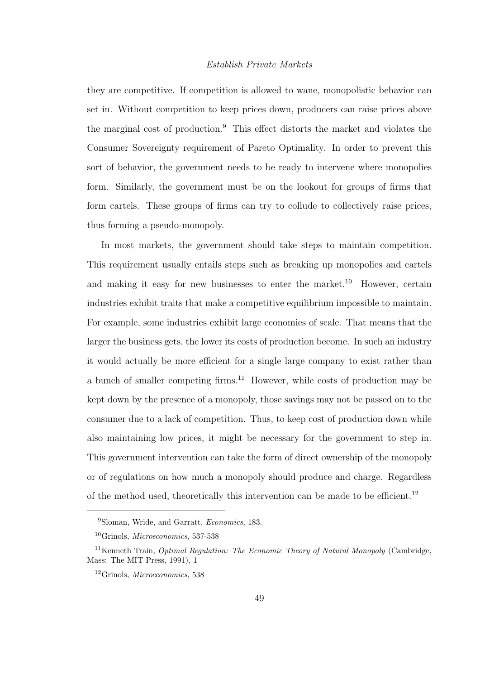## *Establish Private Markets*

they are competitive. If competition is allowed to wane, monopolistic behavior can set in. Without competition to keep prices down, producers can raise prices above the marginal cost of production.<sup>9</sup> This effect distorts the market and violates the Consumer Sovereignty requirement of Pareto Optimality. In order to prevent this sort of behavior, the government needs to be ready to intervene where monopolies form. Similarly, the government must be on the lookout for groups of firms that form cartels. These groups of firms can try to collude to collectively raise prices, thus forming a pseudo-monopoly.

In most markets, the government should take steps to maintain competition. This requirement usually entails steps such as breaking up monopolies and cartels and making it easy for new businesses to enter the market.<sup>10</sup> However, certain industries exhibit traits that make a competitive equilibrium impossible to maintain. For example, some industries exhibit large economies of scale. That means that the larger the business gets, the lower its costs of production become. In such an industry it would actually be more efficient for a single large company to exist rather than a bunch of smaller competing firms.<sup>11</sup> However, while costs of production may be kept down by the presence of a monopoly, those savings may not be passed on to the consumer due to a lack of competition. Thus, to keep cost of production down while also maintaining low prices, it might be necessary for the government to step in. This government intervention can take the form of direct ownership of the monopoly or of regulations on how much a monopoly should produce and charge. Regardless of the method used, theoretically this intervention can be made to be efficient.<sup>12</sup>

<sup>9</sup>Sloman, Wride, and Garratt, Economics, 183.

 $10$ Grinols, *Microeconomics*, 537-538

<sup>&</sup>lt;sup>11</sup>Kenneth Train, *Optimal Regulation: The Economic Theory of Natural Monopoly* (Cambridge, Mass: The MIT Press, 1991), 1

<sup>12</sup>Grinols, Microeconomics, 538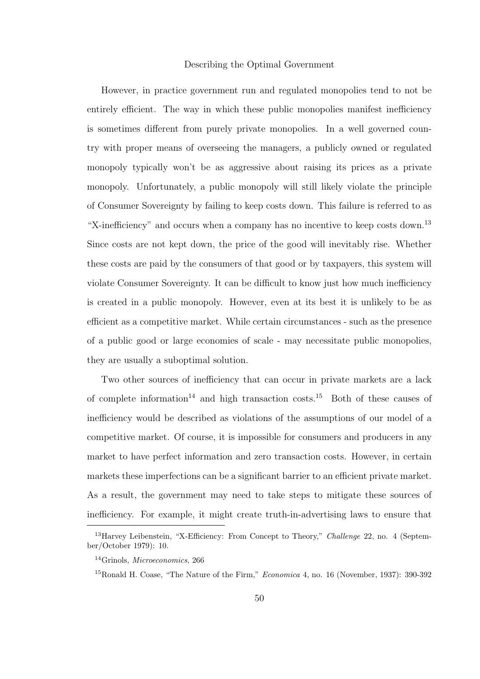However, in practice government run and regulated monopolies tend to not be entirely efficient. The way in which these public monopolies manifest inefficiency is sometimes different from purely private monopolies. In a well governed country with proper means of overseeing the managers, a publicly owned or regulated monopoly typically won't be as aggressive about raising its prices as a private monopoly. Unfortunately, a public monopoly will still likely violate the principle of Consumer Sovereignty by failing to keep costs down. This failure is referred to as "X-inefficiency" and occurs when a company has no incentive to keep costs down.<sup>13</sup> Since costs are not kept down, the price of the good will inevitably rise. Whether these costs are paid by the consumers of that good or by taxpayers, this system will violate Consumer Sovereignty. It can be difficult to know just how much inefficiency is created in a public monopoly. However, even at its best it is unlikely to be as efficient as a competitive market. While certain circumstances - such as the presence of a public good or large economies of scale - may necessitate public monopolies, they are usually a suboptimal solution.

Two other sources of inefficiency that can occur in private markets are a lack of complete information<sup>14</sup> and high transaction costs.<sup>15</sup> Both of these causes of inefficiency would be described as violations of the assumptions of our model of a competitive market. Of course, it is impossible for consumers and producers in any market to have perfect information and zero transaction costs. However, in certain markets these imperfections can be a significant barrier to an efficient private market. As a result, the government may need to take steps to mitigate these sources of inefficiency. For example, it might create truth-in-advertising laws to ensure that

<sup>&</sup>lt;sup>13</sup>Harvey Leibenstein, "X-Efficiency: From Concept to Theory," *Challenge* 22, no. 4 (September/October 1979): 10.

<sup>14</sup>Grinols, Microeconomics, 266

<sup>&</sup>lt;sup>15</sup>Ronald H. Coase, "The Nature of the Firm," *Economica* 4, no. 16 (November, 1937): 390-392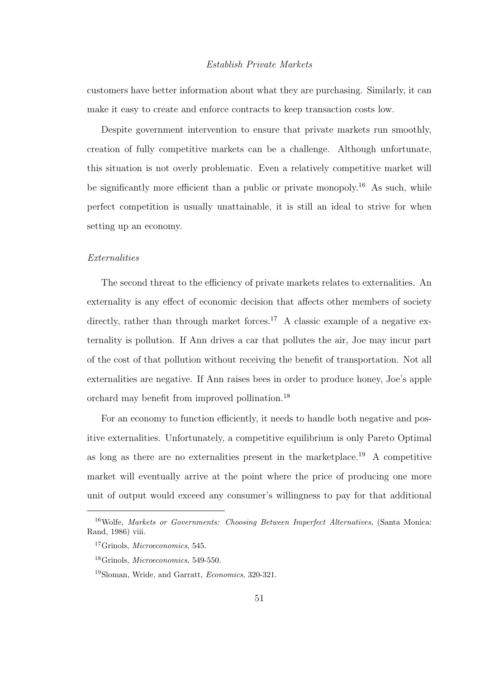## *Establish Private Markets*

customers have better information about what they are purchasing. Similarly, it can make it easy to create and enforce contracts to keep transaction costs low.

Despite government intervention to ensure that private markets run smoothly, creation of fully competitive markets can be a challenge. Although unfortunate, this situation is not overly problematic. Even a relatively competitive market will be significantly more efficient than a public or private monopoly.<sup>16</sup> As such, while perfect competition is usually unattainable, it is still an ideal to strive for when setting up an economy.

#### *Externalities*

The second threat to the efficiency of private markets relates to externalities. An externality is any effect of economic decision that affects other members of society directly, rather than through market forces.<sup>17</sup> A classic example of a negative externality is pollution. If Ann drives a car that pollutes the air, Joe may incur part of the cost of that pollution without receiving the benefit of transportation. Not all externalities are negative. If Ann raises bees in order to produce honey, Joe's apple orchard may benefit from improved pollination.<sup>18</sup>

For an economy to function efficiently, it needs to handle both negative and positive externalities. Unfortunately, a competitive equilibrium is only Pareto Optimal as long as there are no externalities present in the marketplace.<sup>19</sup> A competitive market will eventually arrive at the point where the price of producing one more unit of output would exceed any consumer's willingness to pay for that additional

<sup>&</sup>lt;sup>16</sup>Wolfe, Markets or Governments: Choosing Between Imperfect Alternatives, (Santa Monica: Rand, 1986) viii.

<sup>17</sup>Grinols, Microeconomics, 545.

<sup>18</sup>Grinols, Microeconomics, 549-550.

<sup>19</sup>Sloman, Wride, and Garratt, Economics, 320-321.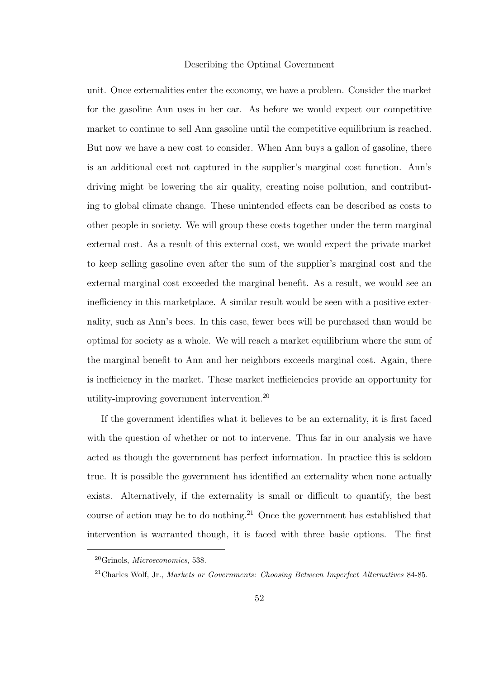unit. Once externalities enter the economy, we have a problem. Consider the market for the gasoline Ann uses in her car. As before we would expect our competitive market to continue to sell Ann gasoline until the competitive equilibrium is reached. But now we have a new cost to consider. When Ann buys a gallon of gasoline, there is an additional cost not captured in the supplier's marginal cost function. Ann's driving might be lowering the air quality, creating noise pollution, and contributing to global climate change. These unintended effects can be described as costs to other people in society. We will group these costs together under the term marginal external cost. As a result of this external cost, we would expect the private market to keep selling gasoline even after the sum of the supplier's marginal cost and the external marginal cost exceeded the marginal benefit. As a result, we would see an inefficiency in this marketplace. A similar result would be seen with a positive externality, such as Ann's bees. In this case, fewer bees will be purchased than would be optimal for society as a whole. We will reach a market equilibrium where the sum of the marginal benefit to Ann and her neighbors exceeds marginal cost. Again, there is inefficiency in the market. These market inefficiencies provide an opportunity for utility-improving government intervention.<sup>20</sup>

If the government identifies what it believes to be an externality, it is first faced with the question of whether or not to intervene. Thus far in our analysis we have acted as though the government has perfect information. In practice this is seldom true. It is possible the government has identified an externality when none actually exists. Alternatively, if the externality is small or difficult to quantify, the best course of action may be to do nothing.<sup>21</sup> Once the government has established that intervention is warranted though, it is faced with three basic options. The first

<sup>20</sup>Grinols, Microeconomics, 538.

<sup>21</sup>Charles Wolf, Jr., Markets or Governments: Choosing Between Imperfect Alternatives 84-85.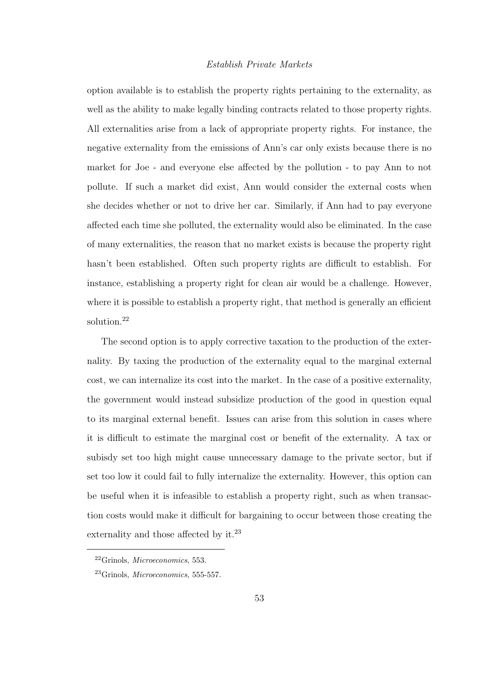# *Establish Private Markets*

option available is to establish the property rights pertaining to the externality, as well as the ability to make legally binding contracts related to those property rights. All externalities arise from a lack of appropriate property rights. For instance, the negative externality from the emissions of Ann's car only exists because there is no market for Joe - and everyone else affected by the pollution - to pay Ann to not pollute. If such a market did exist, Ann would consider the external costs when she decides whether or not to drive her car. Similarly, if Ann had to pay everyone affected each time she polluted, the externality would also be eliminated. In the case of many externalities, the reason that no market exists is because the property right hasn't been established. Often such property rights are difficult to establish. For instance, establishing a property right for clean air would be a challenge. However, where it is possible to establish a property right, that method is generally an efficient solution.<sup>22</sup>

The second option is to apply corrective taxation to the production of the externality. By taxing the production of the externality equal to the marginal external cost, we can internalize its cost into the market. In the case of a positive externality, the government would instead subsidize production of the good in question equal to its marginal external benefit. Issues can arise from this solution in cases where it is difficult to estimate the marginal cost or benefit of the externality. A tax or subisdy set too high might cause unnecessary damage to the private sector, but if set too low it could fail to fully internalize the externality. However, this option can be useful when it is infeasible to establish a property right, such as when transaction costs would make it difficult for bargaining to occur between those creating the externality and those affected by it.<sup>23</sup>

<sup>22</sup>Grinols, Microeconomics, 553.

<sup>23</sup>Grinols, Microeconomics, 555-557.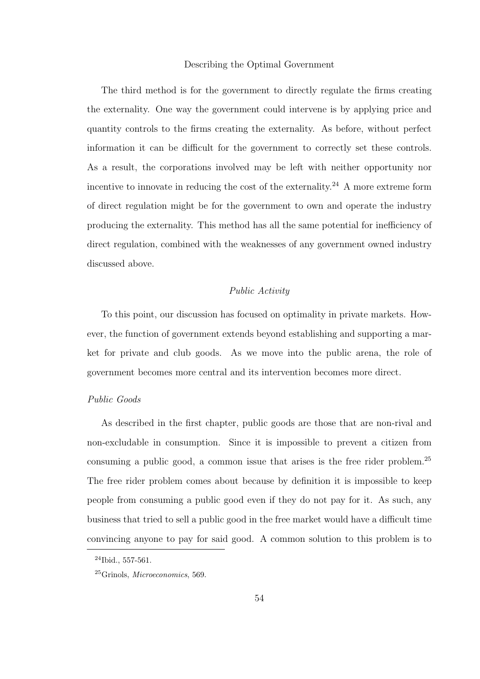The third method is for the government to directly regulate the firms creating the externality. One way the government could intervene is by applying price and quantity controls to the firms creating the externality. As before, without perfect information it can be difficult for the government to correctly set these controls. As a result, the corporations involved may be left with neither opportunity nor incentive to innovate in reducing the cost of the externality. <sup>24</sup> A more extreme form of direct regulation might be for the government to own and operate the industry producing the externality. This method has all the same potential for inefficiency of direct regulation, combined with the weaknesses of any government owned industry discussed above.

# *Public Activity*

To this point, our discussion has focused on optimality in private markets. However, the function of government extends beyond establishing and supporting a market for private and club goods. As we move into the public arena, the role of government becomes more central and its intervention becomes more direct.

#### *Public Goods*

As described in the first chapter, public goods are those that are non-rival and non-excludable in consumption. Since it is impossible to prevent a citizen from consuming a public good, a common issue that arises is the free rider problem.<sup>25</sup> The free rider problem comes about because by definition it is impossible to keep people from consuming a public good even if they do not pay for it. As such, any business that tried to sell a public good in the free market would have a difficult time convincing anyone to pay for said good. A common solution to this problem is to

<sup>24</sup>Ibid., 557-561.

<sup>25</sup>Grinols, Microeconomics, 569.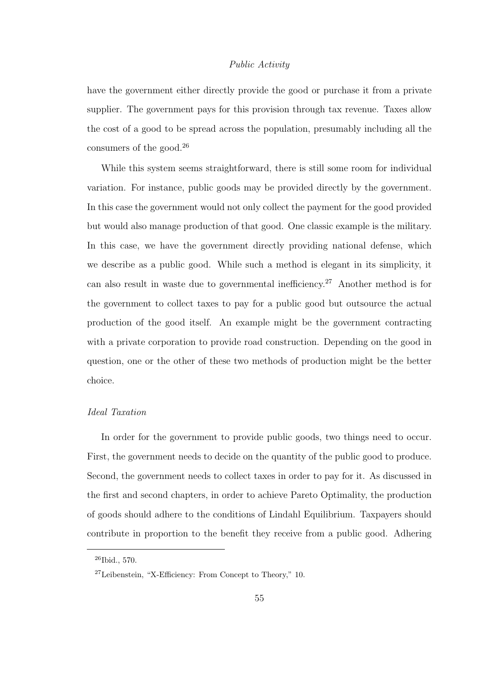# *Public Activity*

have the government either directly provide the good or purchase it from a private supplier. The government pays for this provision through tax revenue. Taxes allow the cost of a good to be spread across the population, presumably including all the consumers of the good.<sup>26</sup>

While this system seems straightforward, there is still some room for individual variation. For instance, public goods may be provided directly by the government. In this case the government would not only collect the payment for the good provided but would also manage production of that good. One classic example is the military. In this case, we have the government directly providing national defense, which we describe as a public good. While such a method is elegant in its simplicity, it can also result in waste due to governmental inefficiency.<sup>27</sup> Another method is for the government to collect taxes to pay for a public good but outsource the actual production of the good itself. An example might be the government contracting with a private corporation to provide road construction. Depending on the good in question, one or the other of these two methods of production might be the better choice.

# *Ideal Taxation*

In order for the government to provide public goods, two things need to occur. First, the government needs to decide on the quantity of the public good to produce. Second, the government needs to collect taxes in order to pay for it. As discussed in the first and second chapters, in order to achieve Pareto Optimality, the production of goods should adhere to the conditions of Lindahl Equilibrium. Taxpayers should contribute in proportion to the benefit they receive from a public good. Adhering

 $26$ Ibid., 570.

<sup>27</sup>Leibenstein, "X-Efficiency: From Concept to Theory," 10.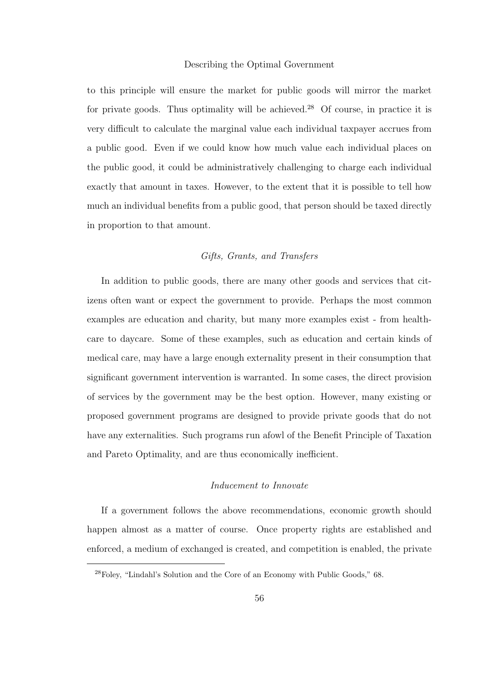to this principle will ensure the market for public goods will mirror the market for private goods. Thus optimality will be achieved.<sup>28</sup> Of course, in practice it is very difficult to calculate the marginal value each individual taxpayer accrues from a public good. Even if we could know how much value each individual places on the public good, it could be administratively challenging to charge each individual exactly that amount in taxes. However, to the extent that it is possible to tell how much an individual benefits from a public good, that person should be taxed directly in proportion to that amount.

# *Gifts, Grants, and Transfers*

In addition to public goods, there are many other goods and services that citizens often want or expect the government to provide. Perhaps the most common examples are education and charity, but many more examples exist - from healthcare to daycare. Some of these examples, such as education and certain kinds of medical care, may have a large enough externality present in their consumption that significant government intervention is warranted. In some cases, the direct provision of services by the government may be the best option. However, many existing or proposed government programs are designed to provide private goods that do not have any externalities. Such programs run afowl of the Benefit Principle of Taxation and Pareto Optimality, and are thus economically inefficient.

# *Inducement to Innovate*

If a government follows the above recommendations, economic growth should happen almost as a matter of course. Once property rights are established and enforced, a medium of exchanged is created, and competition is enabled, the private

<sup>28</sup>Foley, "Lindahl's Solution and the Core of an Economy with Public Goods," 68.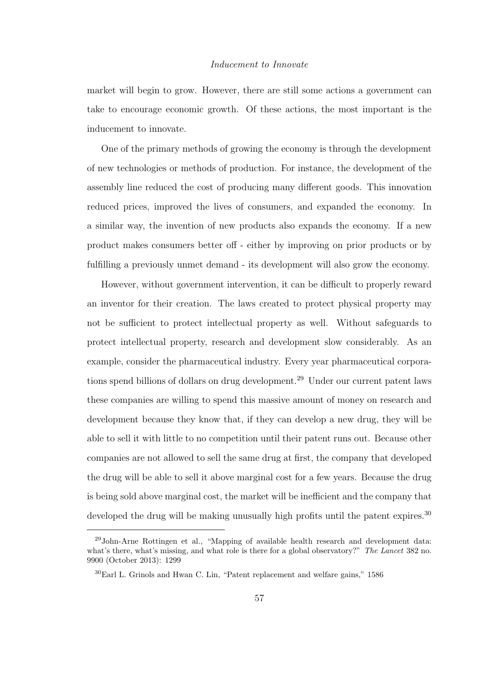#### *Inducement to Innovate*

market will begin to grow. However, there are still some actions a government can take to encourage economic growth. Of these actions, the most important is the inducement to innovate.

One of the primary methods of growing the economy is through the development of new technologies or methods of production. For instance, the development of the assembly line reduced the cost of producing many different goods. This innovation reduced prices, improved the lives of consumers, and expanded the economy. In a similar way, the invention of new products also expands the economy. If a new product makes consumers better off - either by improving on prior products or by fulfilling a previously unmet demand - its development will also grow the economy.

However, without government intervention, it can be difficult to properly reward an inventor for their creation. The laws created to protect physical property may not be sufficient to protect intellectual property as well. Without safeguards to protect intellectual property, research and development slow considerably. As an example, consider the pharmaceutical industry. Every year pharmaceutical corporations spend billions of dollars on drug development.<sup>29</sup> Under our current patent laws these companies are willing to spend this massive amount of money on research and development because they know that, if they can develop a new drug, they will be able to sell it with little to no competition until their patent runs out. Because other companies are not allowed to sell the same drug at first, the company that developed the drug will be able to sell it above marginal cost for a few years. Because the drug is being sold above marginal cost, the market will be inefficient and the company that developed the drug will be making unusually high profits until the patent expires.<sup>30</sup>

<sup>29</sup>John-Arne Rottingen et al., "Mapping of available health research and development data: what's there, what's missing, and what role is there for a global observatory?" The Lancet 382 no. 9900 (October 2013): 1299

<sup>30</sup>Earl L. Grinols and Hwan C. Lin, "Patent replacement and welfare gains," 1586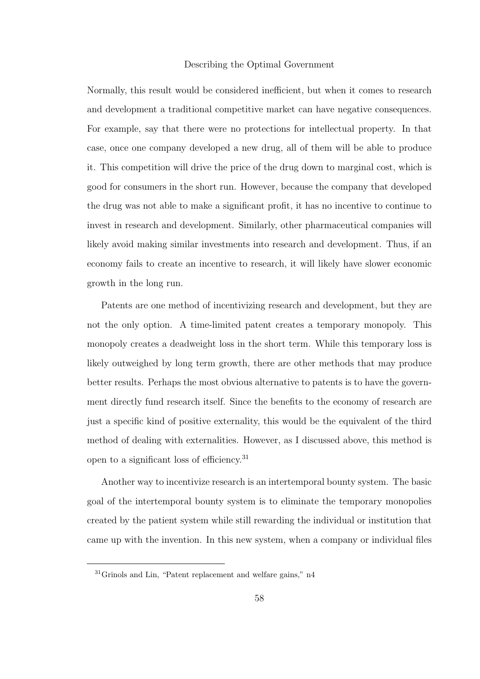Normally, this result would be considered inefficient, but when it comes to research and development a traditional competitive market can have negative consequences. For example, say that there were no protections for intellectual property. In that case, once one company developed a new drug, all of them will be able to produce it. This competition will drive the price of the drug down to marginal cost, which is good for consumers in the short run. However, because the company that developed the drug was not able to make a significant profit, it has no incentive to continue to invest in research and development. Similarly, other pharmaceutical companies will likely avoid making similar investments into research and development. Thus, if an economy fails to create an incentive to research, it will likely have slower economic growth in the long run.

Patents are one method of incentivizing research and development, but they are not the only option. A time-limited patent creates a temporary monopoly. This monopoly creates a deadweight loss in the short term. While this temporary loss is likely outweighed by long term growth, there are other methods that may produce better results. Perhaps the most obvious alternative to patents is to have the government directly fund research itself. Since the benefits to the economy of research are just a specific kind of positive externality, this would be the equivalent of the third method of dealing with externalities. However, as I discussed above, this method is open to a significant loss of efficiency.<sup>31</sup>

Another way to incentivize research is an intertemporal bounty system. The basic goal of the intertemporal bounty system is to eliminate the temporary monopolies created by the patient system while still rewarding the individual or institution that came up with the invention. In this new system, when a company or individual files

<sup>31</sup>Grinols and Lin, "Patent replacement and welfare gains," n4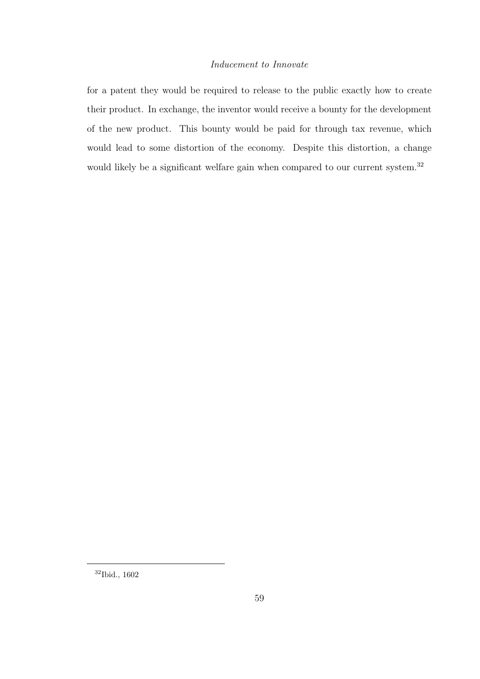# *Inducement to Innovate*

for a patent they would be required to release to the public exactly how to create their product. In exchange, the inventor would receive a bounty for the development of the new product. This bounty would be paid for through tax revenue, which would lead to some distortion of the economy. Despite this distortion, a change would likely be a significant welfare gain when compared to our current system.<sup>32</sup>

<sup>32</sup>Ibid., 1602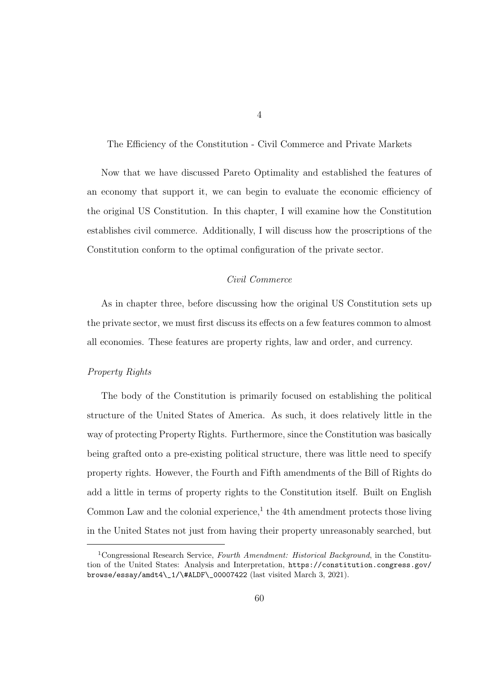The Efficiency of the Constitution - Civil Commerce and Private Markets

Now that we have discussed Pareto Optimality and established the features of an economy that support it, we can begin to evaluate the economic efficiency of the original US Constitution. In this chapter, I will examine how the Constitution establishes civil commerce. Additionally, I will discuss how the proscriptions of the Constitution conform to the optimal configuration of the private sector.

# *Civil Commerce*

As in chapter three, before discussing how the original US Constitution sets up the private sector, we must first discuss its effects on a few features common to almost all economies. These features are property rights, law and order, and currency.

#### *Property Rights*

The body of the Constitution is primarily focused on establishing the political structure of the United States of America. As such, it does relatively little in the way of protecting Property Rights. Furthermore, since the Constitution was basically being grafted onto a pre-existing political structure, there was little need to specify property rights. However, the Fourth and Fifth amendments of the Bill of Rights do add a little in terms of property rights to the Constitution itself. Built on English Common Law and the colonial experience, $<sup>1</sup>$  the 4th amendment protects those living</sup> in the United States not just from having their property unreasonably searched, but

<sup>&</sup>lt;sup>1</sup>Congressional Research Service, Fourth Amendment: Historical Background, in the Constitution of the United States: Analysis and Interpretation, https://constitution.congress.gov/ browse/essay/amdt4\\_1/\#ALDF\\_00007422 (last visited March 3, 2021).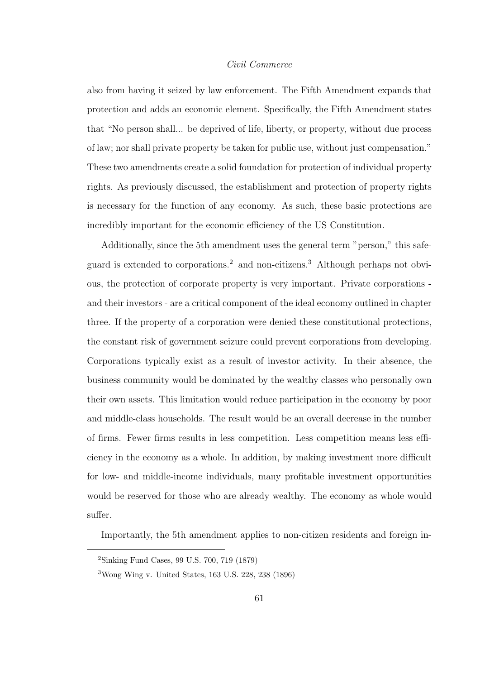# *Civil Commerce*

also from having it seized by law enforcement. The Fifth Amendment expands that protection and adds an economic element. Specifically, the Fifth Amendment states that "No person shall... be deprived of life, liberty, or property, without due process of law; nor shall private property be taken for public use, without just compensation." These two amendments create a solid foundation for protection of individual property rights. As previously discussed, the establishment and protection of property rights is necessary for the function of any economy. As such, these basic protections are incredibly important for the economic efficiency of the US Constitution.

Additionally, since the 5th amendment uses the general term "person," this safeguard is extended to corporations.<sup>2</sup> and non-citizens.<sup>3</sup> Although perhaps not obvious, the protection of corporate property is very important. Private corporations and their investors - are a critical component of the ideal economy outlined in chapter three. If the property of a corporation were denied these constitutional protections, the constant risk of government seizure could prevent corporations from developing. Corporations typically exist as a result of investor activity. In their absence, the business community would be dominated by the wealthy classes who personally own their own assets. This limitation would reduce participation in the economy by poor and middle-class households. The result would be an overall decrease in the number of firms. Fewer firms results in less competition. Less competition means less efficiency in the economy as a whole. In addition, by making investment more difficult for low- and middle-income individuals, many profitable investment opportunities would be reserved for those who are already wealthy. The economy as whole would suffer.

Importantly, the 5th amendment applies to non-citizen residents and foreign in-

<sup>2</sup>Sinking Fund Cases, 99 U.S. 700, 719 (1879)

<sup>3</sup>Wong Wing v. United States, 163 U.S. 228, 238 (1896)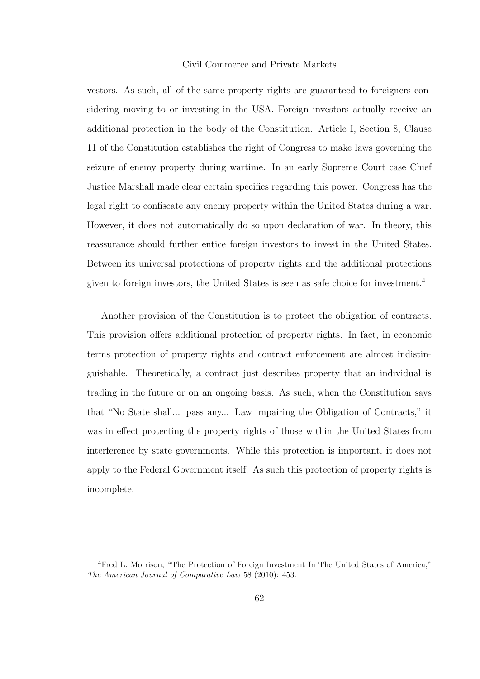#### Civil Commerce and Private Markets

vestors. As such, all of the same property rights are guaranteed to foreigners considering moving to or investing in the USA. Foreign investors actually receive an additional protection in the body of the Constitution. Article I, Section 8, Clause 11 of the Constitution establishes the right of Congress to make laws governing the seizure of enemy property during wartime. In an early Supreme Court case Chief Justice Marshall made clear certain specifics regarding this power. Congress has the legal right to confiscate any enemy property within the United States during a war. However, it does not automatically do so upon declaration of war. In theory, this reassurance should further entice foreign investors to invest in the United States. Between its universal protections of property rights and the additional protections given to foreign investors, the United States is seen as safe choice for investment.<sup>4</sup>

Another provision of the Constitution is to protect the obligation of contracts. This provision offers additional protection of property rights. In fact, in economic terms protection of property rights and contract enforcement are almost indistinguishable. Theoretically, a contract just describes property that an individual is trading in the future or on an ongoing basis. As such, when the Constitution says that "No State shall... pass any... Law impairing the Obligation of Contracts," it was in effect protecting the property rights of those within the United States from interference by state governments. While this protection is important, it does not apply to the Federal Government itself. As such this protection of property rights is incomplete.

<sup>4</sup>Fred L. Morrison, "The Protection of Foreign Investment In The United States of America," The American Journal of Comparative Law 58 (2010): 453.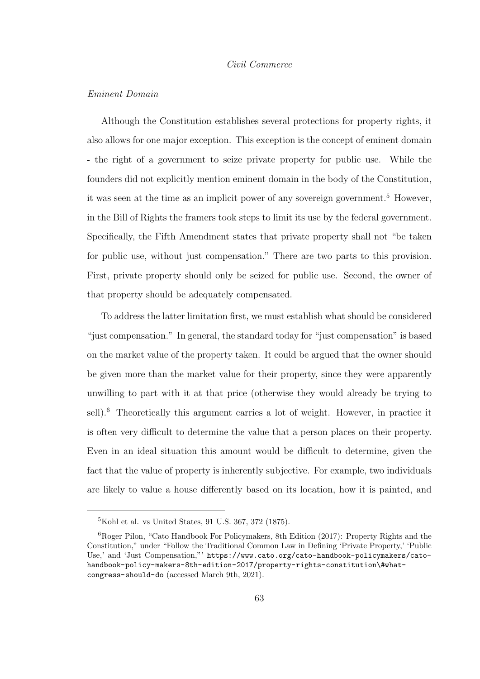#### *Civil Commerce*

#### *Eminent Domain*

Although the Constitution establishes several protections for property rights, it also allows for one major exception. This exception is the concept of eminent domain - the right of a government to seize private property for public use. While the founders did not explicitly mention eminent domain in the body of the Constitution, it was seen at the time as an implicit power of any sovereign government.<sup>5</sup> However, in the Bill of Rights the framers took steps to limit its use by the federal government. Specifically, the Fifth Amendment states that private property shall not "be taken for public use, without just compensation." There are two parts to this provision. First, private property should only be seized for public use. Second, the owner of that property should be adequately compensated.

To address the latter limitation first, we must establish what should be considered "just compensation." In general, the standard today for "just compensation" is based on the market value of the property taken. It could be argued that the owner should be given more than the market value for their property, since they were apparently unwilling to part with it at that price (otherwise they would already be trying to sell).<sup>6</sup> Theoretically this argument carries a lot of weight. However, in practice it is often very difficult to determine the value that a person places on their property. Even in an ideal situation this amount would be difficult to determine, given the fact that the value of property is inherently subjective. For example, two individuals are likely to value a house differently based on its location, how it is painted, and

<sup>5</sup>Kohl et al. vs United States, 91 U.S. 367, 372 (1875).

<sup>6</sup>Roger Pilon, "Cato Handbook For Policymakers, 8th Edition (2017): Property Rights and the Constitution," under "Follow the Traditional Common Law in Defining 'Private Property,' 'Public Use,' and 'Just Compensation,"' https://www.cato.org/cato-handbook-policymakers/catohandbook-policy-makers-8th-edition-2017/property-rights-constitution\#whatcongress-should-do (accessed March 9th, 2021).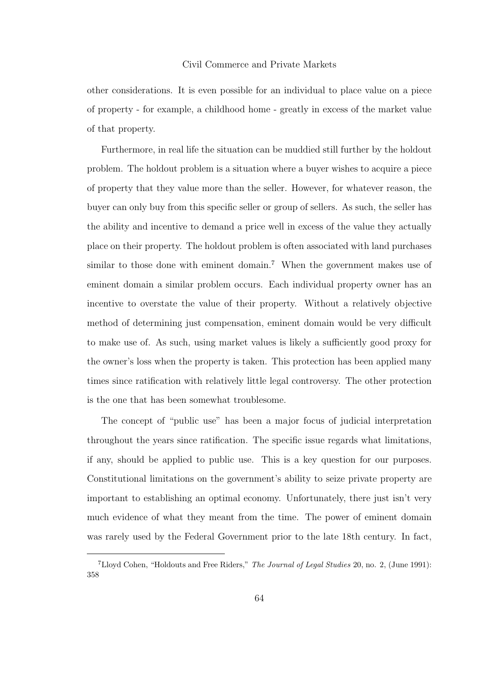#### Civil Commerce and Private Markets

other considerations. It is even possible for an individual to place value on a piece of property - for example, a childhood home - greatly in excess of the market value of that property.

Furthermore, in real life the situation can be muddied still further by the holdout problem. The holdout problem is a situation where a buyer wishes to acquire a piece of property that they value more than the seller. However, for whatever reason, the buyer can only buy from this specific seller or group of sellers. As such, the seller has the ability and incentive to demand a price well in excess of the value they actually place on their property. The holdout problem is often associated with land purchases similar to those done with eminent domain.<sup>7</sup> When the government makes use of eminent domain a similar problem occurs. Each individual property owner has an incentive to overstate the value of their property. Without a relatively objective method of determining just compensation, eminent domain would be very difficult to make use of. As such, using market values is likely a sufficiently good proxy for the owner's loss when the property is taken. This protection has been applied many times since ratification with relatively little legal controversy. The other protection is the one that has been somewhat troublesome.

The concept of "public use" has been a major focus of judicial interpretation throughout the years since ratification. The specific issue regards what limitations, if any, should be applied to public use. This is a key question for our purposes. Constitutional limitations on the government's ability to seize private property are important to establishing an optimal economy. Unfortunately, there just isn't very much evidence of what they meant from the time. The power of eminent domain was rarely used by the Federal Government prior to the late 18th century. In fact,

<sup>&</sup>lt;sup>7</sup>Lloyd Cohen, "Holdouts and Free Riders," *The Journal of Legal Studies* 20, no. 2, (June 1991): 358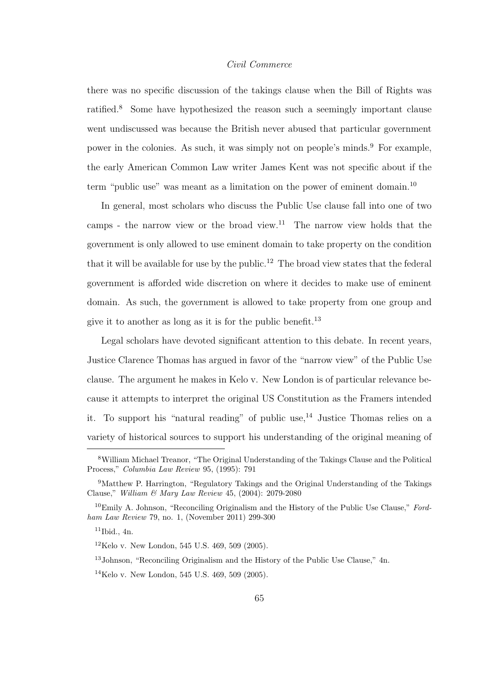## *Civil Commerce*

there was no specific discussion of the takings clause when the Bill of Rights was ratified.<sup>8</sup> Some have hypothesized the reason such a seemingly important clause went undiscussed was because the British never abused that particular government power in the colonies. As such, it was simply not on people's minds.<sup>9</sup> For example, the early American Common Law writer James Kent was not specific about if the term "public use" was meant as a limitation on the power of eminent domain.<sup>10</sup>

In general, most scholars who discuss the Public Use clause fall into one of two camps - the narrow view or the broad view.<sup>11</sup> The narrow view holds that the government is only allowed to use eminent domain to take property on the condition that it will be available for use by the public.<sup>12</sup> The broad view states that the federal government is afforded wide discretion on where it decides to make use of eminent domain. As such, the government is allowed to take property from one group and give it to another as long as it is for the public benefit.<sup>13</sup>

Legal scholars have devoted significant attention to this debate. In recent years, Justice Clarence Thomas has argued in favor of the "narrow view" of the Public Use clause. The argument he makes in Kelo v. New London is of particular relevance because it attempts to interpret the original US Constitution as the Framers intended it. To support his "natural reading" of public use,  $^{14}$  Justice Thomas relies on a variety of historical sources to support his understanding of the original meaning of

<sup>8</sup>William Michael Treanor, "The Original Understanding of the Takings Clause and the Political Process," Columbia Law Review 95, (1995): 791

<sup>9</sup>Matthew P. Harrington, "Regulatory Takings and the Original Understanding of the Takings Clause," William & Mary Law Review 45, (2004): 2079-2080

 $10$ Emily A. Johnson, "Reconciling Originalism and the History of the Public Use Clause," Fordham Law Review 79, no. 1, (November 2011) 299-300

 $11$ Ibid., 4n.

 $12$ Kelo v. New London, 545 U.S. 469, 509 (2005).

<sup>13</sup>Johnson, "Reconciling Originalism and the History of the Public Use Clause," 4n.

<sup>14</sup>Kelo v. New London, 545 U.S. 469, 509 (2005).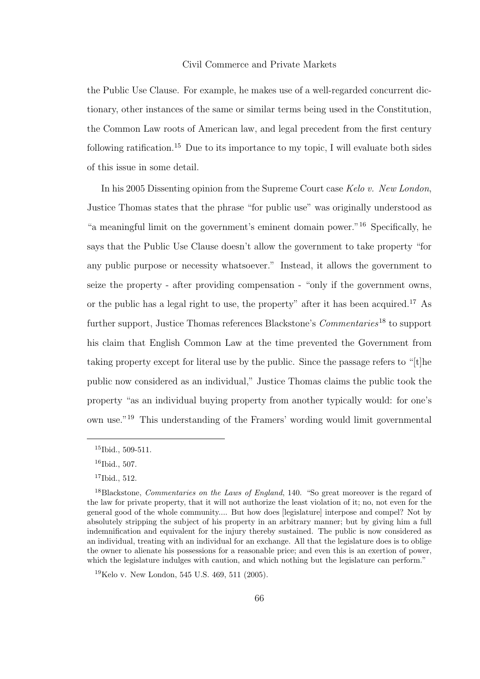## Civil Commerce and Private Markets

the Public Use Clause. For example, he makes use of a well-regarded concurrent dictionary, other instances of the same or similar terms being used in the Constitution, the Common Law roots of American law, and legal precedent from the first century following ratification.<sup>15</sup> Due to its importance to my topic, I will evaluate both sides of this issue in some detail.

In his 2005 Dissenting opinion from the Supreme Court case *Kelo v. New London*, Justice Thomas states that the phrase "for public use" was originally understood as "a meaningful limit on the government's eminent domain power."<sup>16</sup> Specifically, he says that the Public Use Clause doesn't allow the government to take property "for any public purpose or necessity whatsoever." Instead, it allows the government to seize the property - after providing compensation - "only if the government owns, or the public has a legal right to use, the property" after it has been acquired.<sup>17</sup> As further support, Justice Thomas references Blackstone's *Commentaries*<sup>18</sup> to support his claim that English Common Law at the time prevented the Government from taking property except for literal use by the public. Since the passage refers to "[t]he public now considered as an individual," Justice Thomas claims the public took the property "as an individual buying property from another typically would: for one's own use."<sup>19</sup> This understanding of the Framers' wording would limit governmental

<sup>&</sup>lt;sup>15</sup>Ibid., 509-511.

 $16$ Ibid., 507.

<sup>17</sup>Ibid., 512.

<sup>&</sup>lt;sup>18</sup>Blackstone, *Commentaries on the Laws of England*, 140. "So great moreover is the regard of the law for private property, that it will not authorize the least violation of it; no, not even for the general good of the whole community.... But how does [legislature] interpose and compel? Not by absolutely stripping the subject of his property in an arbitrary manner; but by giving him a full indemnification and equivalent for the injury thereby sustained. The public is now considered as an individual, treating with an individual for an exchange. All that the legislature does is to oblige the owner to alienate his possessions for a reasonable price; and even this is an exertion of power, which the legislature indulges with caution, and which nothing but the legislature can perform."

<sup>19</sup>Kelo v. New London, 545 U.S. 469, 511 (2005).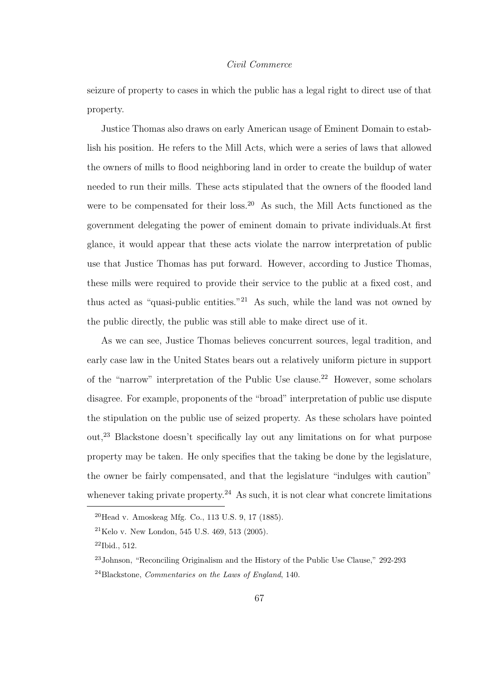## *Civil Commerce*

seizure of property to cases in which the public has a legal right to direct use of that property.

Justice Thomas also draws on early American usage of Eminent Domain to establish his position. He refers to the Mill Acts, which were a series of laws that allowed the owners of mills to flood neighboring land in order to create the buildup of water needed to run their mills. These acts stipulated that the owners of the flooded land were to be compensated for their loss.<sup>20</sup> As such, the Mill Acts functioned as the government delegating the power of eminent domain to private individuals.At first glance, it would appear that these acts violate the narrow interpretation of public use that Justice Thomas has put forward. However, according to Justice Thomas, these mills were required to provide their service to the public at a fixed cost, and thus acted as "quasi-public entities."<sup>21</sup> As such, while the land was not owned by the public directly, the public was still able to make direct use of it.

As we can see, Justice Thomas believes concurrent sources, legal tradition, and early case law in the United States bears out a relatively uniform picture in support of the "narrow" interpretation of the Public Use clause.<sup>22</sup> However, some scholars disagree. For example, proponents of the "broad" interpretation of public use dispute the stipulation on the public use of seized property. As these scholars have pointed out,<sup>23</sup> Blackstone doesn't specifically lay out any limitations on for what purpose property may be taken. He only specifies that the taking be done by the legislature, the owner be fairly compensated, and that the legislature "indulges with caution" whenever taking private property.<sup>24</sup> As such, it is not clear what concrete limitations

 $^{20}$ Head v. Amoskeag Mfg. Co., 113 U.S. 9, 17 (1885).

<sup>21</sup>Kelo v. New London, 545 U.S. 469, 513 (2005).

 $22$ Ibid., 512.

<sup>23</sup>Johnson, "Reconciling Originalism and the History of the Public Use Clause," 292-293 <sup>24</sup>Blackstone, Commentaries on the Laws of England, 140.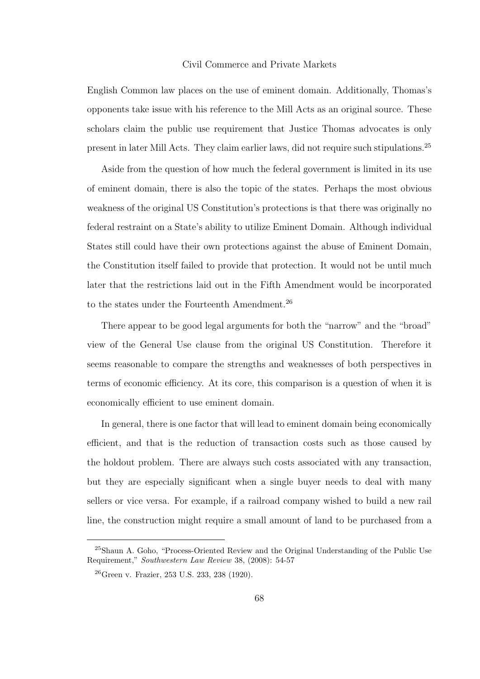## Civil Commerce and Private Markets

English Common law places on the use of eminent domain. Additionally, Thomas's opponents take issue with his reference to the Mill Acts as an original source. These scholars claim the public use requirement that Justice Thomas advocates is only present in later Mill Acts. They claim earlier laws, did not require such stipulations.<sup>25</sup>

Aside from the question of how much the federal government is limited in its use of eminent domain, there is also the topic of the states. Perhaps the most obvious weakness of the original US Constitution's protections is that there was originally no federal restraint on a State's ability to utilize Eminent Domain. Although individual States still could have their own protections against the abuse of Eminent Domain, the Constitution itself failed to provide that protection. It would not be until much later that the restrictions laid out in the Fifth Amendment would be incorporated to the states under the Fourteenth Amendment.<sup>26</sup>

There appear to be good legal arguments for both the "narrow" and the "broad" view of the General Use clause from the original US Constitution. Therefore it seems reasonable to compare the strengths and weaknesses of both perspectives in terms of economic efficiency. At its core, this comparison is a question of when it is economically efficient to use eminent domain.

In general, there is one factor that will lead to eminent domain being economically efficient, and that is the reduction of transaction costs such as those caused by the holdout problem. There are always such costs associated with any transaction, but they are especially significant when a single buyer needs to deal with many sellers or vice versa. For example, if a railroad company wished to build a new rail line, the construction might require a small amount of land to be purchased from a

<sup>25</sup>Shaun A. Goho, "Process-Oriented Review and the Original Understanding of the Public Use Requirement," Southwestern Law Review 38, (2008): 54-57

<sup>26</sup>Green v. Frazier, 253 U.S. 233, 238 (1920).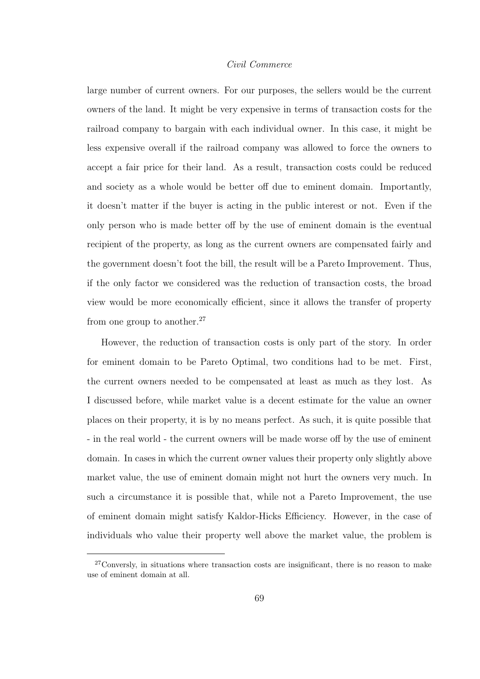# *Civil Commerce*

large number of current owners. For our purposes, the sellers would be the current owners of the land. It might be very expensive in terms of transaction costs for the railroad company to bargain with each individual owner. In this case, it might be less expensive overall if the railroad company was allowed to force the owners to accept a fair price for their land. As a result, transaction costs could be reduced and society as a whole would be better off due to eminent domain. Importantly, it doesn't matter if the buyer is acting in the public interest or not. Even if the only person who is made better off by the use of eminent domain is the eventual recipient of the property, as long as the current owners are compensated fairly and the government doesn't foot the bill, the result will be a Pareto Improvement. Thus, if the only factor we considered was the reduction of transaction costs, the broad view would be more economically efficient, since it allows the transfer of property from one group to another.<sup>27</sup>

However, the reduction of transaction costs is only part of the story. In order for eminent domain to be Pareto Optimal, two conditions had to be met. First, the current owners needed to be compensated at least as much as they lost. As I discussed before, while market value is a decent estimate for the value an owner places on their property, it is by no means perfect. As such, it is quite possible that - in the real world - the current owners will be made worse off by the use of eminent domain. In cases in which the current owner values their property only slightly above market value, the use of eminent domain might not hurt the owners very much. In such a circumstance it is possible that, while not a Pareto Improvement, the use of eminent domain might satisfy Kaldor-Hicks Efficiency. However, in the case of individuals who value their property well above the market value, the problem is

<sup>&</sup>lt;sup>27</sup>Conversly, in situations where transaction costs are insignificant, there is no reason to make use of eminent domain at all.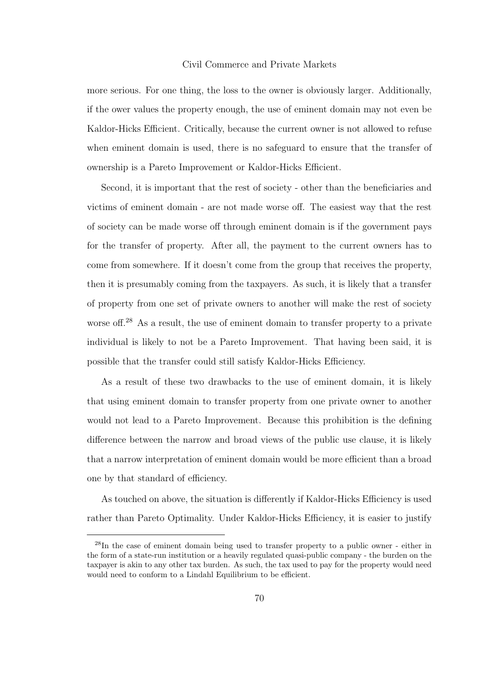## Civil Commerce and Private Markets

more serious. For one thing, the loss to the owner is obviously larger. Additionally, if the ower values the property enough, the use of eminent domain may not even be Kaldor-Hicks Efficient. Critically, because the current owner is not allowed to refuse when eminent domain is used, there is no safeguard to ensure that the transfer of ownership is a Pareto Improvement or Kaldor-Hicks Efficient.

Second, it is important that the rest of society - other than the beneficiaries and victims of eminent domain - are not made worse off. The easiest way that the rest of society can be made worse off through eminent domain is if the government pays for the transfer of property. After all, the payment to the current owners has to come from somewhere. If it doesn't come from the group that receives the property, then it is presumably coming from the taxpayers. As such, it is likely that a transfer of property from one set of private owners to another will make the rest of society worse of f.<sup>28</sup> As a result, the use of eminent domain to transfer property to a private individual is likely to not be a Pareto Improvement. That having been said, it is possible that the transfer could still satisfy Kaldor-Hicks Efficiency.

As a result of these two drawbacks to the use of eminent domain, it is likely that using eminent domain to transfer property from one private owner to another would not lead to a Pareto Improvement. Because this prohibition is the defining difference between the narrow and broad views of the public use clause, it is likely that a narrow interpretation of eminent domain would be more efficient than a broad one by that standard of efficiency.

As touched on above, the situation is differently if Kaldor-Hicks Efficiency is used rather than Pareto Optimality. Under Kaldor-Hicks Efficiency, it is easier to justify

<sup>28</sup>In the case of eminent domain being used to transfer property to a public owner - either in the form of a state-run institution or a heavily regulated quasi-public company - the burden on the taxpayer is akin to any other tax burden. As such, the tax used to pay for the property would need would need to conform to a Lindahl Equilibrium to be efficient.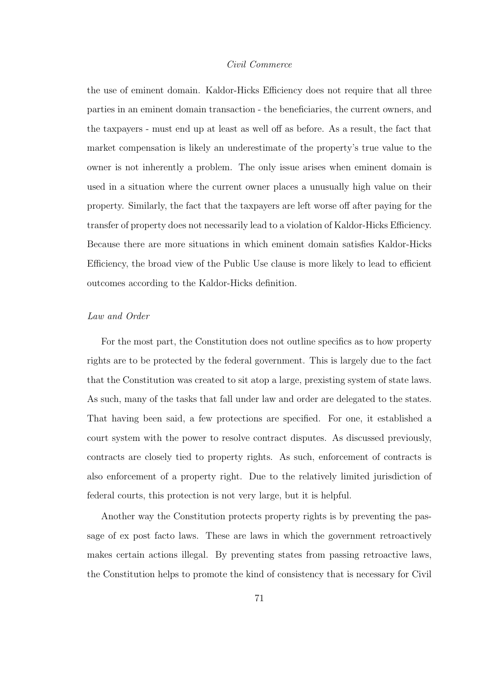# *Civil Commerce*

the use of eminent domain. Kaldor-Hicks Efficiency does not require that all three parties in an eminent domain transaction - the beneficiaries, the current owners, and the taxpayers - must end up at least as well off as before. As a result, the fact that market compensation is likely an underestimate of the property's true value to the owner is not inherently a problem. The only issue arises when eminent domain is used in a situation where the current owner places a unusually high value on their property. Similarly, the fact that the taxpayers are left worse off after paying for the transfer of property does not necessarily lead to a violation of Kaldor-Hicks Efficiency. Because there are more situations in which eminent domain satisfies Kaldor-Hicks Efficiency, the broad view of the Public Use clause is more likely to lead to efficient outcomes according to the Kaldor-Hicks definition.

# *Law and Order*

For the most part, the Constitution does not outline specifics as to how property rights are to be protected by the federal government. This is largely due to the fact that the Constitution was created to sit atop a large, prexisting system of state laws. As such, many of the tasks that fall under law and order are delegated to the states. That having been said, a few protections are specified. For one, it established a court system with the power to resolve contract disputes. As discussed previously, contracts are closely tied to property rights. As such, enforcement of contracts is also enforcement of a property right. Due to the relatively limited jurisdiction of federal courts, this protection is not very large, but it is helpful.

Another way the Constitution protects property rights is by preventing the passage of ex post facto laws. These are laws in which the government retroactively makes certain actions illegal. By preventing states from passing retroactive laws, the Constitution helps to promote the kind of consistency that is necessary for Civil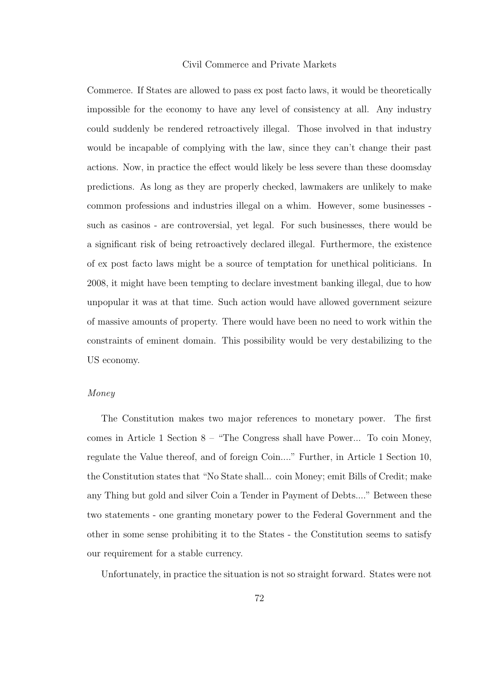## Civil Commerce and Private Markets

Commerce. If States are allowed to pass ex post facto laws, it would be theoretically impossible for the economy to have any level of consistency at all. Any industry could suddenly be rendered retroactively illegal. Those involved in that industry would be incapable of complying with the law, since they can't change their past actions. Now, in practice the effect would likely be less severe than these doomsday predictions. As long as they are properly checked, lawmakers are unlikely to make common professions and industries illegal on a whim. However, some businesses such as casinos - are controversial, yet legal. For such businesses, there would be a significant risk of being retroactively declared illegal. Furthermore, the existence of ex post facto laws might be a source of temptation for unethical politicians. In 2008, it might have been tempting to declare investment banking illegal, due to how unpopular it was at that time. Such action would have allowed government seizure of massive amounts of property. There would have been no need to work within the constraints of eminent domain. This possibility would be very destabilizing to the US economy.

# *Money*

The Constitution makes two major references to monetary power. The first comes in Article 1 Section 8 – "The Congress shall have Power... To coin Money, regulate the Value thereof, and of foreign Coin...." Further, in Article 1 Section 10, the Constitution states that "No State shall... coin Money; emit Bills of Credit; make any Thing but gold and silver Coin a Tender in Payment of Debts...." Between these two statements - one granting monetary power to the Federal Government and the other in some sense prohibiting it to the States - the Constitution seems to satisfy our requirement for a stable currency.

Unfortunately, in practice the situation is not so straight forward. States were not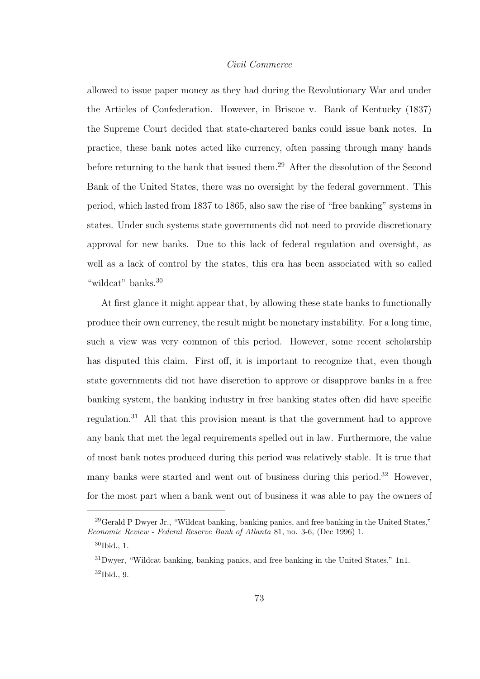# *Civil Commerce*

allowed to issue paper money as they had during the Revolutionary War and under the Articles of Confederation. However, in Briscoe v. Bank of Kentucky (1837) the Supreme Court decided that state-chartered banks could issue bank notes. In practice, these bank notes acted like currency, often passing through many hands before returning to the bank that issued them.<sup>29</sup> After the dissolution of the Second Bank of the United States, there was no oversight by the federal government. This period, which lasted from 1837 to 1865, also saw the rise of "free banking" systems in states. Under such systems state governments did not need to provide discretionary approval for new banks. Due to this lack of federal regulation and oversight, as well as a lack of control by the states, this era has been associated with so called "wildcat" banks.<sup>30</sup>

At first glance it might appear that, by allowing these state banks to functionally produce their own currency, the result might be monetary instability. For a long time, such a view was very common of this period. However, some recent scholarship has disputed this claim. First off, it is important to recognize that, even though state governments did not have discretion to approve or disapprove banks in a free banking system, the banking industry in free banking states often did have specific regulation.<sup>31</sup> All that this provision meant is that the government had to approve any bank that met the legal requirements spelled out in law. Furthermore, the value of most bank notes produced during this period was relatively stable. It is true that many banks were started and went out of business during this period.<sup>32</sup> However, for the most part when a bank went out of business it was able to pay the owners of

<sup>29</sup>Gerald P Dwyer Jr., "Wildcat banking, banking panics, and free banking in the United States," Economic Review - Federal Reserve Bank of Atlanta 81, no. 3-6, (Dec 1996) 1. <sup>30</sup>Ibid., 1.

<sup>31</sup>Dwyer, "Wildcat banking, banking panics, and free banking in the United States," 1n1. <sup>32</sup>Ibid., 9.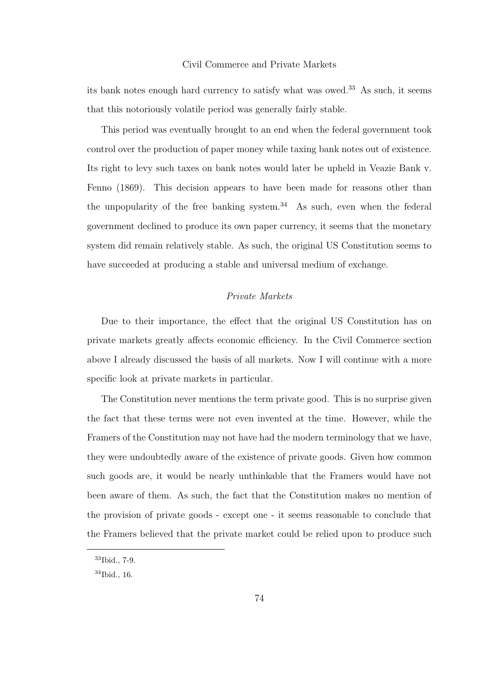## Civil Commerce and Private Markets

its bank notes enough hard currency to satisfy what was owed.<sup>33</sup> As such, it seems that this notoriously volatile period was generally fairly stable.

This period was eventually brought to an end when the federal government took control over the production of paper money while taxing bank notes out of existence. Its right to levy such taxes on bank notes would later be upheld in Veazie Bank v. Fenno (1869). This decision appears to have been made for reasons other than the unpopularity of the free banking system. $34$  As such, even when the federal government declined to produce its own paper currency, it seems that the monetary system did remain relatively stable. As such, the original US Constitution seems to have succeeded at producing a stable and universal medium of exchange.

# *Private Markets*

Due to their importance, the effect that the original US Constitution has on private markets greatly affects economic efficiency. In the Civil Commerce section above I already discussed the basis of all markets. Now I will continue with a more specific look at private markets in particular.

The Constitution never mentions the term private good. This is no surprise given the fact that these terms were not even invented at the time. However, while the Framers of the Constitution may not have had the modern terminology that we have, they were undoubtedly aware of the existence of private goods. Given how common such goods are, it would be nearly unthinkable that the Framers would have not been aware of them. As such, the fact that the Constitution makes no mention of the provision of private goods - except one - it seems reasonable to conclude that the Framers believed that the private market could be relied upon to produce such

<sup>33</sup>Ibid., 7-9.

<sup>34</sup>Ibid., 16.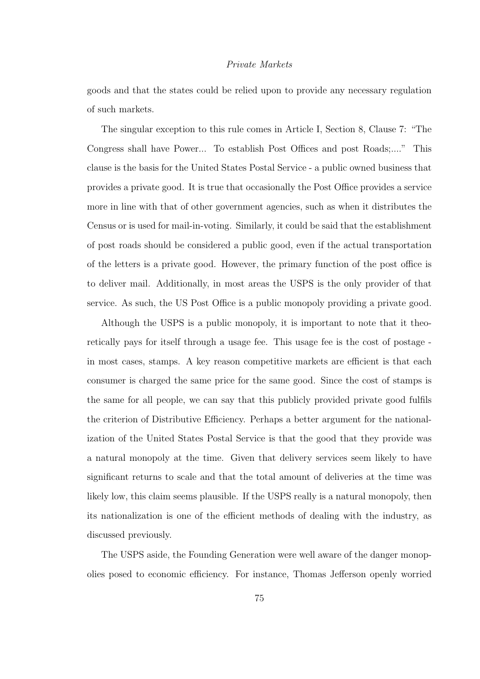## *Private Markets*

goods and that the states could be relied upon to provide any necessary regulation of such markets.

The singular exception to this rule comes in Article I, Section 8, Clause 7: "The Congress shall have Power... To establish Post Offices and post Roads;...." This clause is the basis for the United States Postal Service - a public owned business that provides a private good. It is true that occasionally the Post Office provides a service more in line with that of other government agencies, such as when it distributes the Census or is used for mail-in-voting. Similarly, it could be said that the establishment of post roads should be considered a public good, even if the actual transportation of the letters is a private good. However, the primary function of the post office is to deliver mail. Additionally, in most areas the USPS is the only provider of that service. As such, the US Post Office is a public monopoly providing a private good.

Although the USPS is a public monopoly, it is important to note that it theoretically pays for itself through a usage fee. This usage fee is the cost of postage in most cases, stamps. A key reason competitive markets are efficient is that each consumer is charged the same price for the same good. Since the cost of stamps is the same for all people, we can say that this publicly provided private good fulfils the criterion of Distributive Efficiency. Perhaps a better argument for the nationalization of the United States Postal Service is that the good that they provide was a natural monopoly at the time. Given that delivery services seem likely to have significant returns to scale and that the total amount of deliveries at the time was likely low, this claim seems plausible. If the USPS really is a natural monopoly, then its nationalization is one of the efficient methods of dealing with the industry, as discussed previously.

The USPS aside, the Founding Generation were well aware of the danger monopolies posed to economic efficiency. For instance, Thomas Jefferson openly worried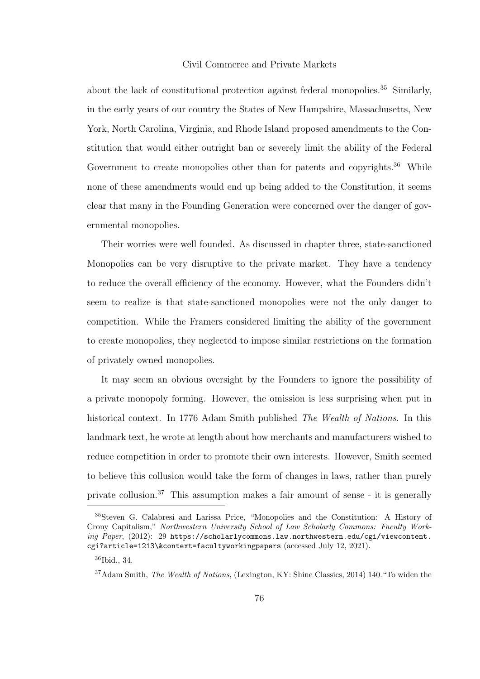## Civil Commerce and Private Markets

about the lack of constitutional protection against federal monopolies.<sup>35</sup> Similarly, in the early years of our country the States of New Hampshire, Massachusetts, New York, North Carolina, Virginia, and Rhode Island proposed amendments to the Constitution that would either outright ban or severely limit the ability of the Federal Government to create monopolies other than for patents and copyrights.<sup>36</sup> While none of these amendments would end up being added to the Constitution, it seems clear that many in the Founding Generation were concerned over the danger of governmental monopolies.

Their worries were well founded. As discussed in chapter three, state-sanctioned Monopolies can be very disruptive to the private market. They have a tendency to reduce the overall efficiency of the economy. However, what the Founders didn't seem to realize is that state-sanctioned monopolies were not the only danger to competition. While the Framers considered limiting the ability of the government to create monopolies, they neglected to impose similar restrictions on the formation of privately owned monopolies.

It may seem an obvious oversight by the Founders to ignore the possibility of a private monopoly forming. However, the omission is less surprising when put in historical context. In 1776 Adam Smith published *The Wealth of Nations*. In this landmark text, he wrote at length about how merchants and manufacturers wished to reduce competition in order to promote their own interests. However, Smith seemed to believe this collusion would take the form of changes in laws, rather than purely private collusion.<sup>37</sup> This assumption makes a fair amount of sense - it is generally

<sup>35</sup>Steven G. Calabresi and Larissa Price, "Monopolies and the Constitution: A History of Crony Capitalism," Northwestern University School of Law Scholarly Commons: Faculty Work- $\hat{p}$  Paper, (2012): 29 https://scholarlycommons.law.northwestern.edu/cgi/viewcontent. cgi?article=1213\&context=facultyworkingpapers (accessed July 12, 2021).

<sup>36</sup>Ibid., 34.

<sup>37</sup>Adam Smith, The Wealth of Nations, (Lexington, KY: Shine Classics, 2014) 140."To widen the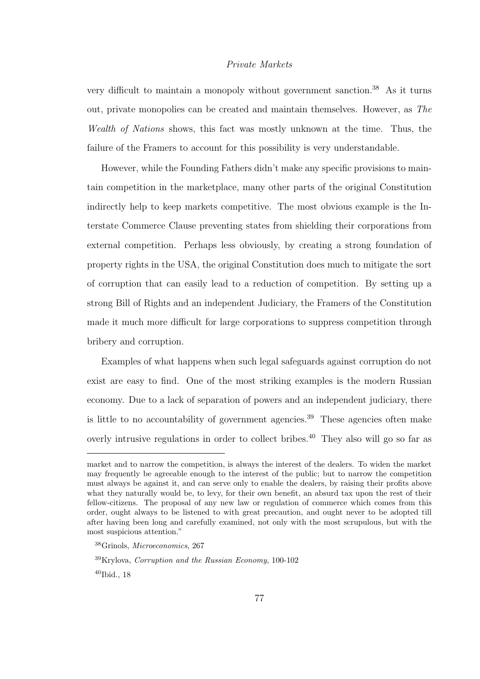# *Private Markets*

very difficult to maintain a monopoly without government sanction.<sup>38</sup> As it turns out, private monopolies can be created and maintain themselves. However, as *The Wealth of Nations* shows, this fact was mostly unknown at the time. Thus, the failure of the Framers to account for this possibility is very understandable.

However, while the Founding Fathers didn't make any specific provisions to maintain competition in the marketplace, many other parts of the original Constitution indirectly help to keep markets competitive. The most obvious example is the Interstate Commerce Clause preventing states from shielding their corporations from external competition. Perhaps less obviously, by creating a strong foundation of property rights in the USA, the original Constitution does much to mitigate the sort of corruption that can easily lead to a reduction of competition. By setting up a strong Bill of Rights and an independent Judiciary, the Framers of the Constitution made it much more difficult for large corporations to suppress competition through bribery and corruption.

Examples of what happens when such legal safeguards against corruption do not exist are easy to find. One of the most striking examples is the modern Russian economy. Due to a lack of separation of powers and an independent judiciary, there is little to no accountability of government agencies.<sup>39</sup> These agencies often make overly intrusive regulations in order to collect bribes.<sup>40</sup> They also will go so far as

market and to narrow the competition, is always the interest of the dealers. To widen the market may frequently be agreeable enough to the interest of the public; but to narrow the competition must always be against it, and can serve only to enable the dealers, by raising their profits above what they naturally would be, to levy, for their own benefit, an absurd tax upon the rest of their fellow-citizens. The proposal of any new law or regulation of commerce which comes from this order, ought always to be listened to with great precaution, and ought never to be adopted till after having been long and carefully examined, not only with the most scrupulous, but with the most suspicious attention."

<sup>38</sup>Grinols, Microeconomics, 267

 $39$ Krylova, Corruption and the Russian Economy, 100-102

<sup>40</sup>Ibid., 18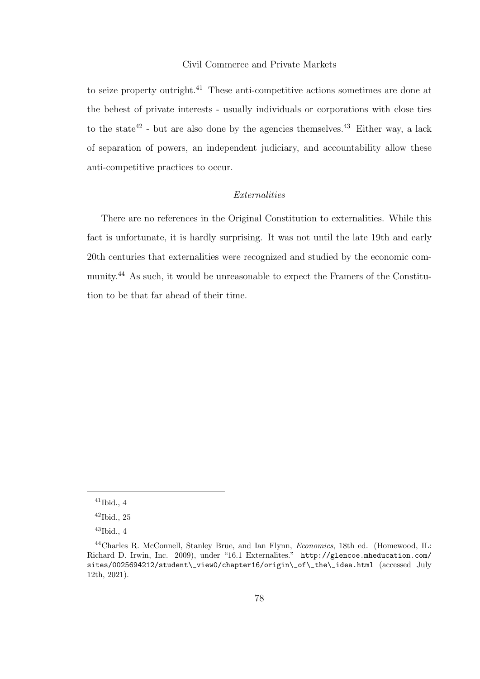## Civil Commerce and Private Markets

to seize property outright.<sup>41</sup> These anti-competitive actions sometimes are done at the behest of private interests - usually individuals or corporations with close ties to the state<sup>42</sup> - but are also done by the agencies themselves.<sup>43</sup> Either way, a lack of separation of powers, an independent judiciary, and accountability allow these anti-competitive practices to occur.

# *Externalities*

There are no references in the Original Constitution to externalities. While this fact is unfortunate, it is hardly surprising. It was not until the late 19th and early 20th centuries that externalities were recognized and studied by the economic community.<sup>44</sup> As such, it would be unreasonable to expect the Framers of the Constitution to be that far ahead of their time.

 $41$ Ibid., 4

 $42$ Ibid., 25

 $43$ Ibid., 4

<sup>&</sup>lt;sup>44</sup>Charles R. McConnell, Stanley Brue, and Ian Flynn, *Economics*, 18th ed. (Homewood, IL: Richard D. Irwin, Inc. 2009), under "16.1 Externalites." http://glencoe.mheducation.com/ sites/0025694212/student\\_view0/chapter16/origin\\_of\\_the\\_idea.html (accessed July 12th, 2021).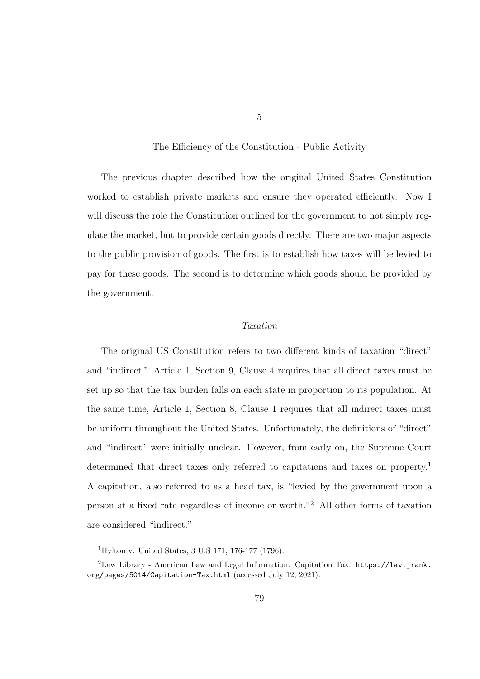The Efficiency of the Constitution - Public Activity

The previous chapter described how the original United States Constitution worked to establish private markets and ensure they operated efficiently. Now I will discuss the role the Constitution outlined for the government to not simply regulate the market, but to provide certain goods directly. There are two major aspects to the public provision of goods. The first is to establish how taxes will be levied to pay for these goods. The second is to determine which goods should be provided by the government.

# *Taxation*

The original US Constitution refers to two different kinds of taxation "direct" and "indirect." Article 1, Section 9, Clause 4 requires that all direct taxes must be set up so that the tax burden falls on each state in proportion to its population. At the same time, Article 1, Section 8, Clause 1 requires that all indirect taxes must be uniform throughout the United States. Unfortunately, the definitions of "direct" and "indirect" were initially unclear. However, from early on, the Supreme Court determined that direct taxes only referred to capitations and taxes on property.<sup>1</sup> A capitation, also referred to as a head tax, is "levied by the government upon a person at a fixed rate regardless of income or worth."<sup>2</sup> All other forms of taxation are considered "indirect."

<sup>1</sup>Hylton v. United States, 3 U.S 171, 176-177 (1796).

<sup>2</sup>Law Library - American Law and Legal Information. Capitation Tax. https://law.jrank. org/pages/5014/Capitation-Tax.html (accessed July 12, 2021).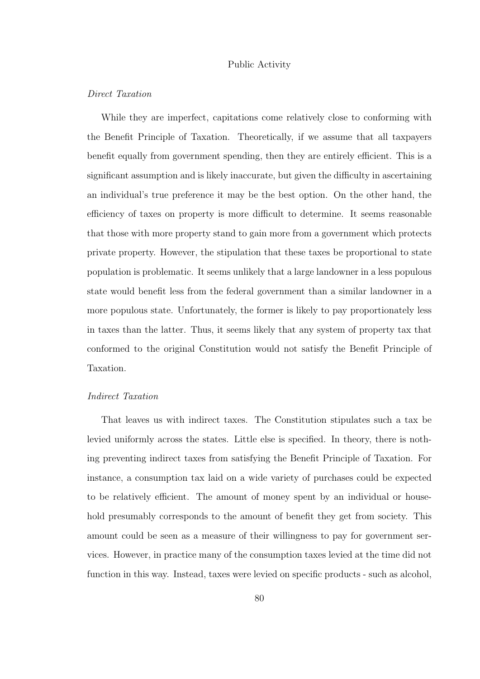# Public Activity

# *Direct Taxation*

While they are imperfect, capitations come relatively close to conforming with the Benefit Principle of Taxation. Theoretically, if we assume that all taxpayers benefit equally from government spending, then they are entirely efficient. This is a significant assumption and is likely inaccurate, but given the difficulty in ascertaining an individual's true preference it may be the best option. On the other hand, the efficiency of taxes on property is more difficult to determine. It seems reasonable that those with more property stand to gain more from a government which protects private property. However, the stipulation that these taxes be proportional to state population is problematic. It seems unlikely that a large landowner in a less populous state would benefit less from the federal government than a similar landowner in a more populous state. Unfortunately, the former is likely to pay proportionately less in taxes than the latter. Thus, it seems likely that any system of property tax that conformed to the original Constitution would not satisfy the Benefit Principle of Taxation.

## *Indirect Taxation*

That leaves us with indirect taxes. The Constitution stipulates such a tax be levied uniformly across the states. Little else is specified. In theory, there is nothing preventing indirect taxes from satisfying the Benefit Principle of Taxation. For instance, a consumption tax laid on a wide variety of purchases could be expected to be relatively efficient. The amount of money spent by an individual or household presumably corresponds to the amount of benefit they get from society. This amount could be seen as a measure of their willingness to pay for government services. However, in practice many of the consumption taxes levied at the time did not function in this way. Instead, taxes were levied on specific products - such as alcohol,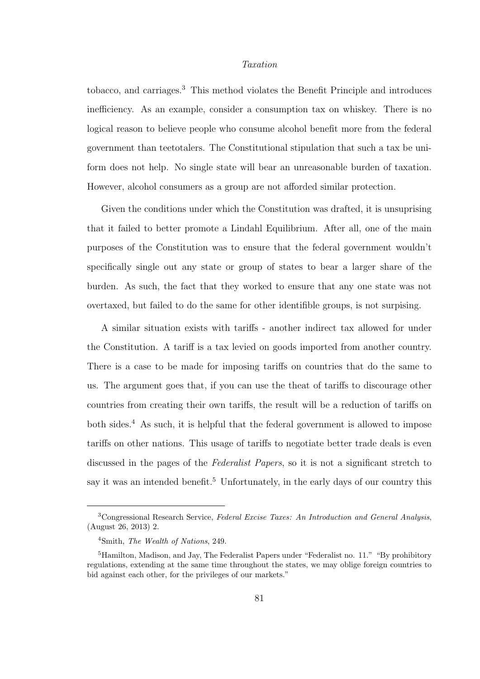## *Taxation*

tobacco, and carriages.<sup>3</sup> This method violates the Benefit Principle and introduces inefficiency. As an example, consider a consumption tax on whiskey. There is no logical reason to believe people who consume alcohol benefit more from the federal government than teetotalers. The Constitutional stipulation that such a tax be uniform does not help. No single state will bear an unreasonable burden of taxation. However, alcohol consumers as a group are not afforded similar protection.

Given the conditions under which the Constitution was drafted, it is unsuprising that it failed to better promote a Lindahl Equilibrium. After all, one of the main purposes of the Constitution was to ensure that the federal government wouldn't specifically single out any state or group of states to bear a larger share of the burden. As such, the fact that they worked to ensure that any one state was not overtaxed, but failed to do the same for other identifible groups, is not surpising.

A similar situation exists with tariffs - another indirect tax allowed for under the Constitution. A tariff is a tax levied on goods imported from another country. There is a case to be made for imposing tariffs on countries that do the same to us. The argument goes that, if you can use the theat of tariffs to discourage other countries from creating their own tariffs, the result will be a reduction of tariffs on both sides.<sup>4</sup> As such, it is helpful that the federal government is allowed to impose tariffs on other nations. This usage of tariffs to negotiate better trade deals is even discussed in the pages of the *Federalist Papers*, so it is not a significant stretch to say it was an intended benefit.<sup>5</sup> Unfortunately, in the early days of our country this

<sup>3</sup>Congressional Research Service, Federal Excise Taxes: An Introduction and General Analysis, (August 26, 2013) 2.

<sup>4</sup>Smith, The Wealth of Nations, 249.

 $<sup>5</sup>$ Hamilton, Madison, and Jay, The Federalist Papers under "Federalist no. 11." "By prohibitory</sup> regulations, extending at the same time throughout the states, we may oblige foreign countries to bid against each other, for the privileges of our markets."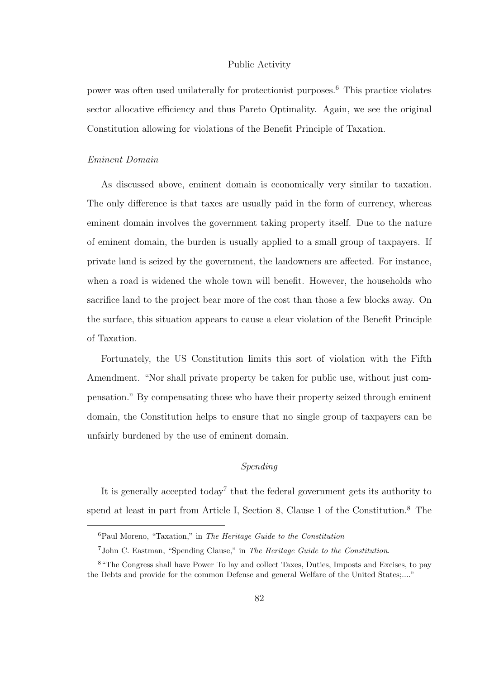## Public Activity

power was often used unilaterally for protectionist purposes. <sup>6</sup> This practice violates sector allocative efficiency and thus Pareto Optimality. Again, we see the original Constitution allowing for violations of the Benefit Principle of Taxation.

#### *Eminent Domain*

As discussed above, eminent domain is economically very similar to taxation. The only difference is that taxes are usually paid in the form of currency, whereas eminent domain involves the government taking property itself. Due to the nature of eminent domain, the burden is usually applied to a small group of taxpayers. If private land is seized by the government, the landowners are affected. For instance, when a road is widened the whole town will benefit. However, the households who sacrifice land to the project bear more of the cost than those a few blocks away. On the surface, this situation appears to cause a clear violation of the Benefit Principle of Taxation.

Fortunately, the US Constitution limits this sort of violation with the Fifth Amendment. "Nor shall private property be taken for public use, without just compensation." By compensating those who have their property seized through eminent domain, the Constitution helps to ensure that no single group of taxpayers can be unfairly burdened by the use of eminent domain.

# *Spending*

It is generally accepted today<sup>7</sup> that the federal government gets its authority to spend at least in part from Article I, Section 8, Clause 1 of the Constitution.<sup>8</sup> The

 ${}^{6}$ Paul Moreno, "Taxation," in The Heritage Guide to the Constitution

<sup>7</sup>John C. Eastman, "Spending Clause," in The Heritage Guide to the Constitution.

<sup>8</sup>"The Congress shall have Power To lay and collect Taxes, Duties, Imposts and Excises, to pay the Debts and provide for the common Defense and general Welfare of the United States;...."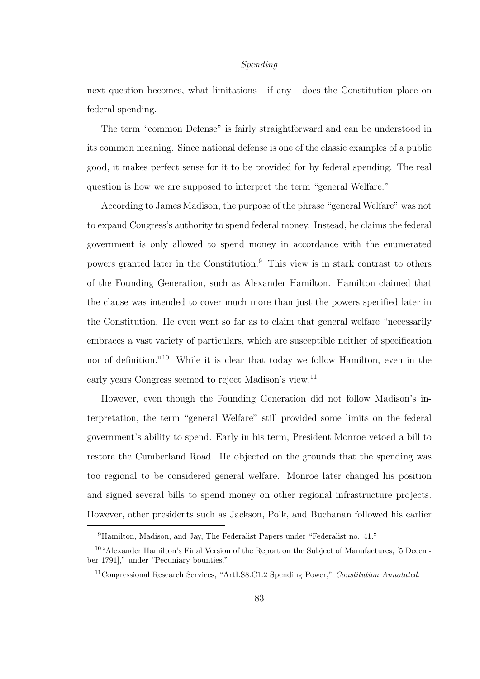## *Spending*

next question becomes, what limitations - if any - does the Constitution place on federal spending.

The term "common Defense" is fairly straightforward and can be understood in its common meaning. Since national defense is one of the classic examples of a public good, it makes perfect sense for it to be provided for by federal spending. The real question is how we are supposed to interpret the term "general Welfare."

According to James Madison, the purpose of the phrase "general Welfare" was not to expand Congress's authority to spend federal money. Instead, he claims the federal government is only allowed to spend money in accordance with the enumerated powers granted later in the Constitution.<sup>9</sup> This view is in stark contrast to others of the Founding Generation, such as Alexander Hamilton. Hamilton claimed that the clause was intended to cover much more than just the powers specified later in the Constitution. He even went so far as to claim that general welfare "necessarily embraces a vast variety of particulars, which are susceptible neither of specification nor of definition."<sup>10</sup> While it is clear that today we follow Hamilton, even in the early years Congress seemed to reject Madison's view.<sup>11</sup>

However, even though the Founding Generation did not follow Madison's interpretation, the term "general Welfare" still provided some limits on the federal government's ability to spend. Early in his term, President Monroe vetoed a bill to restore the Cumberland Road. He objected on the grounds that the spending was too regional to be considered general welfare. Monroe later changed his position and signed several bills to spend money on other regional infrastructure projects. However, other presidents such as Jackson, Polk, and Buchanan followed his earlier

<sup>&</sup>lt;sup>9</sup>Hamilton, Madison, and Jay, The Federalist Papers under "Federalist no. 41."

<sup>10</sup>"Alexander Hamilton's Final Version of the Report on the Subject of Manufactures, [5 December 1791]," under "Pecuniary bounties."

<sup>11</sup>Congressional Research Services, "ArtI.S8.C1.2 Spending Power," Constitution Annotated.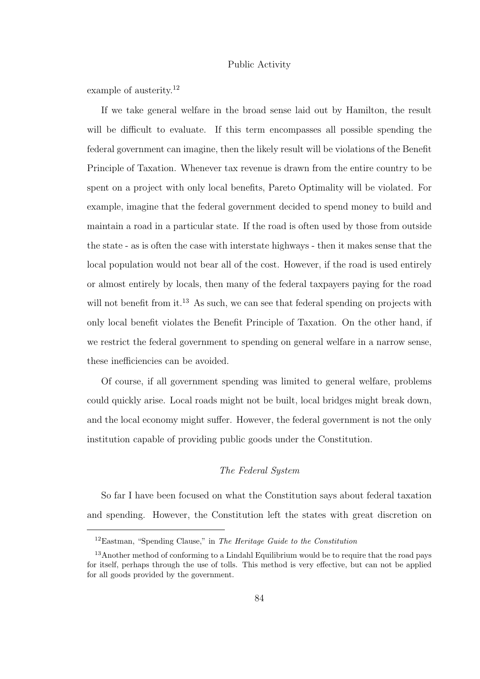# Public Activity

example of austerity.<sup>12</sup>

If we take general welfare in the broad sense laid out by Hamilton, the result will be difficult to evaluate. If this term encompasses all possible spending the federal government can imagine, then the likely result will be violations of the Benefit Principle of Taxation. Whenever tax revenue is drawn from the entire country to be spent on a project with only local benefits, Pareto Optimality will be violated. For example, imagine that the federal government decided to spend money to build and maintain a road in a particular state. If the road is often used by those from outside the state - as is often the case with interstate highways - then it makes sense that the local population would not bear all of the cost. However, if the road is used entirely or almost entirely by locals, then many of the federal taxpayers paying for the road will not benefit from it.<sup>13</sup> As such, we can see that federal spending on projects with only local benefit violates the Benefit Principle of Taxation. On the other hand, if we restrict the federal government to spending on general welfare in a narrow sense, these inefficiencies can be avoided.

Of course, if all government spending was limited to general welfare, problems could quickly arise. Local roads might not be built, local bridges might break down, and the local economy might suffer. However, the federal government is not the only institution capable of providing public goods under the Constitution.

# *The Federal System*

So far I have been focused on what the Constitution says about federal taxation and spending. However, the Constitution left the states with great discretion on

 $12$ Eastman, "Spending Clause," in The Heritage Guide to the Constitution

 $13$ Another method of conforming to a Lindahl Equilibrium would be to require that the road pays for itself, perhaps through the use of tolls. This method is very effective, but can not be applied for all goods provided by the government.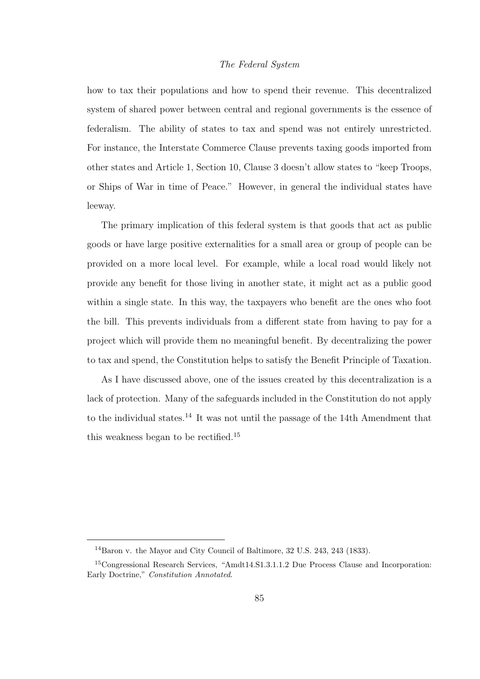## *The Federal System*

how to tax their populations and how to spend their revenue. This decentralized system of shared power between central and regional governments is the essence of federalism. The ability of states to tax and spend was not entirely unrestricted. For instance, the Interstate Commerce Clause prevents taxing goods imported from other states and Article 1, Section 10, Clause 3 doesn't allow states to "keep Troops, or Ships of War in time of Peace." However, in general the individual states have leeway.

The primary implication of this federal system is that goods that act as public goods or have large positive externalities for a small area or group of people can be provided on a more local level. For example, while a local road would likely not provide any benefit for those living in another state, it might act as a public good within a single state. In this way, the taxpayers who benefit are the ones who foot the bill. This prevents individuals from a different state from having to pay for a project which will provide them no meaningful benefit. By decentralizing the power to tax and spend, the Constitution helps to satisfy the Benefit Principle of Taxation.

As I have discussed above, one of the issues created by this decentralization is a lack of protection. Many of the safeguards included in the Constitution do not apply to the individual states.<sup>14</sup> It was not until the passage of the 14th Amendment that this weakness began to be rectified.<sup>15</sup>

<sup>14</sup>Baron v. the Mayor and City Council of Baltimore, 32 U.S. 243, 243 (1833).

<sup>15</sup>Congressional Research Services, "Amdt14.S1.3.1.1.2 Due Process Clause and Incorporation: Early Doctrine," Constitution Annotated.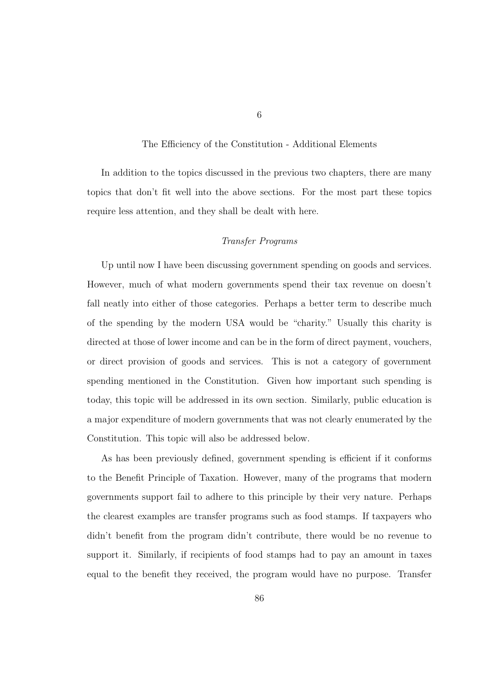#### The Efficiency of the Constitution - Additional Elements

In addition to the topics discussed in the previous two chapters, there are many topics that don't fit well into the above sections. For the most part these topics require less attention, and they shall be dealt with here.

# *Transfer Programs*

Up until now I have been discussing government spending on goods and services. However, much of what modern governments spend their tax revenue on doesn't fall neatly into either of those categories. Perhaps a better term to describe much of the spending by the modern USA would be "charity." Usually this charity is directed at those of lower income and can be in the form of direct payment, vouchers, or direct provision of goods and services. This is not a category of government spending mentioned in the Constitution. Given how important such spending is today, this topic will be addressed in its own section. Similarly, public education is a major expenditure of modern governments that was not clearly enumerated by the Constitution. This topic will also be addressed below.

As has been previously defined, government spending is efficient if it conforms to the Benefit Principle of Taxation. However, many of the programs that modern governments support fail to adhere to this principle by their very nature. Perhaps the clearest examples are transfer programs such as food stamps. If taxpayers who didn't benefit from the program didn't contribute, there would be no revenue to support it. Similarly, if recipients of food stamps had to pay an amount in taxes equal to the benefit they received, the program would have no purpose. Transfer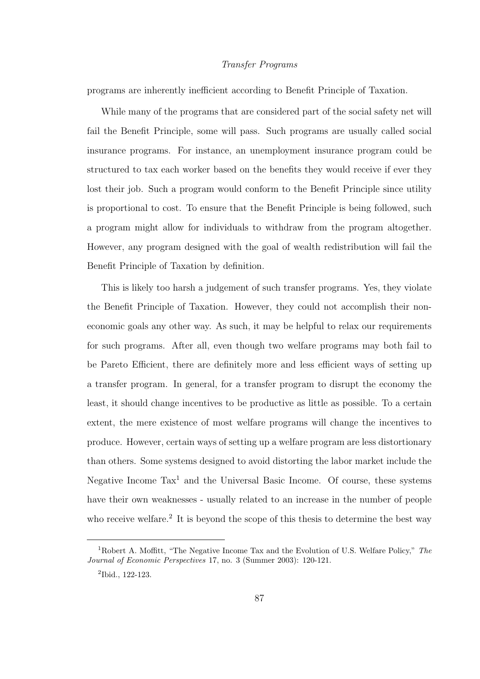## *Transfer Programs*

programs are inherently inefficient according to Benefit Principle of Taxation.

While many of the programs that are considered part of the social safety net will fail the Benefit Principle, some will pass. Such programs are usually called social insurance programs. For instance, an unemployment insurance program could be structured to tax each worker based on the benefits they would receive if ever they lost their job. Such a program would conform to the Benefit Principle since utility is proportional to cost. To ensure that the Benefit Principle is being followed, such a program might allow for individuals to withdraw from the program altogether. However, any program designed with the goal of wealth redistribution will fail the Benefit Principle of Taxation by definition.

This is likely too harsh a judgement of such transfer programs. Yes, they violate the Benefit Principle of Taxation. However, they could not accomplish their noneconomic goals any other way. As such, it may be helpful to relax our requirements for such programs. After all, even though two welfare programs may both fail to be Pareto Efficient, there are definitely more and less efficient ways of setting up a transfer program. In general, for a transfer program to disrupt the economy the least, it should change incentives to be productive as little as possible. To a certain extent, the mere existence of most welfare programs will change the incentives to produce. However, certain ways of setting up a welfare program are less distortionary than others. Some systems designed to avoid distorting the labor market include the Negative Income  $\text{Tax}^1$  and the Universal Basic Income. Of course, these systems have their own weaknesses - usually related to an increase in the number of people who receive welfare.<sup>2</sup> It is beyond the scope of this thesis to determine the best way

<sup>1</sup>Robert A. Moffitt, "The Negative Income Tax and the Evolution of U.S. Welfare Policy," The Journal of Economic Perspectives 17, no. 3 (Summer 2003): 120-121.

<sup>2</sup> Ibid., 122-123.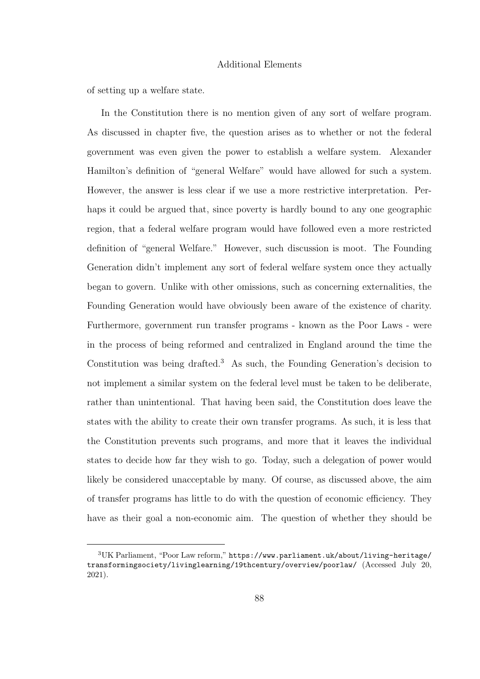## Additional Elements

of setting up a welfare state.

In the Constitution there is no mention given of any sort of welfare program. As discussed in chapter five, the question arises as to whether or not the federal government was even given the power to establish a welfare system. Alexander Hamilton's definition of "general Welfare" would have allowed for such a system. However, the answer is less clear if we use a more restrictive interpretation. Perhaps it could be argued that, since poverty is hardly bound to any one geographic region, that a federal welfare program would have followed even a more restricted definition of "general Welfare." However, such discussion is moot. The Founding Generation didn't implement any sort of federal welfare system once they actually began to govern. Unlike with other omissions, such as concerning externalities, the Founding Generation would have obviously been aware of the existence of charity. Furthermore, government run transfer programs - known as the Poor Laws - were in the process of being reformed and centralized in England around the time the Constitution was being drafted.<sup>3</sup> As such, the Founding Generation's decision to not implement a similar system on the federal level must be taken to be deliberate, rather than unintentional. That having been said, the Constitution does leave the states with the ability to create their own transfer programs. As such, it is less that the Constitution prevents such programs, and more that it leaves the individual states to decide how far they wish to go. Today, such a delegation of power would likely be considered unacceptable by many. Of course, as discussed above, the aim of transfer programs has little to do with the question of economic efficiency. They have as their goal a non-economic aim. The question of whether they should be

<sup>3</sup>UK Parliament, "Poor Law reform," https://www.parliament.uk/about/living-heritage/ transformingsociety/livinglearning/19thcentury/overview/poorlaw/ (Accessed July 20, 2021).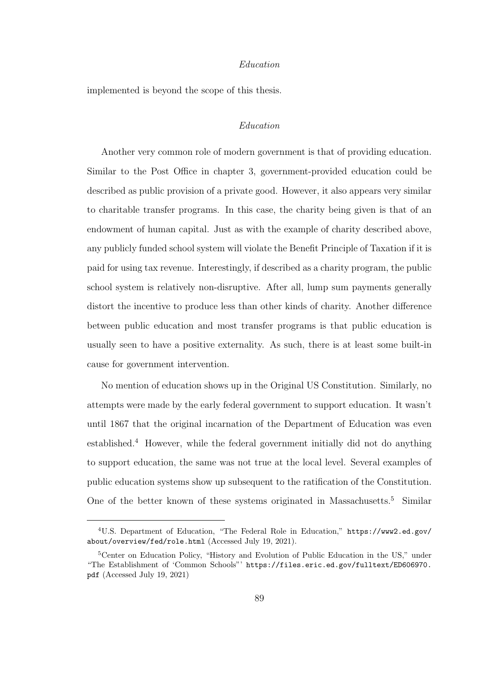## *Education*

implemented is beyond the scope of this thesis.

# *Education*

Another very common role of modern government is that of providing education. Similar to the Post Office in chapter 3, government-provided education could be described as public provision of a private good. However, it also appears very similar to charitable transfer programs. In this case, the charity being given is that of an endowment of human capital. Just as with the example of charity described above, any publicly funded school system will violate the Benefit Principle of Taxation if it is paid for using tax revenue. Interestingly, if described as a charity program, the public school system is relatively non-disruptive. After all, lump sum payments generally distort the incentive to produce less than other kinds of charity. Another difference between public education and most transfer programs is that public education is usually seen to have a positive externality. As such, there is at least some built-in cause for government intervention.

No mention of education shows up in the Original US Constitution. Similarly, no attempts were made by the early federal government to support education. It wasn't until 1867 that the original incarnation of the Department of Education was even established.<sup>4</sup> However, while the federal government initially did not do anything to support education, the same was not true at the local level. Several examples of public education systems show up subsequent to the ratification of the Constitution. One of the better known of these systems originated in Massachusetts.<sup>5</sup> Similar

<sup>4</sup>U.S. Department of Education, "The Federal Role in Education," https://www2.ed.gov/ about/overview/fed/role.html (Accessed July 19, 2021).

<sup>&</sup>lt;sup>5</sup>Center on Education Policy, "History and Evolution of Public Education in the US," under "The Establishment of 'Common Schools"' https://files.eric.ed.gov/fulltext/ED606970. pdf (Accessed July 19, 2021)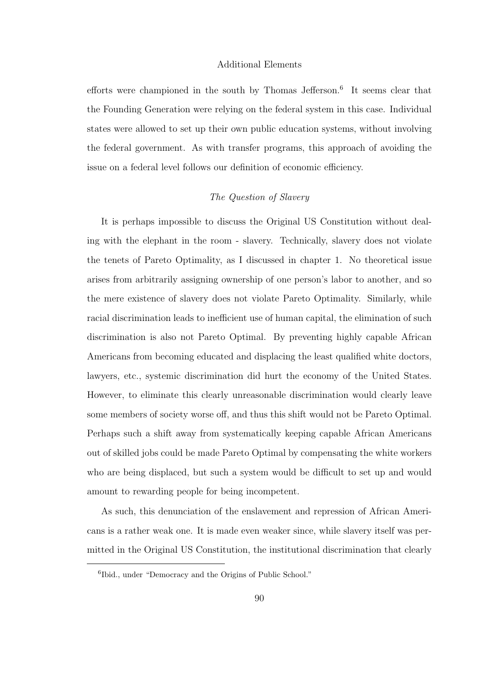### Additional Elements

efforts were championed in the south by Thomas Jefferson.<sup>6</sup> It seems clear that the Founding Generation were relying on the federal system in this case. Individual states were allowed to set up their own public education systems, without involving the federal government. As with transfer programs, this approach of avoiding the issue on a federal level follows our definition of economic efficiency.

## *The Question of Slavery*

It is perhaps impossible to discuss the Original US Constitution without dealing with the elephant in the room - slavery. Technically, slavery does not violate the tenets of Pareto Optimality, as I discussed in chapter 1. No theoretical issue arises from arbitrarily assigning ownership of one person's labor to another, and so the mere existence of slavery does not violate Pareto Optimality. Similarly, while racial discrimination leads to inefficient use of human capital, the elimination of such discrimination is also not Pareto Optimal. By preventing highly capable African Americans from becoming educated and displacing the least qualified white doctors, lawyers, etc., systemic discrimination did hurt the economy of the United States. However, to eliminate this clearly unreasonable discrimination would clearly leave some members of society worse off, and thus this shift would not be Pareto Optimal. Perhaps such a shift away from systematically keeping capable African Americans out of skilled jobs could be made Pareto Optimal by compensating the white workers who are being displaced, but such a system would be difficult to set up and would amount to rewarding people for being incompetent.

As such, this denunciation of the enslavement and repression of African Americans is a rather weak one. It is made even weaker since, while slavery itself was permitted in the Original US Constitution, the institutional discrimination that clearly

<sup>6</sup> Ibid., under "Democracy and the Origins of Public School."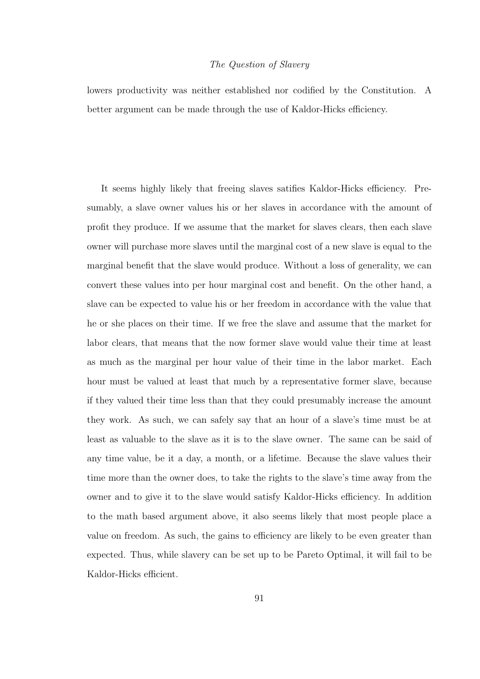### *The Question of Slavery*

lowers productivity was neither established nor codified by the Constitution. A better argument can be made through the use of Kaldor-Hicks efficiency.

It seems highly likely that freeing slaves satifies Kaldor-Hicks efficiency. Presumably, a slave owner values his or her slaves in accordance with the amount of profit they produce. If we assume that the market for slaves clears, then each slave owner will purchase more slaves until the marginal cost of a new slave is equal to the marginal benefit that the slave would produce. Without a loss of generality, we can convert these values into per hour marginal cost and benefit. On the other hand, a slave can be expected to value his or her freedom in accordance with the value that he or she places on their time. If we free the slave and assume that the market for labor clears, that means that the now former slave would value their time at least as much as the marginal per hour value of their time in the labor market. Each hour must be valued at least that much by a representative former slave, because if they valued their time less than that they could presumably increase the amount they work. As such, we can safely say that an hour of a slave's time must be at least as valuable to the slave as it is to the slave owner. The same can be said of any time value, be it a day, a month, or a lifetime. Because the slave values their time more than the owner does, to take the rights to the slave's time away from the owner and to give it to the slave would satisfy Kaldor-Hicks efficiency. In addition to the math based argument above, it also seems likely that most people place a value on freedom. As such, the gains to efficiency are likely to be even greater than expected. Thus, while slavery can be set up to be Pareto Optimal, it will fail to be Kaldor-Hicks efficient.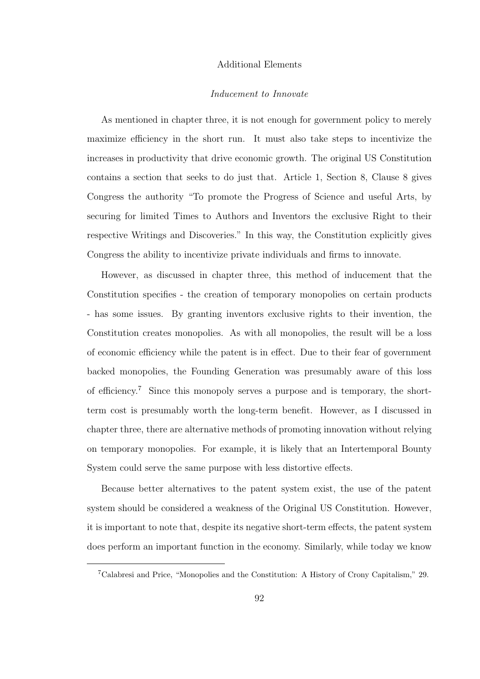# Additional Elements

# *Inducement to Innovate*

As mentioned in chapter three, it is not enough for government policy to merely maximize efficiency in the short run. It must also take steps to incentivize the increases in productivity that drive economic growth. The original US Constitution contains a section that seeks to do just that. Article 1, Section 8, Clause 8 gives Congress the authority "To promote the Progress of Science and useful Arts, by securing for limited Times to Authors and Inventors the exclusive Right to their respective Writings and Discoveries." In this way, the Constitution explicitly gives Congress the ability to incentivize private individuals and firms to innovate.

However, as discussed in chapter three, this method of inducement that the Constitution specifies - the creation of temporary monopolies on certain products - has some issues. By granting inventors exclusive rights to their invention, the Constitution creates monopolies. As with all monopolies, the result will be a loss of economic efficiency while the patent is in effect. Due to their fear of government backed monopolies, the Founding Generation was presumably aware of this loss of efficiency.<sup>7</sup> Since this monopoly serves a purpose and is temporary, the shortterm cost is presumably worth the long-term benefit. However, as I discussed in chapter three, there are alternative methods of promoting innovation without relying on temporary monopolies. For example, it is likely that an Intertemporal Bounty System could serve the same purpose with less distortive effects.

Because better alternatives to the patent system exist, the use of the patent system should be considered a weakness of the Original US Constitution. However, it is important to note that, despite its negative short-term effects, the patent system does perform an important function in the economy. Similarly, while today we know

<sup>7</sup>Calabresi and Price, "Monopolies and the Constitution: A History of Crony Capitalism," 29.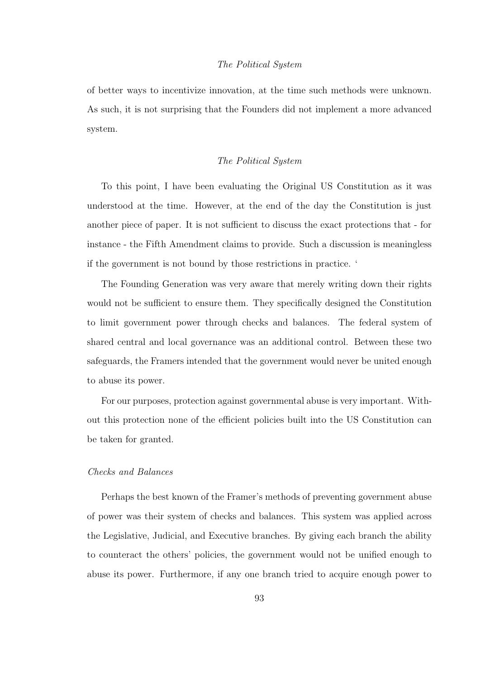## *The Political System*

of better ways to incentivize innovation, at the time such methods were unknown. As such, it is not surprising that the Founders did not implement a more advanced system.

## *The Political System*

To this point, I have been evaluating the Original US Constitution as it was understood at the time. However, at the end of the day the Constitution is just another piece of paper. It is not sufficient to discuss the exact protections that - for instance - the Fifth Amendment claims to provide. Such a discussion is meaningless if the government is not bound by those restrictions in practice. '

The Founding Generation was very aware that merely writing down their rights would not be sufficient to ensure them. They specifically designed the Constitution to limit government power through checks and balances. The federal system of shared central and local governance was an additional control. Between these two safeguards, the Framers intended that the government would never be united enough to abuse its power.

For our purposes, protection against governmental abuse is very important. Without this protection none of the efficient policies built into the US Constitution can be taken for granted.

# *Checks and Balances*

Perhaps the best known of the Framer's methods of preventing government abuse of power was their system of checks and balances. This system was applied across the Legislative, Judicial, and Executive branches. By giving each branch the ability to counteract the others' policies, the government would not be unified enough to abuse its power. Furthermore, if any one branch tried to acquire enough power to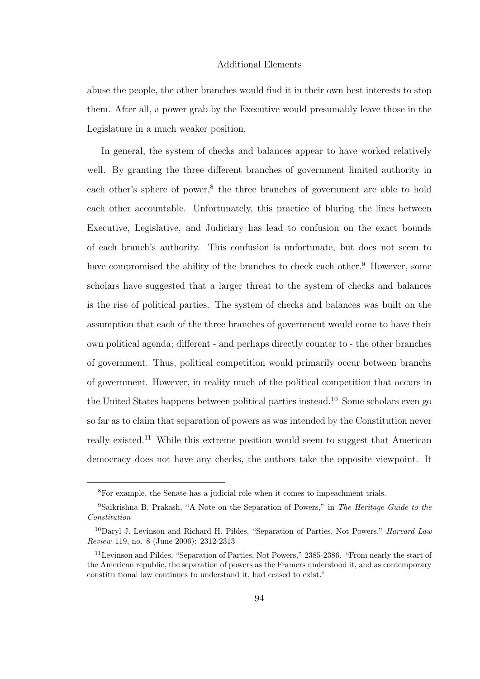# Additional Elements

abuse the people, the other branches would find it in their own best interests to stop them. After all, a power grab by the Executive would presumably leave those in the Legislature in a much weaker position.

In general, the system of checks and balances appear to have worked relatively well. By granting the three different branches of government limited authority in each other's sphere of power,<sup>8</sup> the three branches of government are able to hold each other accountable. Unfortunately, this practice of bluring the lines between Executive, Legislative, and Judiciary has lead to confusion on the exact bounds of each branch's authority. This confusion is unfortunate, but does not seem to have compromised the ability of the branches to check each other.<sup>9</sup> However, some scholars have suggested that a larger threat to the system of checks and balances is the rise of political parties. The system of checks and balances was built on the assumption that each of the three branches of government would come to have their own political agenda; different - and perhaps directly counter to - the other branches of government. Thus, political competition would primarily occur between branchs of government. However, in reality much of the political competition that occurs in the United States happens between political parties instead. <sup>10</sup> Some scholars even go so far as to claim that separation of powers as was intended by the Constitution never really existed.<sup>11</sup> While this extreme position would seem to suggest that American democracy does not have any checks, the authors take the opposite viewpoint. It

<sup>8</sup>For example, the Senate has a judicial role when it comes to impeachment trials.

<sup>9</sup>Saikrishna B. Prakash, "A Note on the Separation of Powers," in The Heritage Guide to the Constitution

<sup>&</sup>lt;sup>10</sup>Daryl J. Levinson and Richard H. Pildes, "Separation of Parties, Not Powers," *Harvard Law* Review 119, no. 8 (June 2006): 2312-2313

<sup>11</sup>Levinson and Pildes, "Separation of Parties, Not Powers," 2385-2386. "From nearly the start of the American republic, the separation of powers as the Framers understood it, and as contemporary constitu tional law continues to understand it, had ceased to exist."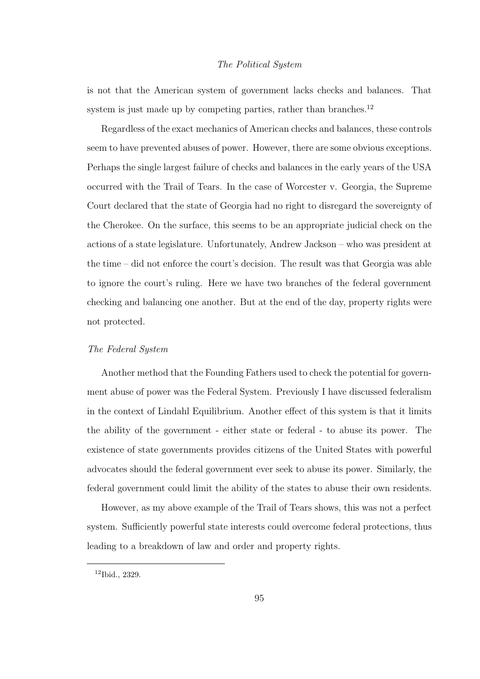# *The Political System*

is not that the American system of government lacks checks and balances. That system is just made up by competing parties, rather than branches.<sup>12</sup>

Regardless of the exact mechanics of American checks and balances, these controls seem to have prevented abuses of power. However, there are some obvious exceptions. Perhaps the single largest failure of checks and balances in the early years of the USA occurred with the Trail of Tears. In the case of Worcester v. Georgia, the Supreme Court declared that the state of Georgia had no right to disregard the sovereignty of the Cherokee. On the surface, this seems to be an appropriate judicial check on the actions of a state legislature. Unfortunately, Andrew Jackson – who was president at the time – did not enforce the court's decision. The result was that Georgia was able to ignore the court's ruling. Here we have two branches of the federal government checking and balancing one another. But at the end of the day, property rights were not protected.

## *The Federal System*

Another method that the Founding Fathers used to check the potential for government abuse of power was the Federal System. Previously I have discussed federalism in the context of Lindahl Equilibrium. Another effect of this system is that it limits the ability of the government - either state or federal - to abuse its power. The existence of state governments provides citizens of the United States with powerful advocates should the federal government ever seek to abuse its power. Similarly, the federal government could limit the ability of the states to abuse their own residents.

However, as my above example of the Trail of Tears shows, this was not a perfect system. Sufficiently powerful state interests could overcome federal protections, thus leading to a breakdown of law and order and property rights.

<sup>12</sup>Ibid., 2329.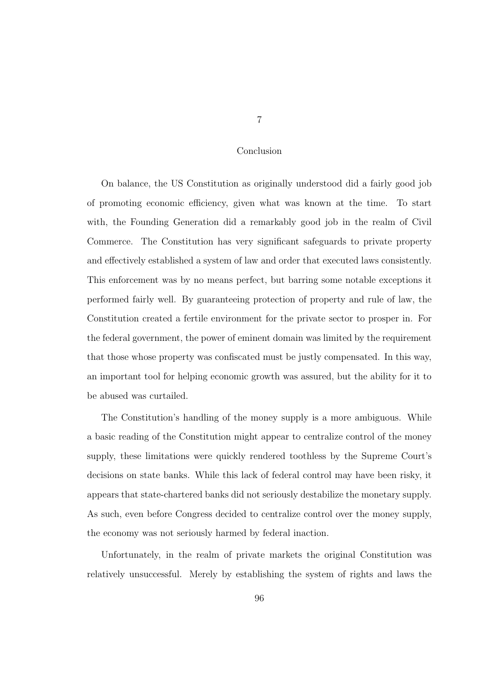#### Conclusion

On balance, the US Constitution as originally understood did a fairly good job of promoting economic efficiency, given what was known at the time. To start with, the Founding Generation did a remarkably good job in the realm of Civil Commerce. The Constitution has very significant safeguards to private property and effectively established a system of law and order that executed laws consistently. This enforcement was by no means perfect, but barring some notable exceptions it performed fairly well. By guaranteeing protection of property and rule of law, the Constitution created a fertile environment for the private sector to prosper in. For the federal government, the power of eminent domain was limited by the requirement that those whose property was confiscated must be justly compensated. In this way, an important tool for helping economic growth was assured, but the ability for it to be abused was curtailed.

The Constitution's handling of the money supply is a more ambiguous. While a basic reading of the Constitution might appear to centralize control of the money supply, these limitations were quickly rendered toothless by the Supreme Court's decisions on state banks. While this lack of federal control may have been risky, it appears that state-chartered banks did not seriously destabilize the monetary supply. As such, even before Congress decided to centralize control over the money supply, the economy was not seriously harmed by federal inaction.

Unfortunately, in the realm of private markets the original Constitution was relatively unsuccessful. Merely by establishing the system of rights and laws the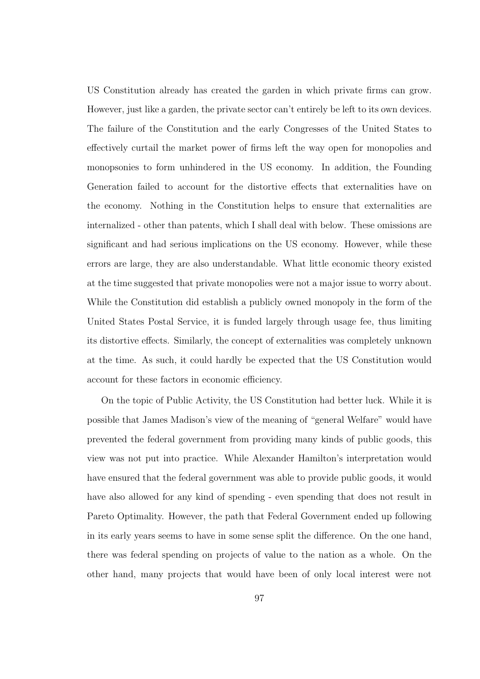US Constitution already has created the garden in which private firms can grow. However, just like a garden, the private sector can't entirely be left to its own devices. The failure of the Constitution and the early Congresses of the United States to effectively curtail the market power of firms left the way open for monopolies and monopsonies to form unhindered in the US economy. In addition, the Founding Generation failed to account for the distortive effects that externalities have on the economy. Nothing in the Constitution helps to ensure that externalities are internalized - other than patents, which I shall deal with below. These omissions are significant and had serious implications on the US economy. However, while these errors are large, they are also understandable. What little economic theory existed at the time suggested that private monopolies were not a major issue to worry about. While the Constitution did establish a publicly owned monopoly in the form of the United States Postal Service, it is funded largely through usage fee, thus limiting its distortive effects. Similarly, the concept of externalities was completely unknown at the time. As such, it could hardly be expected that the US Constitution would account for these factors in economic efficiency.

On the topic of Public Activity, the US Constitution had better luck. While it is possible that James Madison's view of the meaning of "general Welfare" would have prevented the federal government from providing many kinds of public goods, this view was not put into practice. While Alexander Hamilton's interpretation would have ensured that the federal government was able to provide public goods, it would have also allowed for any kind of spending - even spending that does not result in Pareto Optimality. However, the path that Federal Government ended up following in its early years seems to have in some sense split the difference. On the one hand, there was federal spending on projects of value to the nation as a whole. On the other hand, many projects that would have been of only local interest were not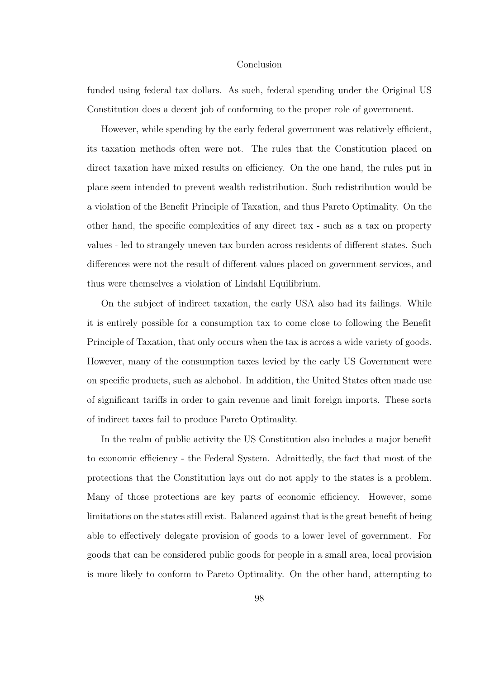## Conclusion

funded using federal tax dollars. As such, federal spending under the Original US Constitution does a decent job of conforming to the proper role of government.

However, while spending by the early federal government was relatively efficient, its taxation methods often were not. The rules that the Constitution placed on direct taxation have mixed results on efficiency. On the one hand, the rules put in place seem intended to prevent wealth redistribution. Such redistribution would be a violation of the Benefit Principle of Taxation, and thus Pareto Optimality. On the other hand, the specific complexities of any direct tax - such as a tax on property values - led to strangely uneven tax burden across residents of different states. Such differences were not the result of different values placed on government services, and thus were themselves a violation of Lindahl Equilibrium.

On the subject of indirect taxation, the early USA also had its failings. While it is entirely possible for a consumption tax to come close to following the Benefit Principle of Taxation, that only occurs when the tax is across a wide variety of goods. However, many of the consumption taxes levied by the early US Government were on specific products, such as alchohol. In addition, the United States often made use of significant tariffs in order to gain revenue and limit foreign imports. These sorts of indirect taxes fail to produce Pareto Optimality.

In the realm of public activity the US Constitution also includes a major benefit to economic efficiency - the Federal System. Admittedly, the fact that most of the protections that the Constitution lays out do not apply to the states is a problem. Many of those protections are key parts of economic efficiency. However, some limitations on the states still exist. Balanced against that is the great benefit of being able to effectively delegate provision of goods to a lower level of government. For goods that can be considered public goods for people in a small area, local provision is more likely to conform to Pareto Optimality. On the other hand, attempting to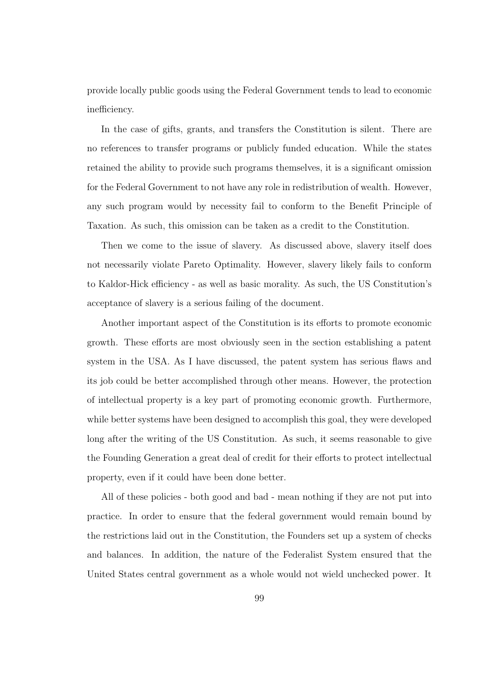provide locally public goods using the Federal Government tends to lead to economic inefficiency.

In the case of gifts, grants, and transfers the Constitution is silent. There are no references to transfer programs or publicly funded education. While the states retained the ability to provide such programs themselves, it is a significant omission for the Federal Government to not have any role in redistribution of wealth. However, any such program would by necessity fail to conform to the Benefit Principle of Taxation. As such, this omission can be taken as a credit to the Constitution.

Then we come to the issue of slavery. As discussed above, slavery itself does not necessarily violate Pareto Optimality. However, slavery likely fails to conform to Kaldor-Hick efficiency - as well as basic morality. As such, the US Constitution's acceptance of slavery is a serious failing of the document.

Another important aspect of the Constitution is its efforts to promote economic growth. These efforts are most obviously seen in the section establishing a patent system in the USA. As I have discussed, the patent system has serious flaws and its job could be better accomplished through other means. However, the protection of intellectual property is a key part of promoting economic growth. Furthermore, while better systems have been designed to accomplish this goal, they were developed long after the writing of the US Constitution. As such, it seems reasonable to give the Founding Generation a great deal of credit for their efforts to protect intellectual property, even if it could have been done better.

All of these policies - both good and bad - mean nothing if they are not put into practice. In order to ensure that the federal government would remain bound by the restrictions laid out in the Constitution, the Founders set up a system of checks and balances. In addition, the nature of the Federalist System ensured that the United States central government as a whole would not wield unchecked power. It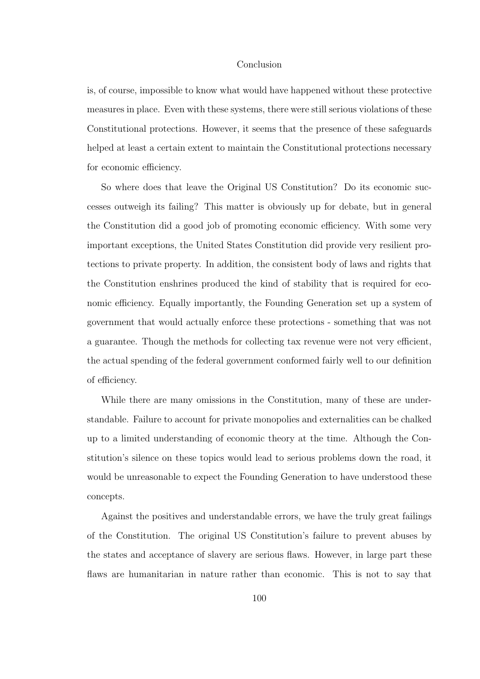## Conclusion

is, of course, impossible to know what would have happened without these protective measures in place. Even with these systems, there were still serious violations of these Constitutional protections. However, it seems that the presence of these safeguards helped at least a certain extent to maintain the Constitutional protections necessary for economic efficiency.

So where does that leave the Original US Constitution? Do its economic successes outweigh its failing? This matter is obviously up for debate, but in general the Constitution did a good job of promoting economic efficiency. With some very important exceptions, the United States Constitution did provide very resilient protections to private property. In addition, the consistent body of laws and rights that the Constitution enshrines produced the kind of stability that is required for economic efficiency. Equally importantly, the Founding Generation set up a system of government that would actually enforce these protections - something that was not a guarantee. Though the methods for collecting tax revenue were not very efficient, the actual spending of the federal government conformed fairly well to our definition of efficiency.

While there are many omissions in the Constitution, many of these are understandable. Failure to account for private monopolies and externalities can be chalked up to a limited understanding of economic theory at the time. Although the Constitution's silence on these topics would lead to serious problems down the road, it would be unreasonable to expect the Founding Generation to have understood these concepts.

Against the positives and understandable errors, we have the truly great failings of the Constitution. The original US Constitution's failure to prevent abuses by the states and acceptance of slavery are serious flaws. However, in large part these flaws are humanitarian in nature rather than economic. This is not to say that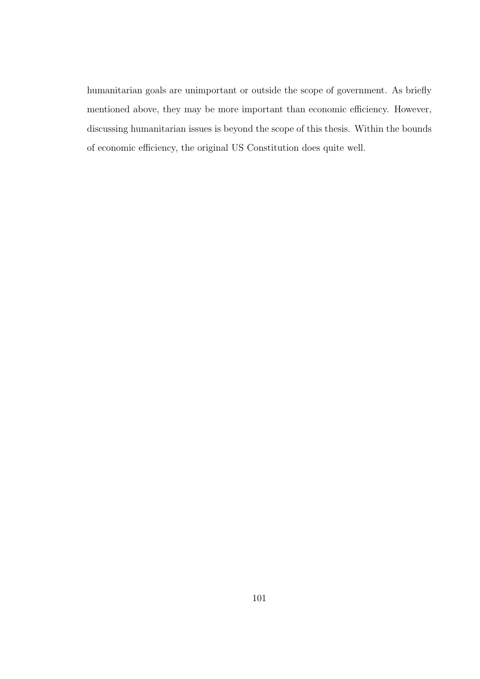humanitarian goals are unimportant or outside the scope of government. As briefly mentioned above, they may be more important than economic efficiency. However, discussing humanitarian issues is beyond the scope of this thesis. Within the bounds of economic efficiency, the original US Constitution does quite well.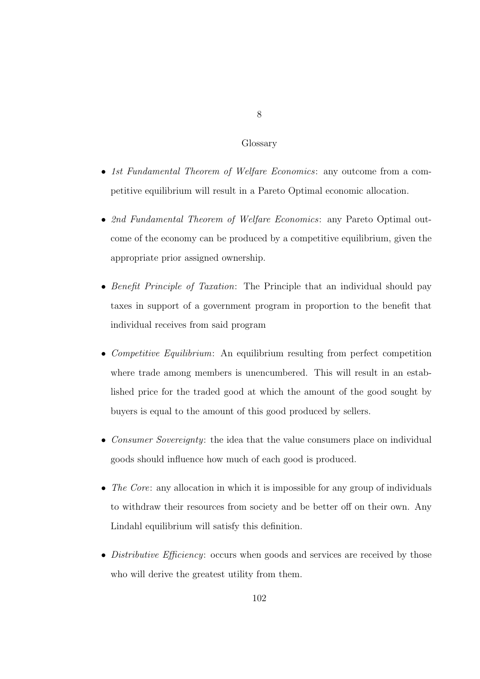### Glossary

- *1st Fundamental Theorem of Welfare Economics*: any outcome from a competitive equilibrium will result in a Pareto Optimal economic allocation.
- *2nd Fundamental Theorem of Welfare Economics*: any Pareto Optimal outcome of the economy can be produced by a competitive equilibrium, given the appropriate prior assigned ownership.
- *Benefit Principle of Taxation*: The Principle that an individual should pay taxes in support of a government program in proportion to the benefit that individual receives from said program
- *Competitive Equilibrium*: An equilibrium resulting from perfect competition where trade among members is unencumbered. This will result in an established price for the traded good at which the amount of the good sought by buyers is equal to the amount of this good produced by sellers.
- *Consumer Sovereignty*: the idea that the value consumers place on individual goods should influence how much of each good is produced.
- *The Core*: any allocation in which it is impossible for any group of individuals to withdraw their resources from society and be better off on their own. Any Lindahl equilibrium will satisfy this definition.
- *Distributive Efficiency*: occurs when goods and services are received by those who will derive the greatest utility from them.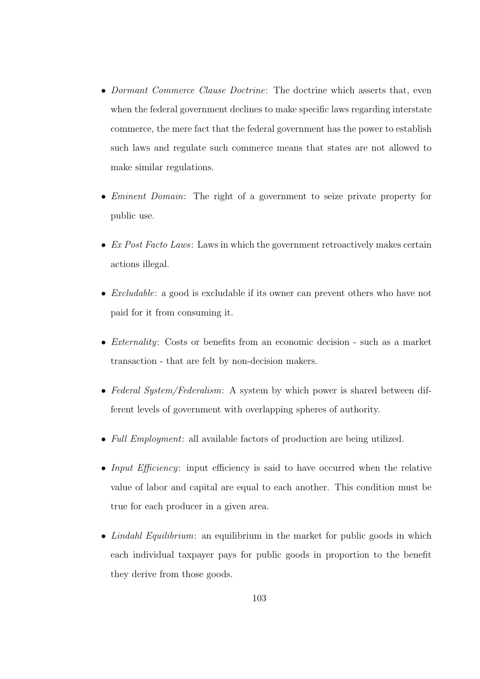- *Dormant Commerce Clause Doctrine*: The doctrine which asserts that, even when the federal government declines to make specific laws regarding interstate commerce, the mere fact that the federal government has the power to establish such laws and regulate such commerce means that states are not allowed to make similar regulations.
- *Eminent Domain*: The right of a government to seize private property for public use.
- *Ex Post Facto Laws*: Laws in which the government retroactively makes certain actions illegal.
- *Excludable*: a good is excludable if its owner can prevent others who have not paid for it from consuming it.
- *Externality*: Costs or benefits from an economic decision such as a market transaction - that are felt by non-decision makers.
- *Federal System/Federalism*: A system by which power is shared between different levels of government with overlapping spheres of authority.
- *Full Employment*: all available factors of production are being utilized.
- *Input Efficiency*: input efficiency is said to have occurred when the relative value of labor and capital are equal to each another. This condition must be true for each producer in a given area.
- *Lindahl Equilibrium*: an equilibrium in the market for public goods in which each individual taxpayer pays for public goods in proportion to the benefit they derive from those goods.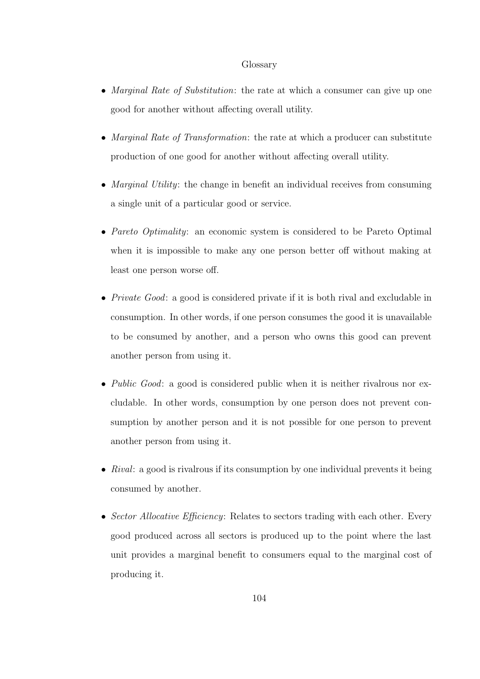#### Glossary

- *Marginal Rate of Substitution*: the rate at which a consumer can give up one good for another without affecting overall utility.
- *Marginal Rate of Transformation*: the rate at which a producer can substitute production of one good for another without affecting overall utility.
- *Marginal Utility*: the change in benefit an individual receives from consuming a single unit of a particular good or service.
- *Pareto Optimality*: an economic system is considered to be Pareto Optimal when it is impossible to make any one person better off without making at least one person worse off.
- *Private Good*: a good is considered private if it is both rival and excludable in consumption. In other words, if one person consumes the good it is unavailable to be consumed by another, and a person who owns this good can prevent another person from using it.
- *Public Good*: a good is considered public when it is neither rivalrous nor excludable. In other words, consumption by one person does not prevent consumption by another person and it is not possible for one person to prevent another person from using it.
- *Rival*: a good is rivalrous if its consumption by one individual prevents it being consumed by another.
- *Sector Allocative Efficiency*: Relates to sectors trading with each other. Every good produced across all sectors is produced up to the point where the last unit provides a marginal benefit to consumers equal to the marginal cost of producing it.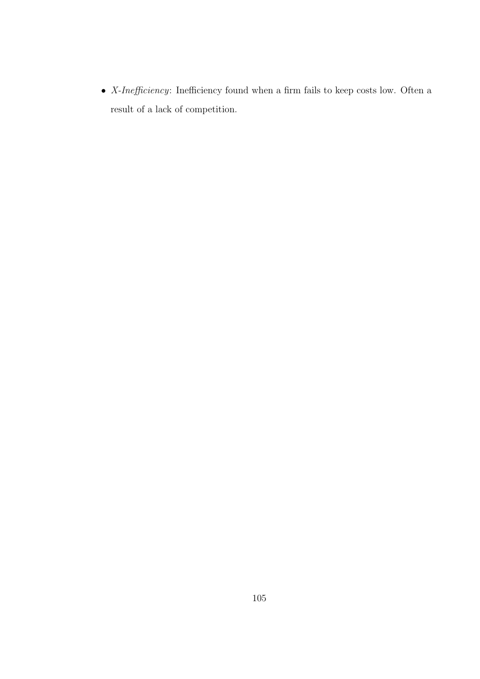• *X-Ine*ffi*ciency*: Inefficiency found when a firm fails to keep costs low. Often a result of a lack of competition.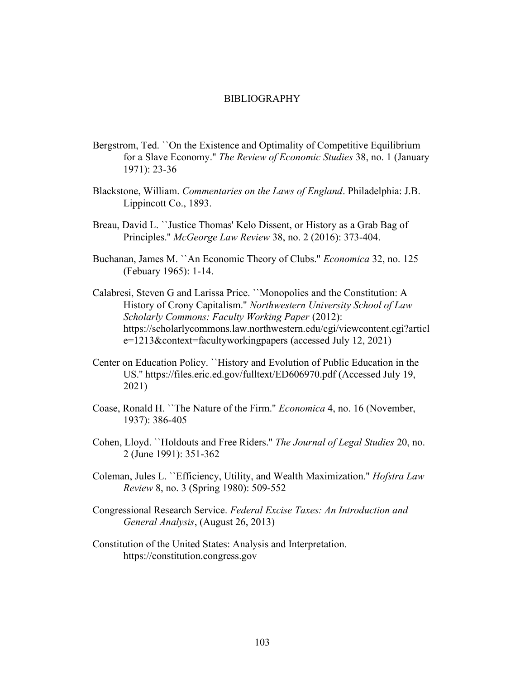## BIBLIOGRAPHY

- Bergstrom, Ted. ``On the Existence and Optimality of Competitive Equilibrium for a Slave Economy.'' *The Review of Economic Studies* 38, no. 1 (January 1971): 23-36
- Blackstone, William. *Commentaries on the Laws of England*. Philadelphia: J.B. Lippincott Co., 1893.
- Breau, David L. ``Justice Thomas' Kelo Dissent, or History as a Grab Bag of Principles.'' *McGeorge Law Review* 38, no. 2 (2016): 373-404.
- Buchanan, James M. ``An Economic Theory of Clubs.'' *Economica* 32, no. 125 (Febuary 1965): 1-14.
- Calabresi, Steven G and Larissa Price. ``Monopolies and the Constitution: A History of Crony Capitalism.'' *Northwestern University School of Law Scholarly Commons: Faculty Working Paper* (2012): https://scholarlycommons.law.northwestern.edu/cgi/viewcontent.cgi?articl e=1213&context=facultyworkingpapers (accessed July 12, 2021)
- Center on Education Policy. ``History and Evolution of Public Education in the US.'' https://files.eric.ed.gov/fulltext/ED606970.pdf (Accessed July 19, 2021)
- Coase, Ronald H. ``The Nature of the Firm.'' *Economica* 4, no. 16 (November, 1937): 386-405
- Cohen, Lloyd. ``Holdouts and Free Riders.'' *The Journal of Legal Studies* 20, no. 2 (June 1991): 351-362
- Coleman, Jules L. ``Efficiency, Utility, and Wealth Maximization.'' *Hofstra Law Review* 8, no. 3 (Spring 1980): 509-552
- Congressional Research Service. *Federal Excise Taxes: An Introduction and General Analysis*, (August 26, 2013)
- Constitution of the United States: Analysis and Interpretation. https://constitution.congress.gov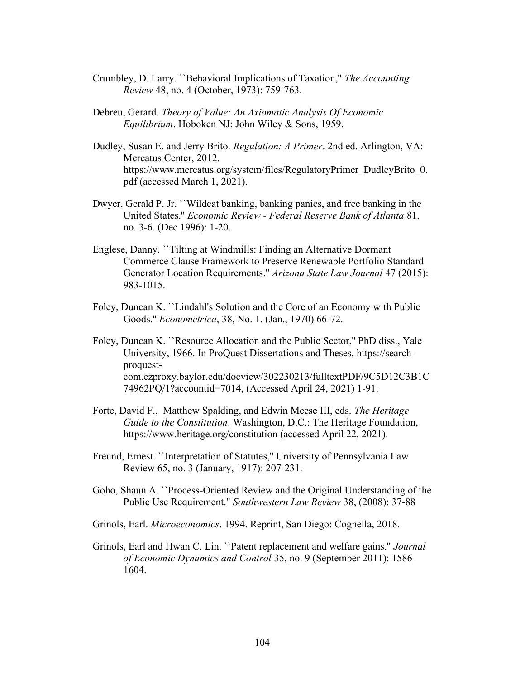- Crumbley, D. Larry. ``Behavioral Implications of Taxation,'' *The Accounting Review* 48, no. 4 (October, 1973): 759-763.
- Debreu, Gerard. *Theory of Value: An Axiomatic Analysis Of Economic Equilibrium*. Hoboken NJ: John Wiley & Sons, 1959.
- Dudley, Susan E. and Jerry Brito. *Regulation: A Primer*. 2nd ed. Arlington, VA: Mercatus Center, 2012. https://www.mercatus.org/system/files/RegulatoryPrimer\_DudleyBrito\_0. pdf (accessed March 1, 2021).
- Dwyer, Gerald P. Jr. ``Wildcat banking, banking panics, and free banking in the United States.'' *Economic Review - Federal Reserve Bank of Atlanta* 81, no. 3-6. (Dec 1996): 1-20.
- Englese, Danny. ``Tilting at Windmills: Finding an Alternative Dormant Commerce Clause Framework to Preserve Renewable Portfolio Standard Generator Location Requirements.'' *Arizona State Law Journal* 47 (2015): 983-1015.
- Foley, Duncan K. ``Lindahl's Solution and the Core of an Economy with Public Goods.'' *Econometrica*, 38, No. 1. (Jan., 1970) 66-72.
- Foley, Duncan K. ``Resource Allocation and the Public Sector,'' PhD diss., Yale University, 1966. In ProQuest Dissertations and Theses, https://searchproquestcom.ezproxy.baylor.edu/docview/302230213/fulltextPDF/9C5D12C3B1C 74962PQ/1?accountid=7014, (Accessed April 24, 2021) 1-91.
- Forte, David F., Matthew Spalding, and Edwin Meese III, eds. *The Heritage Guide to the Constitution*. Washington, D.C.: The Heritage Foundation, https://www.heritage.org/constitution (accessed April 22, 2021).
- Freund, Ernest. ``Interpretation of Statutes,'' University of Pennsylvania Law Review 65, no. 3 (January, 1917): 207-231.
- Goho, Shaun A. ``Process-Oriented Review and the Original Understanding of the Public Use Requirement.'' *Southwestern Law Review* 38, (2008): 37-88
- Grinols, Earl. *Microeconomics*. 1994. Reprint, San Diego: Cognella, 2018.
- Grinols, Earl and Hwan C. Lin. ``Patent replacement and welfare gains.'' *Journal of Economic Dynamics and Control* 35, no. 9 (September 2011): 1586- 1604.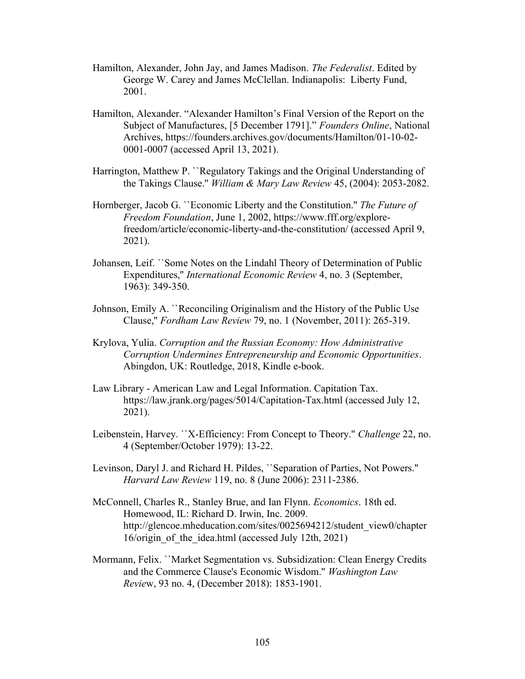- Hamilton, Alexander, John Jay, and James Madison. *The Federalist*. Edited by George W. Carey and James McClellan. Indianapolis: Liberty Fund, 2001.
- Hamilton, Alexander. "Alexander Hamilton's Final Version of the Report on the Subject of Manufactures, [5 December 1791]." *Founders Online*, National Archives, https://founders.archives.gov/documents/Hamilton/01-10-02- 0001-0007 (accessed April 13, 2021).
- Harrington, Matthew P. ``Regulatory Takings and the Original Understanding of the Takings Clause.'' *William & Mary Law Review* 45, (2004): 2053-2082.
- Hornberger, Jacob G. ``Economic Liberty and the Constitution.'' *The Future of Freedom Foundation*, June 1, 2002, https://www.fff.org/explorefreedom/article/economic-liberty-and-the-constitution/ (accessed April 9, 2021).
- Johansen, Leif. ``Some Notes on the Lindahl Theory of Determination of Public Expenditures,'' *International Economic Review* 4, no. 3 (September, 1963): 349-350.
- Johnson, Emily A. ``Reconciling Originalism and the History of the Public Use Clause,'' *Fordham Law Review* 79, no. 1 (November, 2011): 265-319.
- Krylova, Yulia. *Corruption and the Russian Economy: How Administrative Corruption Undermines Entrepreneurship and Economic Opportunities*. Abingdon, UK: Routledge, 2018, Kindle e-book.
- Law Library American Law and Legal Information. Capitation Tax. https://law.jrank.org/pages/5014/Capitation-Tax.html (accessed July 12, 2021).
- Leibenstein, Harvey. ``X-Efficiency: From Concept to Theory.'' *Challenge* 22, no. 4 (September/October 1979): 13-22.
- Levinson, Daryl J. and Richard H. Pildes, ``Separation of Parties, Not Powers.'' *Harvard Law Review* 119, no. 8 (June 2006): 2311-2386.
- McConnell, Charles R., Stanley Brue, and Ian Flynn. *Economics*. 18th ed. Homewood, IL: Richard D. Irwin, Inc. 2009. http://glencoe.mheducation.com/sites/0025694212/student\_view0/chapter 16/origin of the idea.html (accessed July 12th, 2021)
- Mormann, Felix. ``Market Segmentation vs. Subsidization: Clean Energy Credits and the Commerce Clause's Economic Wisdom.'' *Washington Law Revie*w, 93 no. 4, (December 2018): 1853-1901.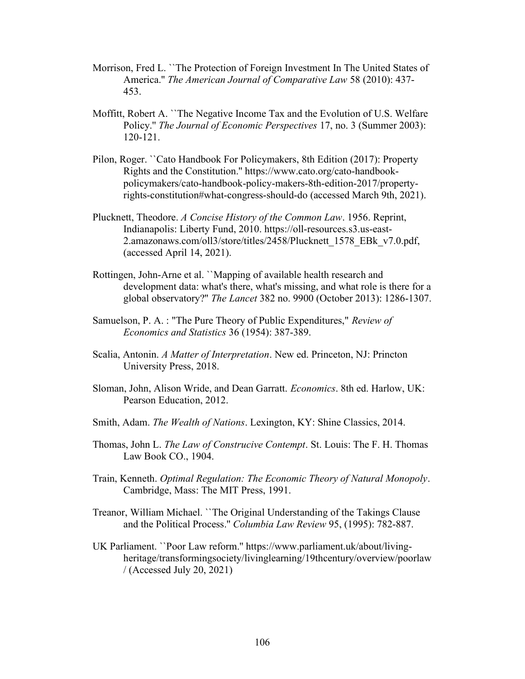- Morrison, Fred L. ``The Protection of Foreign Investment In The United States of America.'' *The American Journal of Comparative Law* 58 (2010): 437- 453.
- Moffitt, Robert A. ``The Negative Income Tax and the Evolution of U.S. Welfare Policy.'' *The Journal of Economic Perspectives* 17, no. 3 (Summer 2003): 120-121.
- Pilon, Roger. ``Cato Handbook For Policymakers, 8th Edition (2017): Property Rights and the Constitution.'' https://www.cato.org/cato-handbookpolicymakers/cato-handbook-policy-makers-8th-edition-2017/propertyrights-constitution#what-congress-should-do (accessed March 9th, 2021).
- Plucknett, Theodore. *A Concise History of the Common Law*. 1956. Reprint, Indianapolis: Liberty Fund, 2010. https://oll-resources.s3.us-east-2.amazonaws.com/oll3/store/titles/2458/Plucknett\_1578\_EBk\_v7.0.pdf, (accessed April 14, 2021).
- Rottingen, John-Arne et al. ``Mapping of available health research and development data: what's there, what's missing, and what role is there for a global observatory?'' *The Lancet* 382 no. 9900 (October 2013): 1286-1307.
- Samuelson, P. A. : "The Pure Theory of Public Expenditures," *Review of Economics and Statistics* 36 (1954): 387-389.
- Scalia, Antonin. *A Matter of Interpretation*. New ed. Princeton, NJ: Princton University Press, 2018.
- Sloman, John, Alison Wride, and Dean Garratt. *Economics*. 8th ed. Harlow, UK: Pearson Education, 2012.
- Smith, Adam. *The Wealth of Nations*. Lexington, KY: Shine Classics, 2014.
- Thomas, John L. *The Law of Construcive Contempt*. St. Louis: The F. H. Thomas Law Book CO., 1904.
- Train, Kenneth. *Optimal Regulation: The Economic Theory of Natural Monopoly*. Cambridge, Mass: The MIT Press, 1991.
- Treanor, William Michael. ``The Original Understanding of the Takings Clause and the Political Process.'' *Columbia Law Review* 95, (1995): 782-887.
- UK Parliament. ``Poor Law reform.'' https://www.parliament.uk/about/livingheritage/transformingsociety/livinglearning/19thcentury/overview/poorlaw / (Accessed July 20, 2021)